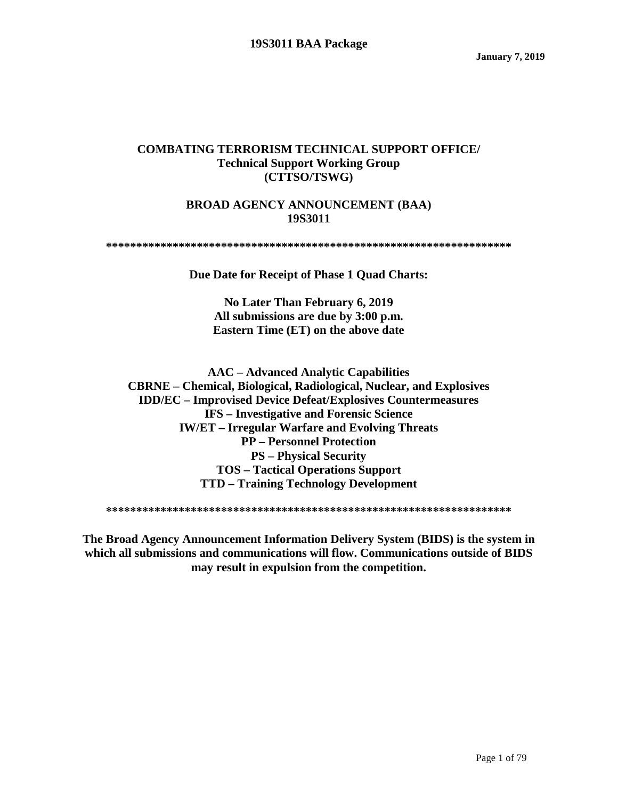# **COMBATING TERRORISM TECHNICAL SUPPORT OFFICE/ Technical Support Working Group (CTTSO/TSWG)**

#### **BROAD AGENCY ANNOUNCEMENT (BAA) 19S3011**

**\*\*\*\*\*\*\*\*\*\*\*\*\*\*\*\*\*\*\*\*\*\*\*\*\*\*\*\*\*\*\*\*\*\*\*\*\*\*\*\*\*\*\*\*\*\*\*\*\*\*\*\*\*\*\*\*\*\*\*\*\*\*\*\*\*\*\***

**Due Date for Receipt of Phase 1 Quad Charts:**

**No Later Than February 6, 2019 All submissions are due by 3:00 p.m. Eastern Time (ET) on the above date**

**AAC – Advanced Analytic Capabilities CBRNE – Chemical, Biological, Radiological, Nuclear, and Explosives IDD/EC – Improvised Device Defeat/Explosives Countermeasures IFS – Investigative and Forensic Science IW/ET – Irregular Warfare and Evolving Threats PP – Personnel Protection PS – Physical Security TOS – Tactical Operations Support TTD – Training Technology Development**

**\*\*\*\*\*\*\*\*\*\*\*\*\*\*\*\*\*\*\*\*\*\*\*\*\*\*\*\*\*\*\*\*\*\*\*\*\*\*\*\*\*\*\*\*\*\*\*\*\*\*\*\*\*\*\*\*\*\*\*\*\*\*\*\*\*\*\***

**The Broad Agency Announcement Information Delivery System (BIDS) is the system in which all submissions and communications will flow. Communications outside of BIDS may result in expulsion from the competition.**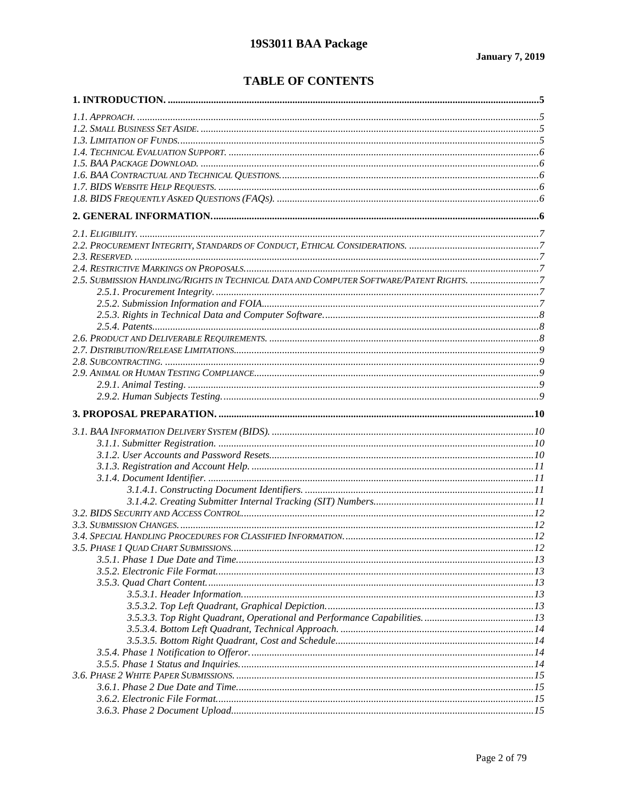# **TABLE OF CONTENTS**

| 2.5. SUBMISSION HANDLING/RIGHTS IN TECHNICAL DATA AND COMPUTER SOFTWARE/PATENT RIGHTS. 7 |  |
|------------------------------------------------------------------------------------------|--|
|                                                                                          |  |
|                                                                                          |  |
|                                                                                          |  |
|                                                                                          |  |
|                                                                                          |  |
|                                                                                          |  |
|                                                                                          |  |
|                                                                                          |  |
|                                                                                          |  |
|                                                                                          |  |
|                                                                                          |  |
|                                                                                          |  |
|                                                                                          |  |
|                                                                                          |  |
|                                                                                          |  |
|                                                                                          |  |
|                                                                                          |  |
|                                                                                          |  |
|                                                                                          |  |
|                                                                                          |  |
|                                                                                          |  |
|                                                                                          |  |
|                                                                                          |  |
|                                                                                          |  |
|                                                                                          |  |
|                                                                                          |  |
|                                                                                          |  |
|                                                                                          |  |
|                                                                                          |  |
|                                                                                          |  |
|                                                                                          |  |
|                                                                                          |  |
|                                                                                          |  |
|                                                                                          |  |
|                                                                                          |  |
|                                                                                          |  |
|                                                                                          |  |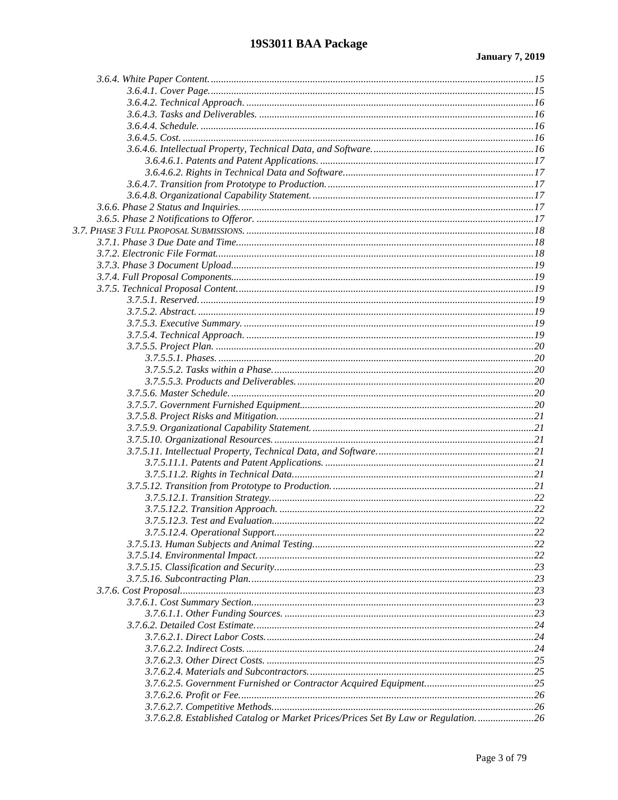| 3.7.6.2.8. Established Catalog or Market Prices/Prices Set By Law or Regulation.  26 |  |
|--------------------------------------------------------------------------------------|--|
|                                                                                      |  |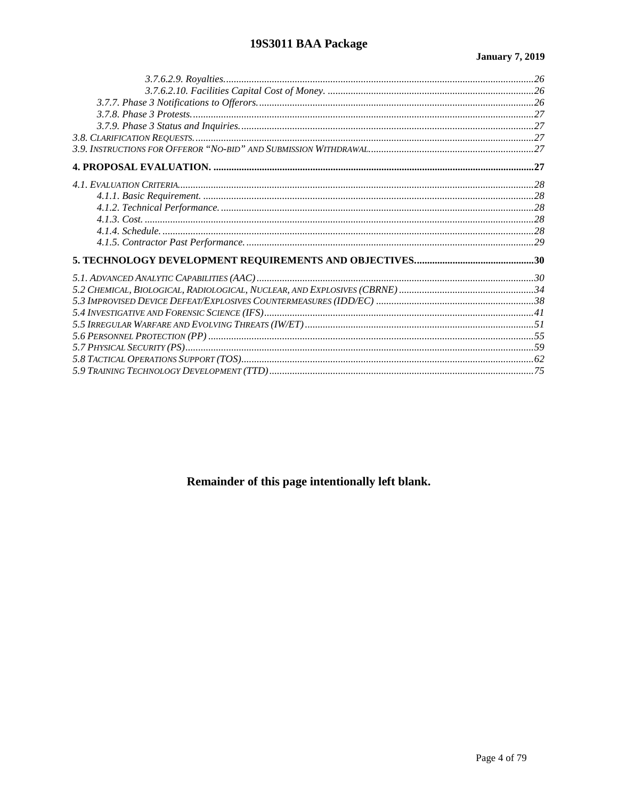Remainder of this page intentionally left blank.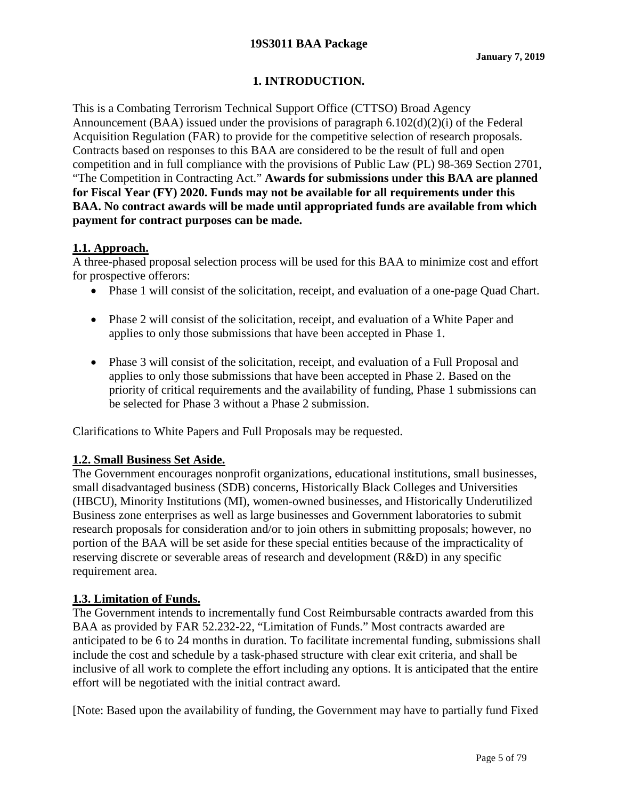# **1. INTRODUCTION.**

This is a Combating Terrorism Technical Support Office (CTTSO) Broad Agency Announcement (BAA) issued under the provisions of paragraph 6.102(d)(2)(i) of the Federal Acquisition Regulation (FAR) to provide for the competitive selection of research proposals. Contracts based on responses to this BAA are considered to be the result of full and open competition and in full compliance with the provisions of Public Law (PL) 98-369 Section 2701, "The Competition in Contracting Act." **Awards for submissions under this BAA are planned for Fiscal Year (FY) 2020. Funds may not be available for all requirements under this BAA. No contract awards will be made until appropriated funds are available from which payment for contract purposes can be made.**

# **1.1. Approach.**

A three-phased proposal selection process will be used for this BAA to minimize cost and effort for prospective offerors:

- Phase 1 will consist of the solicitation, receipt, and evaluation of a one-page Quad Chart.
- Phase 2 will consist of the solicitation, receipt, and evaluation of a White Paper and applies to only those submissions that have been accepted in Phase 1.
- Phase 3 will consist of the solicitation, receipt, and evaluation of a Full Proposal and applies to only those submissions that have been accepted in Phase 2. Based on the priority of critical requirements and the availability of funding, Phase 1 submissions can be selected for Phase 3 without a Phase 2 submission.

Clarifications to White Papers and Full Proposals may be requested.

## **1.2. Small Business Set Aside.**

The Government encourages nonprofit organizations, educational institutions, small businesses, small disadvantaged business (SDB) concerns, Historically Black Colleges and Universities (HBCU), Minority Institutions (MI), women-owned businesses, and Historically Underutilized Business zone enterprises as well as large businesses and Government laboratories to submit research proposals for consideration and/or to join others in submitting proposals; however, no portion of the BAA will be set aside for these special entities because of the impracticality of reserving discrete or severable areas of research and development (R&D) in any specific requirement area.

## **1.3. Limitation of Funds.**

The Government intends to incrementally fund Cost Reimbursable contracts awarded from this BAA as provided by FAR 52.232-22, "Limitation of Funds." Most contracts awarded are anticipated to be 6 to 24 months in duration. To facilitate incremental funding, submissions shall include the cost and schedule by a task-phased structure with clear exit criteria, and shall be inclusive of all work to complete the effort including any options. It is anticipated that the entire effort will be negotiated with the initial contract award.

[Note: Based upon the availability of funding, the Government may have to partially fund Fixed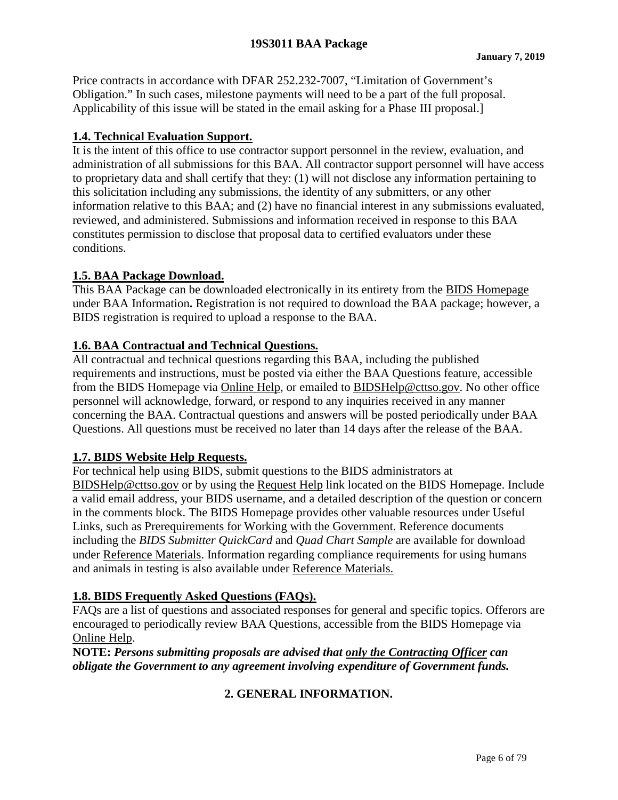Price contracts in accordance with DFAR 252.232-7007, "Limitation of Government's Obligation." In such cases, milestone payments will need to be a part of the full proposal. Applicability of this issue will be stated in the email asking for a Phase III proposal.]

# **1.4. Technical Evaluation Support.**

It is the intent of this office to use contractor support personnel in the review, evaluation, and administration of all submissions for this BAA. All contractor support personnel will have access to proprietary data and shall certify that they: (1) will not disclose any information pertaining to this solicitation including any submissions, the identity of any submitters, or any other information relative to this BAA; and (2) have no financial interest in any submissions evaluated, reviewed, and administered. Submissions and information received in response to this BAA constitutes permission to disclose that proposal data to certified evaluators under these conditions.

# **1.5. BAA Package Download.**

This BAA Package can be downloaded electronically in its entirety from the BIDS Homepage under BAA Information**.** Registration is not required to download the BAA package; however, a BIDS registration is required to upload a response to the BAA.

# **1.6. BAA Contractual and Technical Questions.**

All contractual and technical questions regarding this BAA, including the published requirements and instructions, must be posted via either the BAA Questions feature, accessible from the BIDS Homepage via Online Help, or emailed to BIDSHelp@cttso.gov. No other office personnel will acknowledge, forward, or respond to any inquiries received in any manner concerning the BAA. Contractual questions and answers will be posted periodically under BAA Questions. All questions must be received no later than 14 days after the release of the BAA.

## **1.7. BIDS Website Help Requests.**

For technical help using BIDS, submit questions to the BIDS administrators at BIDSHelp@cttso.gov or by using the Request Help link located on the BIDS Homepage. Include a valid email address, your BIDS username, and a detailed description of the question or concern in the comments block. The BIDS Homepage provides other valuable resources under Useful Links, such as Prerequirements for Working with the Government. Reference documents including the *BIDS Submitter QuickCard* and *Quad Chart Sample* are available for download under Reference Materials. Information regarding compliance requirements for using humans and animals in testing is also available under Reference Materials.

# **1.8. BIDS Frequently Asked Questions (FAQs).**

FAQs are a list of questions and associated responses for general and specific topics. Offerors are encouraged to periodically review BAA Questions, accessible from the BIDS Homepage via Online Help.

**NOTE:** *Persons submitting proposals are advised that only the Contracting Officer can obligate the Government to any agreement involving expenditure of Government funds.*

# **2. GENERAL INFORMATION.**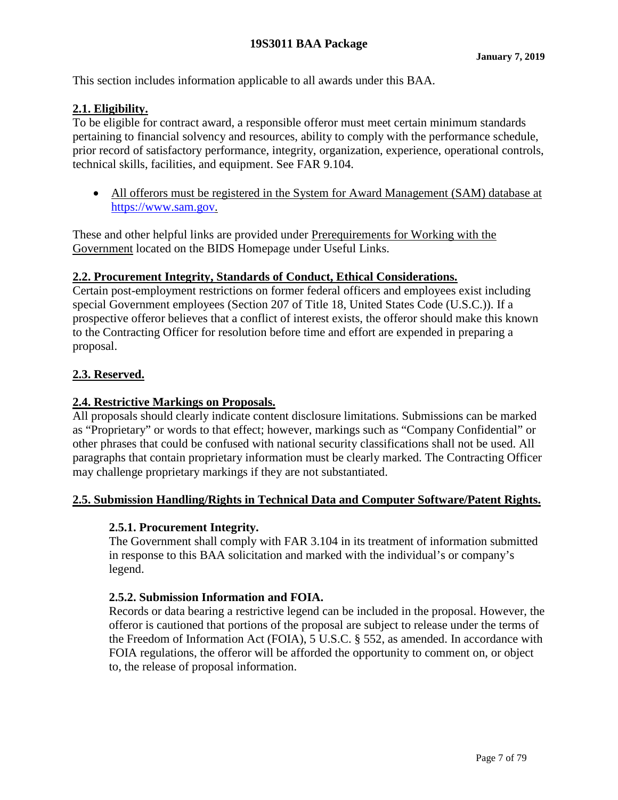This section includes information applicable to all awards under this BAA.

#### **2.1. Eligibility.**

To be eligible for contract award, a responsible offeror must meet certain minimum standards pertaining to financial solvency and resources, ability to comply with the performance schedule, prior record of satisfactory performance, integrity, organization, experience, operational controls, technical skills, facilities, and equipment. See FAR 9.104.

• All offerors must be registered in the System for Award Management (SAM) database at https://www.sam.gov.

These and other helpful links are provided under Prerequirements for Working with the Government located on the BIDS Homepage under Useful Links.

#### **2.2. Procurement Integrity, Standards of Conduct, Ethical Considerations.**

Certain post-employment restrictions on former federal officers and employees exist including special Government employees (Section 207 of Title 18, United States Code (U.S.C.)). If a prospective offeror believes that a conflict of interest exists, the offeror should make this known to the Contracting Officer for resolution before time and effort are expended in preparing a proposal.

## **2.3. Reserved.**

## **2.4. Restrictive Markings on Proposals.**

All proposals should clearly indicate content disclosure limitations. Submissions can be marked as "Proprietary" or words to that effect; however, markings such as "Company Confidential" or other phrases that could be confused with national security classifications shall not be used. All paragraphs that contain proprietary information must be clearly marked. The Contracting Officer may challenge proprietary markings if they are not substantiated.

## **2.5. Submission Handling/Rights in Technical Data and Computer Software/Patent Rights.**

## **2.5.1. Procurement Integrity.**

The Government shall comply with FAR 3.104 in its treatment of information submitted in response to this BAA solicitation and marked with the individual's or company's legend.

## **2.5.2. Submission Information and FOIA.**

Records or data bearing a restrictive legend can be included in the proposal. However, the offeror is cautioned that portions of the proposal are subject to release under the terms of the Freedom of Information Act (FOIA), 5 U.S.C. § 552, as amended. In accordance with FOIA regulations, the offeror will be afforded the opportunity to comment on, or object to, the release of proposal information.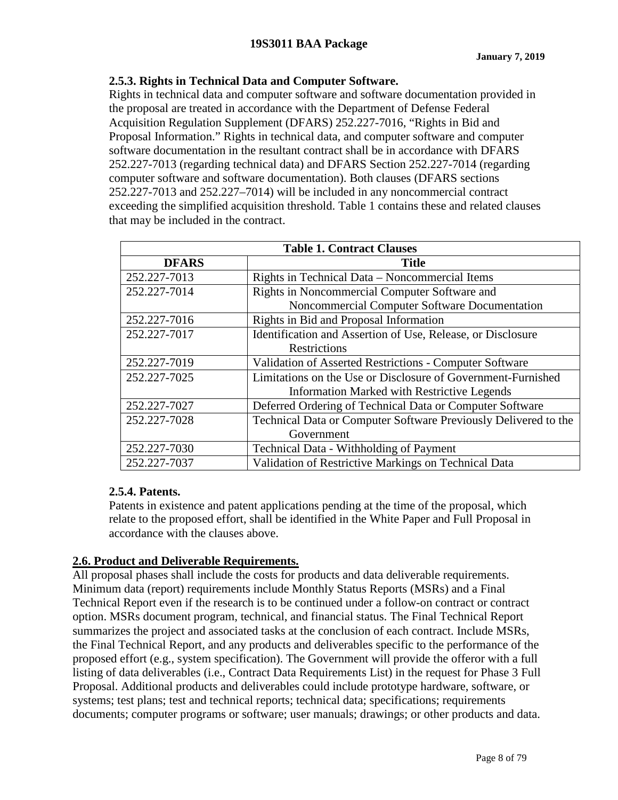# **2.5.3. Rights in Technical Data and Computer Software.**

Rights in technical data and computer software and software documentation provided in the proposal are treated in accordance with the Department of Defense Federal Acquisition Regulation Supplement (DFARS) 252.227-7016, "Rights in Bid and Proposal Information." Rights in technical data, and computer software and computer software documentation in the resultant contract shall be in accordance with DFARS 252.227-7013 (regarding technical data) and DFARS Section 252.227-7014 (regarding computer software and software documentation). Both clauses (DFARS sections 252.227-7013 and 252.227–7014) will be included in any noncommercial contract exceeding the simplified acquisition threshold. Table 1 contains these and related clauses that may be included in the contract.

| <b>Table 1. Contract Clauses</b> |                                                                 |  |
|----------------------------------|-----------------------------------------------------------------|--|
| <b>DFARS</b>                     | <b>Title</b>                                                    |  |
| 252.227-7013                     | Rights in Technical Data – Noncommercial Items                  |  |
| 252.227-7014                     | Rights in Noncommercial Computer Software and                   |  |
|                                  | Noncommercial Computer Software Documentation                   |  |
| 252.227-7016                     | Rights in Bid and Proposal Information                          |  |
| 252.227-7017                     | Identification and Assertion of Use, Release, or Disclosure     |  |
|                                  | <b>Restrictions</b>                                             |  |
| 252.227-7019                     | Validation of Asserted Restrictions - Computer Software         |  |
| 252.227-7025                     | Limitations on the Use or Disclosure of Government-Furnished    |  |
|                                  | <b>Information Marked with Restrictive Legends</b>              |  |
| 252.227-7027                     | Deferred Ordering of Technical Data or Computer Software        |  |
| 252.227-7028                     | Technical Data or Computer Software Previously Delivered to the |  |
|                                  | Government                                                      |  |
| 252.227-7030                     | <b>Technical Data - Withholding of Payment</b>                  |  |
| 252.227-7037                     | Validation of Restrictive Markings on Technical Data            |  |

# **2.5.4. Patents.**

Patents in existence and patent applications pending at the time of the proposal, which relate to the proposed effort, shall be identified in the White Paper and Full Proposal in accordance with the clauses above.

# **2.6. Product and Deliverable Requirements.**

All proposal phases shall include the costs for products and data deliverable requirements. Minimum data (report) requirements include Monthly Status Reports (MSRs) and a Final Technical Report even if the research is to be continued under a follow-on contract or contract option. MSRs document program, technical, and financial status. The Final Technical Report summarizes the project and associated tasks at the conclusion of each contract. Include MSRs, the Final Technical Report, and any products and deliverables specific to the performance of the proposed effort (e.g., system specification). The Government will provide the offeror with a full listing of data deliverables (i.e., Contract Data Requirements List) in the request for Phase 3 Full Proposal. Additional products and deliverables could include prototype hardware, software, or systems; test plans; test and technical reports; technical data; specifications; requirements documents; computer programs or software; user manuals; drawings; or other products and data.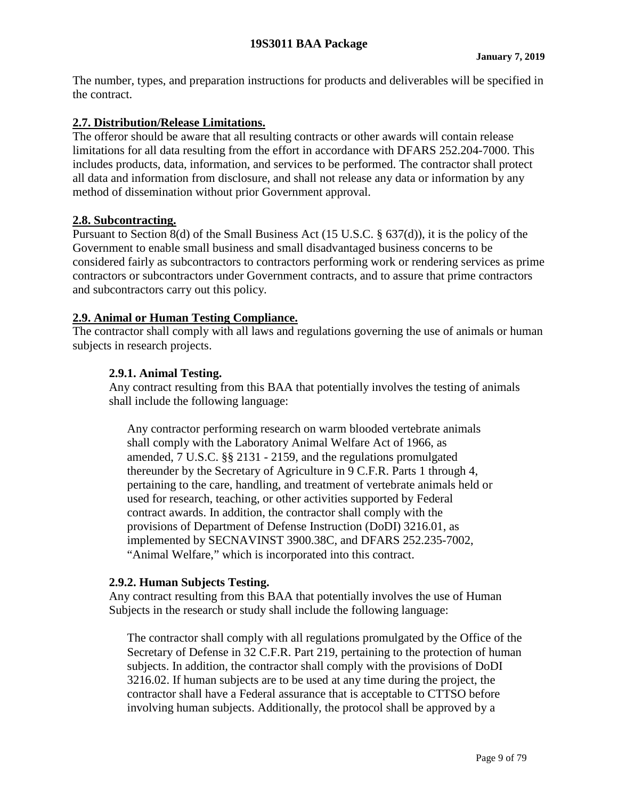The number, types, and preparation instructions for products and deliverables will be specified in the contract.

# **2.7. Distribution/Release Limitations.**

The offeror should be aware that all resulting contracts or other awards will contain release limitations for all data resulting from the effort in accordance with DFARS 252.204-7000. This includes products, data, information, and services to be performed. The contractor shall protect all data and information from disclosure, and shall not release any data or information by any method of dissemination without prior Government approval.

## **2.8. Subcontracting.**

Pursuant to Section 8(d) of the Small Business Act (15 U.S.C. § 637(d)), it is the policy of the Government to enable small business and small disadvantaged business concerns to be considered fairly as subcontractors to contractors performing work or rendering services as prime contractors or subcontractors under Government contracts, and to assure that prime contractors and subcontractors carry out this policy.

## **2.9. Animal or Human Testing Compliance.**

The contractor shall comply with all laws and regulations governing the use of animals or human subjects in research projects.

# **2.9.1. Animal Testing.**

Any contract resulting from this BAA that potentially involves the testing of animals shall include the following language:

Any contractor performing research on warm blooded vertebrate animals shall comply with the Laboratory Animal Welfare Act of 1966, as amended, 7 U.S.C. §§ 2131 - 2159, and the regulations promulgated thereunder by the Secretary of Agriculture in 9 C.F.R. Parts 1 through 4, pertaining to the care, handling, and treatment of vertebrate animals held or used for research, teaching, or other activities supported by Federal contract awards. In addition, the contractor shall comply with the provisions of Department of Defense Instruction (DoDI) 3216.01, as implemented by SECNAVINST 3900.38C, and DFARS 252.235-7002, "Animal Welfare," which is incorporated into this contract.

## **2.9.2. Human Subjects Testing.**

Any contract resulting from this BAA that potentially involves the use of Human Subjects in the research or study shall include the following language:

The contractor shall comply with all regulations promulgated by the Office of the Secretary of Defense in 32 C.F.R. Part 219, pertaining to the protection of human subjects. In addition, the contractor shall comply with the provisions of DoDI 3216.02. If human subjects are to be used at any time during the project, the contractor shall have a Federal assurance that is acceptable to CTTSO before involving human subjects. Additionally, the protocol shall be approved by a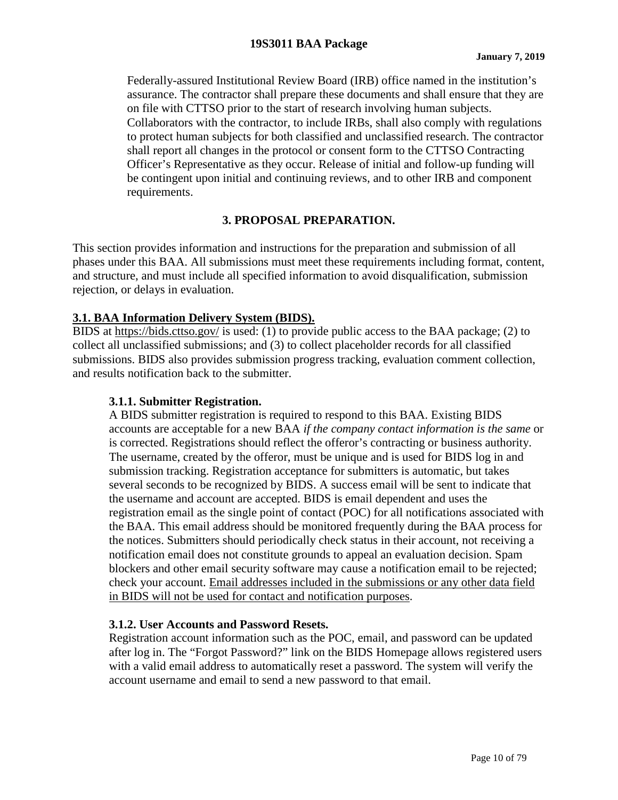Federally-assured Institutional Review Board (IRB) office named in the institution's assurance. The contractor shall prepare these documents and shall ensure that they are on file with CTTSO prior to the start of research involving human subjects. Collaborators with the contractor, to include IRBs, shall also comply with regulations to protect human subjects for both classified and unclassified research. The contractor shall report all changes in the protocol or consent form to the CTTSO Contracting Officer's Representative as they occur. Release of initial and follow-up funding will be contingent upon initial and continuing reviews, and to other IRB and component requirements.

## **3. PROPOSAL PREPARATION.**

This section provides information and instructions for the preparation and submission of all phases under this BAA. All submissions must meet these requirements including format, content, and structure, and must include all specified information to avoid disqualification, submission rejection, or delays in evaluation.

#### **3.1. BAA Information Delivery System (BIDS).**

BIDS at https://bids.cttso.gov/ is used: (1) to provide public access to the BAA package; (2) to collect all unclassified submissions; and (3) to collect placeholder records for all classified submissions. BIDS also provides submission progress tracking, evaluation comment collection, and results notification back to the submitter.

#### **3.1.1. Submitter Registration.**

A BIDS submitter registration is required to respond to this BAA. Existing BIDS accounts are acceptable for a new BAA *if the company contact information is the same* or is corrected. Registrations should reflect the offeror's contracting or business authority. The username, created by the offeror, must be unique and is used for BIDS log in and submission tracking. Registration acceptance for submitters is automatic, but takes several seconds to be recognized by BIDS. A success email will be sent to indicate that the username and account are accepted. BIDS is email dependent and uses the registration email as the single point of contact (POC) for all notifications associated with the BAA. This email address should be monitored frequently during the BAA process for the notices. Submitters should periodically check status in their account, not receiving a notification email does not constitute grounds to appeal an evaluation decision. Spam blockers and other email security software may cause a notification email to be rejected; check your account. Email addresses included in the submissions or any other data field in BIDS will not be used for contact and notification purposes.

#### **3.1.2. User Accounts and Password Resets.**

Registration account information such as the POC, email, and password can be updated after log in. The "Forgot Password?" link on the BIDS Homepage allows registered users with a valid email address to automatically reset a password. The system will verify the account username and email to send a new password to that email.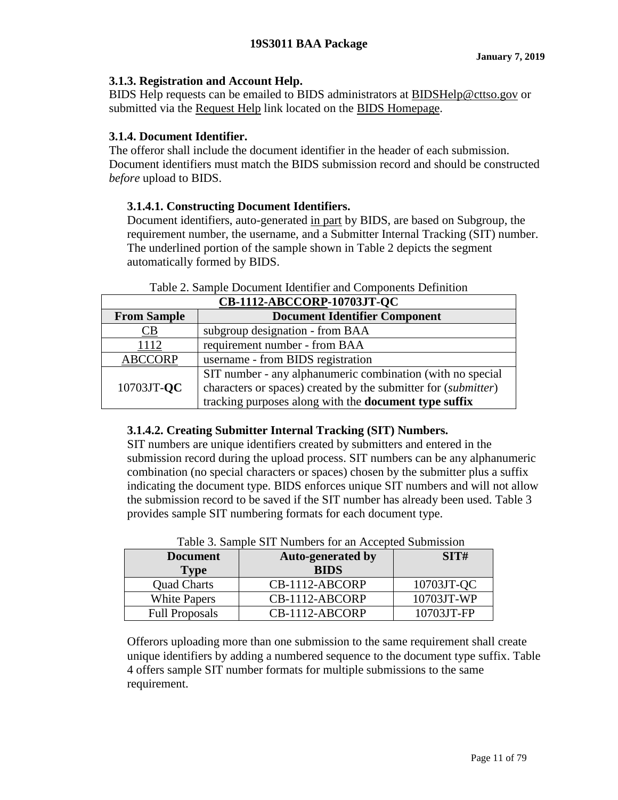## **3.1.3. Registration and Account Help.**

BIDS Help requests can be emailed to BIDS administrators at BIDSHelp@cttso.gov or submitted via the Request Help link located on the BIDS Homepage.

# **3.1.4. Document Identifier.**

The offeror shall include the document identifier in the header of each submission. Document identifiers must match the BIDS submission record and should be constructed *before* upload to BIDS.

# **3.1.4.1. Constructing Document Identifiers.**

Document identifiers, auto-generated in part by BIDS, are based on Subgroup, the requirement number, the username, and a Submitter Internal Tracking (SIT) number. The underlined portion of the sample shown in Table 2 depicts the segment automatically formed by BIDS.

| CB-1112-ABCCORP-10703JT-QC |                                                                |  |
|----------------------------|----------------------------------------------------------------|--|
| <b>From Sample</b>         | <b>Document Identifier Component</b>                           |  |
| $\mathbb{C}\mathrm{B}$     | subgroup designation - from BAA                                |  |
| 1112                       | requirement number - from BAA                                  |  |
| <b>ABCCORP</b>             | username - from BIDS registration                              |  |
|                            | SIT number - any alphanumeric combination (with no special     |  |
| 10703JT-QC                 | characters or spaces) created by the submitter for (submitter) |  |
|                            | tracking purposes along with the document type suffix          |  |

#### Table 2. Sample Document Identifier and Components Definition

## **3.1.4.2. Creating Submitter Internal Tracking (SIT) Numbers.**

SIT numbers are unique identifiers created by submitters and entered in the submission record during the upload process. SIT numbers can be any alphanumeric combination (no special characters or spaces) chosen by the submitter plus a suffix indicating the document type. BIDS enforces unique SIT numbers and will not allow the submission record to be saved if the SIT number has already been used. Table 3 provides sample SIT numbering formats for each document type.

| <b>Document</b><br><b>Type</b> | <b>Auto-generated by</b><br><b>BIDS</b> | SITH       |
|--------------------------------|-----------------------------------------|------------|
| <b>Quad Charts</b>             | CB-1112-ABCORP                          | 10703JT-QC |
| <b>White Papers</b>            | CB-1112-ABCORP                          | 10703JT-WP |
| <b>Full Proposals</b>          | CB-1112-ABCORP                          | 10703JT-FP |

Table 3. Sample SIT Numbers for an Accepted Submission

Offerors uploading more than one submission to the same requirement shall create unique identifiers by adding a numbered sequence to the document type suffix. Table 4 offers sample SIT number formats for multiple submissions to the same requirement.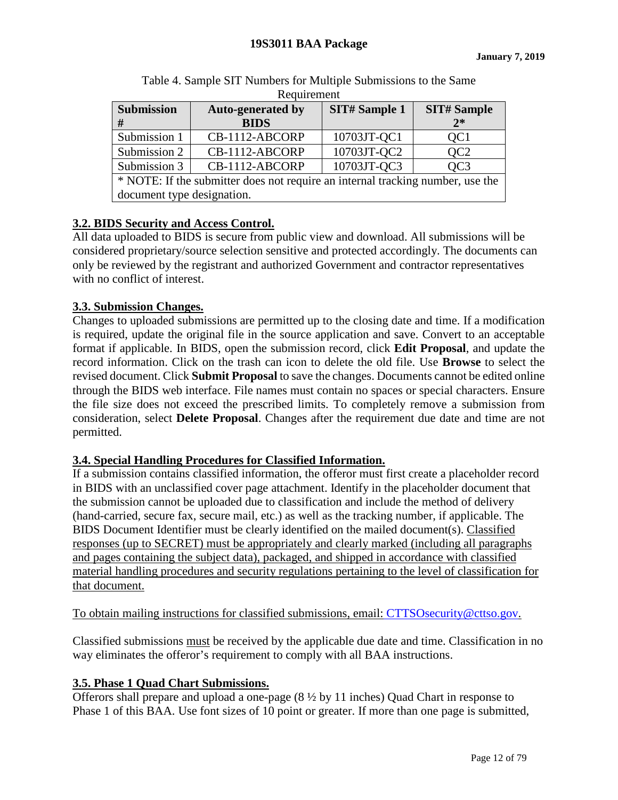| <b>Submission</b>                                                              | <b>Auto-generated by</b> | <b>SIT# Sample 1</b> | <b>SIT# Sample</b> |
|--------------------------------------------------------------------------------|--------------------------|----------------------|--------------------|
| #                                                                              | <b>BIDS</b>              |                      | $2*$               |
| Submission 1                                                                   | CB-1112-ABCORP           | 10703JT-QC1          | QC <sub>1</sub>    |
| Submission 2                                                                   | CB-1112-ABCORP           | 10703JT-QC2          | QC <sub>2</sub>    |
| Submission 3                                                                   | CB-1112-ABCORP           | 10703JT-QC3          | QC <sub>3</sub>    |
| * NOTE: If the submitter does not require an internal tracking number, use the |                          |                      |                    |
| document type designation.                                                     |                          |                      |                    |

| Table 4. Sample SIT Numbers for Multiple Submissions to the Same |
|------------------------------------------------------------------|
| Requirement                                                      |

# **3.2. BIDS Security and Access Control.**

All data uploaded to BIDS is secure from public view and download. All submissions will be considered proprietary/source selection sensitive and protected accordingly. The documents can only be reviewed by the registrant and authorized Government and contractor representatives with no conflict of interest.

# **3.3. Submission Changes.**

Changes to uploaded submissions are permitted up to the closing date and time. If a modification is required, update the original file in the source application and save. Convert to an acceptable format if applicable. In BIDS, open the submission record, click **Edit Proposal**, and update the record information. Click on the trash can icon to delete the old file. Use **Browse** to select the revised document. Click **Submit Proposal** to save the changes. Documents cannot be edited online through the BIDS web interface. File names must contain no spaces or special characters. Ensure the file size does not exceed the prescribed limits. To completely remove a submission from consideration, select **Delete Proposal**. Changes after the requirement due date and time are not permitted.

## **3.4. Special Handling Procedures for Classified Information.**

If a submission contains classified information, the offeror must first create a placeholder record in BIDS with an unclassified cover page attachment. Identify in the placeholder document that the submission cannot be uploaded due to classification and include the method of delivery (hand-carried, secure fax, secure mail, etc.) as well as the tracking number, if applicable. The BIDS Document Identifier must be clearly identified on the mailed document(s). Classified responses (up to SECRET) must be appropriately and clearly marked (including all paragraphs and pages containing the subject data), packaged, and shipped in accordance with classified material handling procedures and security regulations pertaining to the level of classification for that document.

To obtain mailing instructions for classified submissions, email: CTTSOsecurity@cttso.gov.

Classified submissions must be received by the applicable due date and time. Classification in no way eliminates the offeror's requirement to comply with all BAA instructions.

## **3.5. Phase 1 Quad Chart Submissions.**

Offerors shall prepare and upload a one-page (8 ½ by 11 inches) Quad Chart in response to Phase 1 of this BAA. Use font sizes of 10 point or greater. If more than one page is submitted,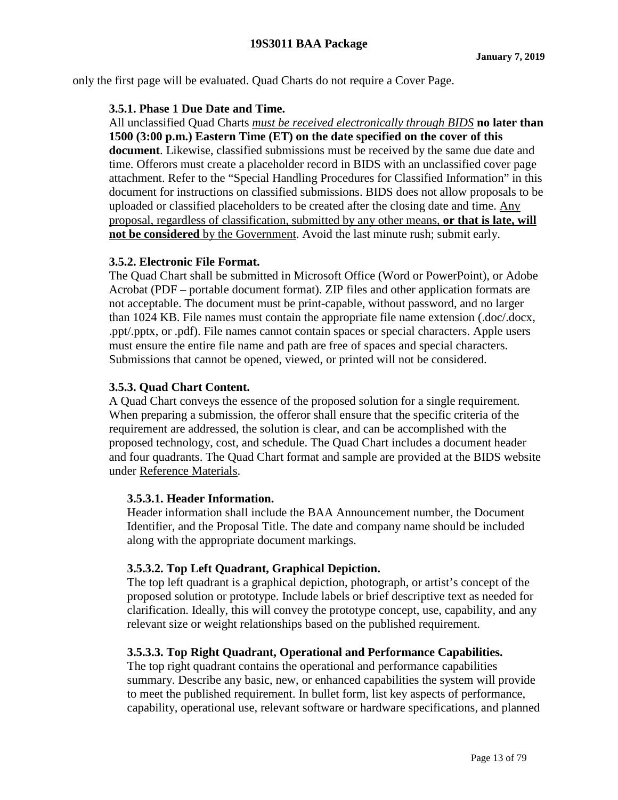only the first page will be evaluated. Quad Charts do not require a Cover Page.

## **3.5.1. Phase 1 Due Date and Time.**

All unclassified Quad Charts *must be received electronically through BIDS* **no later than 1500 (3:00 p.m.) Eastern Time (ET) on the date specified on the cover of this document**. Likewise, classified submissions must be received by the same due date and time. Offerors must create a placeholder record in BIDS with an unclassified cover page attachment. Refer to the "Special Handling Procedures for Classified Information" in this document for instructions on classified submissions. BIDS does not allow proposals to be uploaded or classified placeholders to be created after the closing date and time. Any proposal, regardless of classification, submitted by any other means, **or that is late, will not be considered** by the Government. Avoid the last minute rush; submit early.

# **3.5.2. Electronic File Format.**

The Quad Chart shall be submitted in Microsoft Office (Word or PowerPoint), or Adobe Acrobat (PDF – portable document format). ZIP files and other application formats are not acceptable. The document must be print-capable, without password, and no larger than 1024 KB. File names must contain the appropriate file name extension (.doc/.docx, .ppt/.pptx, or .pdf). File names cannot contain spaces or special characters. Apple users must ensure the entire file name and path are free of spaces and special characters. Submissions that cannot be opened, viewed, or printed will not be considered.

# **3.5.3. Quad Chart Content.**

A Quad Chart conveys the essence of the proposed solution for a single requirement. When preparing a submission, the offeror shall ensure that the specific criteria of the requirement are addressed, the solution is clear, and can be accomplished with the proposed technology, cost, and schedule. The Quad Chart includes a document header and four quadrants. The Quad Chart format and sample are provided at the BIDS website under Reference Materials.

## **3.5.3.1. Header Information.**

Header information shall include the BAA Announcement number, the Document Identifier, and the Proposal Title. The date and company name should be included along with the appropriate document markings.

# **3.5.3.2. Top Left Quadrant, Graphical Depiction.**

The top left quadrant is a graphical depiction, photograph, or artist's concept of the proposed solution or prototype. Include labels or brief descriptive text as needed for clarification. Ideally, this will convey the prototype concept, use, capability, and any relevant size or weight relationships based on the published requirement.

# **3.5.3.3. Top Right Quadrant, Operational and Performance Capabilities.**

The top right quadrant contains the operational and performance capabilities summary. Describe any basic, new, or enhanced capabilities the system will provide to meet the published requirement. In bullet form, list key aspects of performance, capability, operational use, relevant software or hardware specifications, and planned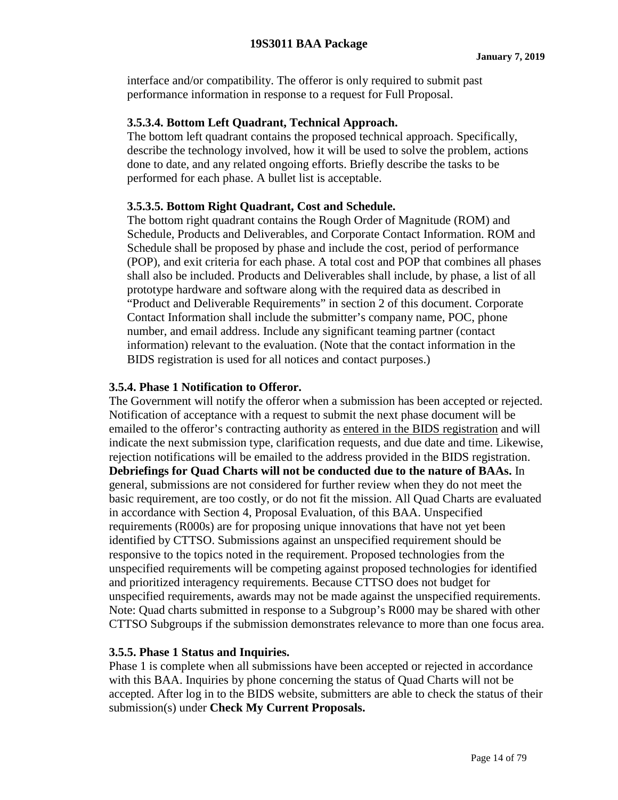interface and/or compatibility. The offeror is only required to submit past performance information in response to a request for Full Proposal.

# **3.5.3.4. Bottom Left Quadrant, Technical Approach.**

The bottom left quadrant contains the proposed technical approach. Specifically, describe the technology involved, how it will be used to solve the problem, actions done to date, and any related ongoing efforts. Briefly describe the tasks to be performed for each phase. A bullet list is acceptable.

# **3.5.3.5. Bottom Right Quadrant, Cost and Schedule.**

The bottom right quadrant contains the Rough Order of Magnitude (ROM) and Schedule, Products and Deliverables, and Corporate Contact Information. ROM and Schedule shall be proposed by phase and include the cost, period of performance (POP), and exit criteria for each phase. A total cost and POP that combines all phases shall also be included. Products and Deliverables shall include, by phase, a list of all prototype hardware and software along with the required data as described in "Product and Deliverable Requirements" in section 2 of this document. Corporate Contact Information shall include the submitter's company name, POC, phone number, and email address. Include any significant teaming partner (contact information) relevant to the evaluation. (Note that the contact information in the BIDS registration is used for all notices and contact purposes.)

#### **3.5.4. Phase 1 Notification to Offeror.**

The Government will notify the offeror when a submission has been accepted or rejected. Notification of acceptance with a request to submit the next phase document will be emailed to the offeror's contracting authority as entered in the BIDS registration and will indicate the next submission type, clarification requests, and due date and time. Likewise, rejection notifications will be emailed to the address provided in the BIDS registration. **Debriefings for Quad Charts will not be conducted due to the nature of BAAs.** In general, submissions are not considered for further review when they do not meet the basic requirement, are too costly, or do not fit the mission. All Quad Charts are evaluated in accordance with Section 4, Proposal Evaluation, of this BAA. Unspecified requirements (R000s) are for proposing unique innovations that have not yet been identified by CTTSO. Submissions against an unspecified requirement should be responsive to the topics noted in the requirement. Proposed technologies from the unspecified requirements will be competing against proposed technologies for identified and prioritized interagency requirements. Because CTTSO does not budget for unspecified requirements, awards may not be made against the unspecified requirements. Note: Quad charts submitted in response to a Subgroup's R000 may be shared with other CTTSO Subgroups if the submission demonstrates relevance to more than one focus area.

## **3.5.5. Phase 1 Status and Inquiries.**

Phase 1 is complete when all submissions have been accepted or rejected in accordance with this BAA. Inquiries by phone concerning the status of Quad Charts will not be accepted. After log in to the BIDS website, submitters are able to check the status of their submission(s) under **Check My Current Proposals.**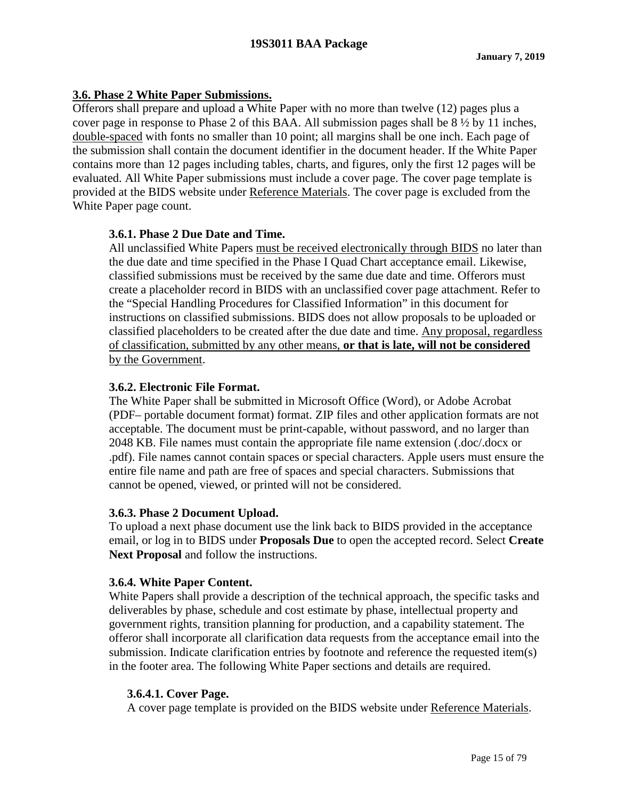# **3.6. Phase 2 White Paper Submissions.**

Offerors shall prepare and upload a White Paper with no more than twelve (12) pages plus a cover page in response to Phase 2 of this BAA. All submission pages shall be 8 ½ by 11 inches, double-spaced with fonts no smaller than 10 point; all margins shall be one inch. Each page of the submission shall contain the document identifier in the document header. If the White Paper contains more than 12 pages including tables, charts, and figures, only the first 12 pages will be evaluated. All White Paper submissions must include a cover page. The cover page template is provided at the BIDS website under Reference Materials. The cover page is excluded from the White Paper page count.

## **3.6.1. Phase 2 Due Date and Time.**

All unclassified White Papers must be received electronically through BIDS no later than the due date and time specified in the Phase I Quad Chart acceptance email. Likewise, classified submissions must be received by the same due date and time. Offerors must create a placeholder record in BIDS with an unclassified cover page attachment. Refer to the "Special Handling Procedures for Classified Information" in this document for instructions on classified submissions. BIDS does not allow proposals to be uploaded or classified placeholders to be created after the due date and time. Any proposal, regardless of classification, submitted by any other means, **or that is late, will not be considered** by the Government.

## **3.6.2. Electronic File Format.**

The White Paper shall be submitted in Microsoft Office (Word), or Adobe Acrobat (PDF– portable document format) format. ZIP files and other application formats are not acceptable. The document must be print-capable, without password, and no larger than 2048 KB. File names must contain the appropriate file name extension (.doc/.docx or .pdf). File names cannot contain spaces or special characters. Apple users must ensure the entire file name and path are free of spaces and special characters. Submissions that cannot be opened, viewed, or printed will not be considered.

## **3.6.3. Phase 2 Document Upload.**

To upload a next phase document use the link back to BIDS provided in the acceptance email, or log in to BIDS under **Proposals Due** to open the accepted record. Select **Create Next Proposal** and follow the instructions.

## **3.6.4. White Paper Content.**

White Papers shall provide a description of the technical approach, the specific tasks and deliverables by phase, schedule and cost estimate by phase, intellectual property and government rights, transition planning for production, and a capability statement. The offeror shall incorporate all clarification data requests from the acceptance email into the submission. Indicate clarification entries by footnote and reference the requested item(s) in the footer area. The following White Paper sections and details are required.

## **3.6.4.1. Cover Page.**

A cover page template is provided on the BIDS website under Reference Materials.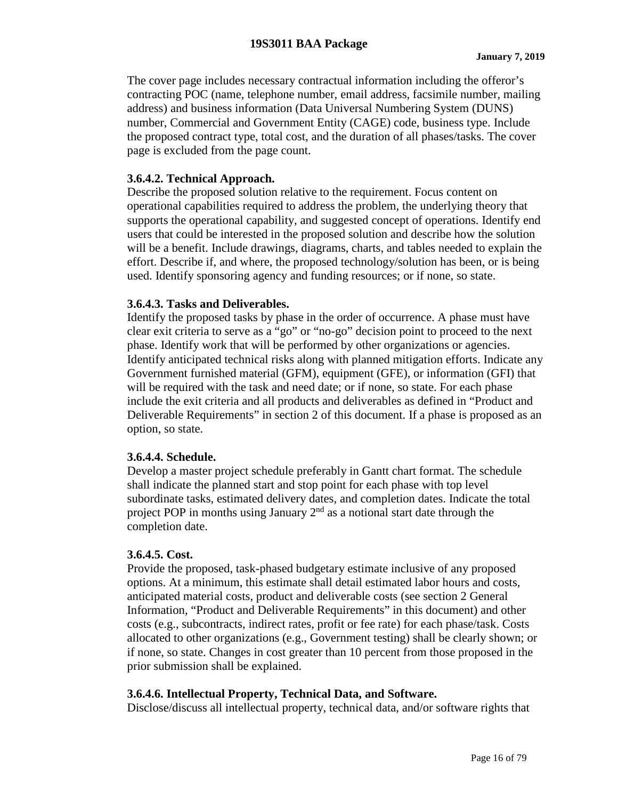The cover page includes necessary contractual information including the offeror's contracting POC (name, telephone number, email address, facsimile number, mailing address) and business information (Data Universal Numbering System (DUNS) number, Commercial and Government Entity (CAGE) code, business type. Include the proposed contract type, total cost, and the duration of all phases/tasks. The cover page is excluded from the page count.

#### **3.6.4.2. Technical Approach.**

Describe the proposed solution relative to the requirement. Focus content on operational capabilities required to address the problem, the underlying theory that supports the operational capability, and suggested concept of operations. Identify end users that could be interested in the proposed solution and describe how the solution will be a benefit. Include drawings, diagrams, charts, and tables needed to explain the effort. Describe if, and where, the proposed technology/solution has been, or is being used. Identify sponsoring agency and funding resources; or if none, so state.

#### **3.6.4.3. Tasks and Deliverables.**

Identify the proposed tasks by phase in the order of occurrence. A phase must have clear exit criteria to serve as a "go" or "no-go" decision point to proceed to the next phase. Identify work that will be performed by other organizations or agencies. Identify anticipated technical risks along with planned mitigation efforts. Indicate any Government furnished material (GFM), equipment (GFE), or information (GFI) that will be required with the task and need date; or if none, so state. For each phase include the exit criteria and all products and deliverables as defined in "Product and Deliverable Requirements" in section 2 of this document. If a phase is proposed as an option, so state.

#### **3.6.4.4. Schedule.**

Develop a master project schedule preferably in Gantt chart format. The schedule shall indicate the planned start and stop point for each phase with top level subordinate tasks, estimated delivery dates, and completion dates. Indicate the total project POP in months using January 2<sup>nd</sup> as a notional start date through the completion date.

#### **3.6.4.5. Cost.**

Provide the proposed, task-phased budgetary estimate inclusive of any proposed options. At a minimum, this estimate shall detail estimated labor hours and costs, anticipated material costs, product and deliverable costs (see section 2 General Information, "Product and Deliverable Requirements" in this document) and other costs (e.g., subcontracts, indirect rates, profit or fee rate) for each phase/task. Costs allocated to other organizations (e.g., Government testing) shall be clearly shown; or if none, so state. Changes in cost greater than 10 percent from those proposed in the prior submission shall be explained.

## **3.6.4.6. Intellectual Property, Technical Data, and Software.**

Disclose/discuss all intellectual property, technical data, and/or software rights that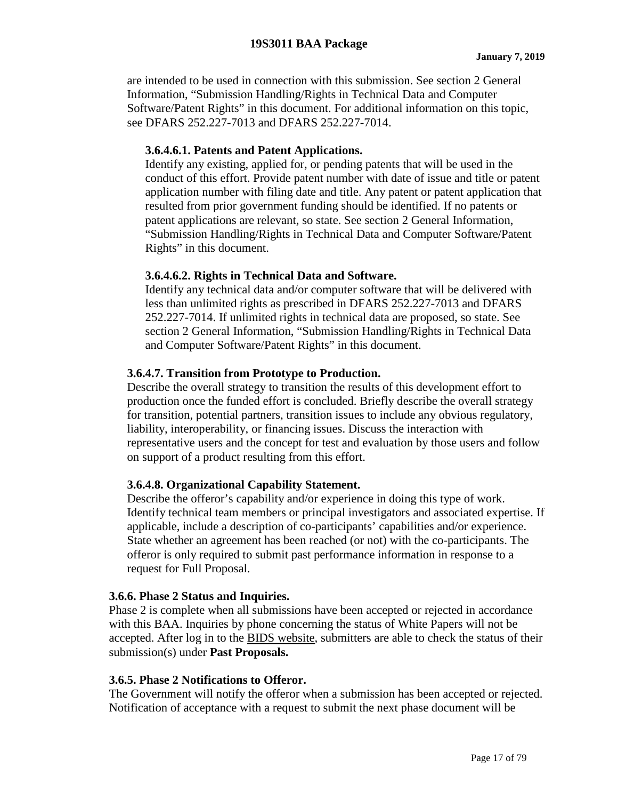are intended to be used in connection with this submission. See section 2 General Information, "Submission Handling/Rights in Technical Data and Computer Software/Patent Rights" in this document. For additional information on this topic, see DFARS 252.227-7013 and DFARS 252.227-7014.

# **3.6.4.6.1. Patents and Patent Applications.**

Identify any existing, applied for, or pending patents that will be used in the conduct of this effort. Provide patent number with date of issue and title or patent application number with filing date and title. Any patent or patent application that resulted from prior government funding should be identified. If no patents or patent applications are relevant, so state. See section 2 General Information, "Submission Handling/Rights in Technical Data and Computer Software/Patent Rights" in this document.

# **3.6.4.6.2. Rights in Technical Data and Software.**

Identify any technical data and/or computer software that will be delivered with less than unlimited rights as prescribed in DFARS 252.227-7013 and DFARS 252.227-7014. If unlimited rights in technical data are proposed, so state. See section 2 General Information, "Submission Handling/Rights in Technical Data and Computer Software/Patent Rights" in this document.

# **3.6.4.7. Transition from Prototype to Production.**

Describe the overall strategy to transition the results of this development effort to production once the funded effort is concluded. Briefly describe the overall strategy for transition, potential partners, transition issues to include any obvious regulatory, liability, interoperability, or financing issues. Discuss the interaction with representative users and the concept for test and evaluation by those users and follow on support of a product resulting from this effort.

## **3.6.4.8. Organizational Capability Statement.**

Describe the offeror's capability and/or experience in doing this type of work. Identify technical team members or principal investigators and associated expertise. If applicable, include a description of co-participants' capabilities and/or experience. State whether an agreement has been reached (or not) with the co-participants. The offeror is only required to submit past performance information in response to a request for Full Proposal.

## **3.6.6. Phase 2 Status and Inquiries.**

Phase 2 is complete when all submissions have been accepted or rejected in accordance with this BAA. Inquiries by phone concerning the status of White Papers will not be accepted. After log in to the **BIDS** website, submitters are able to check the status of their submission(s) under **Past Proposals.**

## **3.6.5. Phase 2 Notifications to Offeror.**

The Government will notify the offeror when a submission has been accepted or rejected. Notification of acceptance with a request to submit the next phase document will be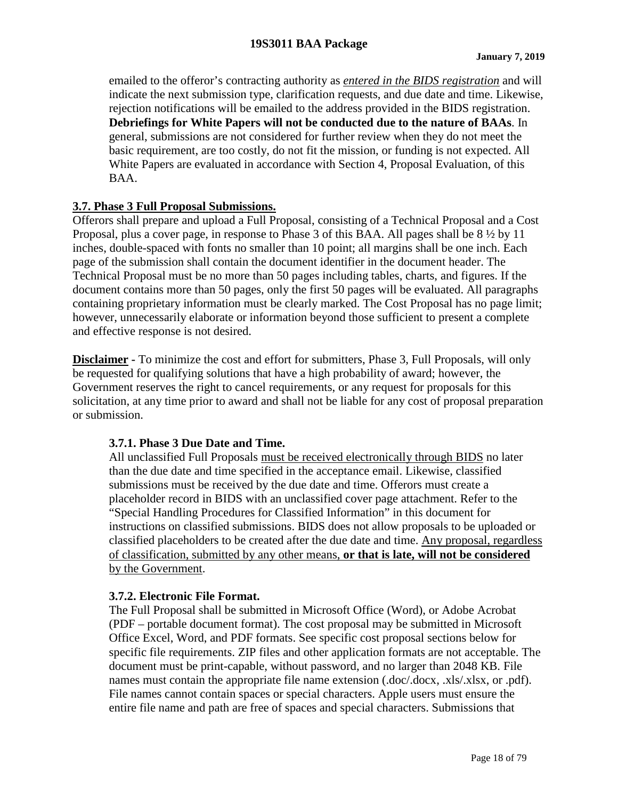emailed to the offeror's contracting authority as *entered in the BIDS registration* and will indicate the next submission type, clarification requests, and due date and time. Likewise, rejection notifications will be emailed to the address provided in the BIDS registration. **Debriefings for White Papers will not be conducted due to the nature of BAAs**. In general, submissions are not considered for further review when they do not meet the basic requirement, are too costly, do not fit the mission, or funding is not expected. All White Papers are evaluated in accordance with Section 4, Proposal Evaluation, of this BAA.

#### **3.7. Phase 3 Full Proposal Submissions.**

Offerors shall prepare and upload a Full Proposal, consisting of a Technical Proposal and a Cost Proposal, plus a cover page, in response to Phase 3 of this BAA. All pages shall be 8 ½ by 11 inches, double-spaced with fonts no smaller than 10 point; all margins shall be one inch. Each page of the submission shall contain the document identifier in the document header. The Technical Proposal must be no more than 50 pages including tables, charts, and figures. If the document contains more than 50 pages, only the first 50 pages will be evaluated. All paragraphs containing proprietary information must be clearly marked. The Cost Proposal has no page limit; however, unnecessarily elaborate or information beyond those sufficient to present a complete and effective response is not desired.

**Disclaimer -** To minimize the cost and effort for submitters, Phase 3, Full Proposals, will only be requested for qualifying solutions that have a high probability of award; however, the Government reserves the right to cancel requirements, or any request for proposals for this solicitation, at any time prior to award and shall not be liable for any cost of proposal preparation or submission.

#### **3.7.1. Phase 3 Due Date and Time.**

All unclassified Full Proposals must be received electronically through BIDS no later than the due date and time specified in the acceptance email. Likewise, classified submissions must be received by the due date and time. Offerors must create a placeholder record in BIDS with an unclassified cover page attachment. Refer to the "Special Handling Procedures for Classified Information" in this document for instructions on classified submissions. BIDS does not allow proposals to be uploaded or classified placeholders to be created after the due date and time. Any proposal, regardless of classification, submitted by any other means, **or that is late, will not be considered** by the Government.

## **3.7.2. Electronic File Format.**

The Full Proposal shall be submitted in Microsoft Office (Word), or Adobe Acrobat (PDF – portable document format). The cost proposal may be submitted in Microsoft Office Excel, Word, and PDF formats. See specific cost proposal sections below for specific file requirements. ZIP files and other application formats are not acceptable. The document must be print-capable, without password, and no larger than 2048 KB. File names must contain the appropriate file name extension (.doc/.docx, .xls/.xlsx, or .pdf). File names cannot contain spaces or special characters. Apple users must ensure the entire file name and path are free of spaces and special characters. Submissions that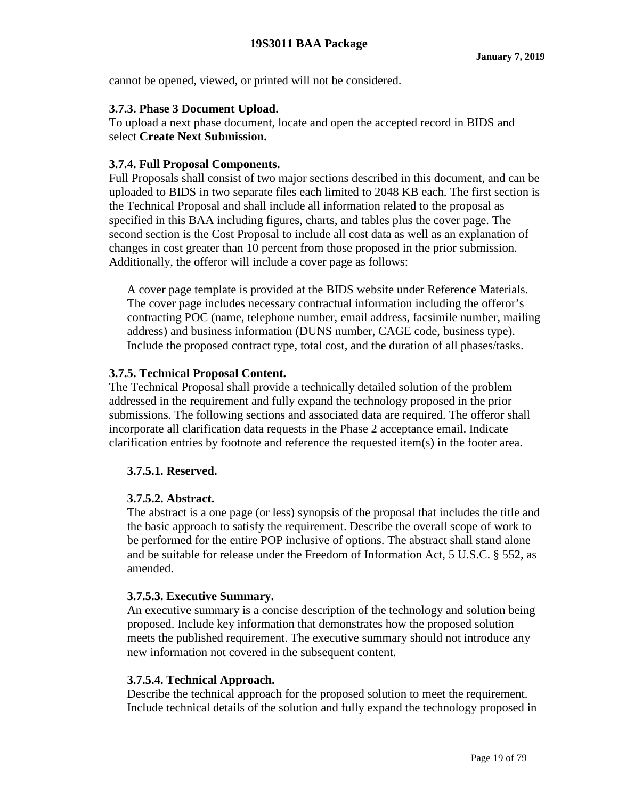cannot be opened, viewed, or printed will not be considered.

## **3.7.3. Phase 3 Document Upload.**

To upload a next phase document, locate and open the accepted record in BIDS and select **Create Next Submission.**

# **3.7.4. Full Proposal Components.**

Full Proposals shall consist of two major sections described in this document, and can be uploaded to BIDS in two separate files each limited to 2048 KB each. The first section is the Technical Proposal and shall include all information related to the proposal as specified in this BAA including figures, charts, and tables plus the cover page. The second section is the Cost Proposal to include all cost data as well as an explanation of changes in cost greater than 10 percent from those proposed in the prior submission. Additionally, the offeror will include a cover page as follows:

A cover page template is provided at the BIDS website under Reference Materials. The cover page includes necessary contractual information including the offeror's contracting POC (name, telephone number, email address, facsimile number, mailing address) and business information (DUNS number, CAGE code, business type). Include the proposed contract type, total cost, and the duration of all phases/tasks.

## **3.7.5. Technical Proposal Content.**

The Technical Proposal shall provide a technically detailed solution of the problem addressed in the requirement and fully expand the technology proposed in the prior submissions. The following sections and associated data are required. The offeror shall incorporate all clarification data requests in the Phase 2 acceptance email. Indicate clarification entries by footnote and reference the requested item(s) in the footer area.

## **3.7.5.1. Reserved.**

## **3.7.5.2. Abstract.**

The abstract is a one page (or less) synopsis of the proposal that includes the title and the basic approach to satisfy the requirement. Describe the overall scope of work to be performed for the entire POP inclusive of options. The abstract shall stand alone and be suitable for release under the Freedom of Information Act, 5 U.S.C. § 552, as amended.

## **3.7.5.3. Executive Summary.**

An executive summary is a concise description of the technology and solution being proposed. Include key information that demonstrates how the proposed solution meets the published requirement. The executive summary should not introduce any new information not covered in the subsequent content.

## **3.7.5.4. Technical Approach.**

Describe the technical approach for the proposed solution to meet the requirement. Include technical details of the solution and fully expand the technology proposed in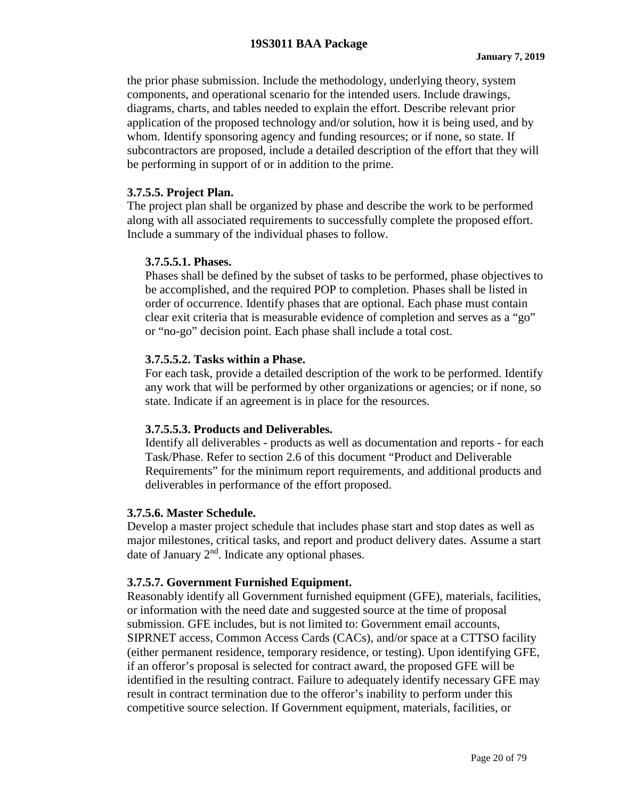the prior phase submission. Include the methodology, underlying theory, system components, and operational scenario for the intended users. Include drawings, diagrams, charts, and tables needed to explain the effort. Describe relevant prior application of the proposed technology and/or solution, how it is being used, and by whom. Identify sponsoring agency and funding resources; or if none, so state. If subcontractors are proposed, include a detailed description of the effort that they will be performing in support of or in addition to the prime.

#### **3.7.5.5. Project Plan.**

The project plan shall be organized by phase and describe the work to be performed along with all associated requirements to successfully complete the proposed effort. Include a summary of the individual phases to follow.

#### **3.7.5.5.1. Phases.**

Phases shall be defined by the subset of tasks to be performed, phase objectives to be accomplished, and the required POP to completion. Phases shall be listed in order of occurrence. Identify phases that are optional. Each phase must contain clear exit criteria that is measurable evidence of completion and serves as a "go" or "no-go" decision point. Each phase shall include a total cost.

#### **3.7.5.5.2. Tasks within a Phase.**

For each task, provide a detailed description of the work to be performed. Identify any work that will be performed by other organizations or agencies; or if none, so state. Indicate if an agreement is in place for the resources.

## **3.7.5.5.3. Products and Deliverables.**

Identify all deliverables - products as well as documentation and reports - for each Task/Phase. Refer to section 2.6 of this document "Product and Deliverable Requirements" for the minimum report requirements, and additional products and deliverables in performance of the effort proposed.

#### **3.7.5.6. Master Schedule.**

Develop a master project schedule that includes phase start and stop dates as well as major milestones, critical tasks, and report and product delivery dates. Assume a start date of January 2<sup>nd</sup>. Indicate any optional phases.

## **3.7.5.7. Government Furnished Equipment.**

Reasonably identify all Government furnished equipment (GFE), materials, facilities, or information with the need date and suggested source at the time of proposal submission. GFE includes, but is not limited to: Government email accounts, SIPRNET access, Common Access Cards (CACs), and/or space at a CTTSO facility (either permanent residence, temporary residence, or testing). Upon identifying GFE, if an offeror's proposal is selected for contract award, the proposed GFE will be identified in the resulting contract. Failure to adequately identify necessary GFE may result in contract termination due to the offeror's inability to perform under this competitive source selection. If Government equipment, materials, facilities, or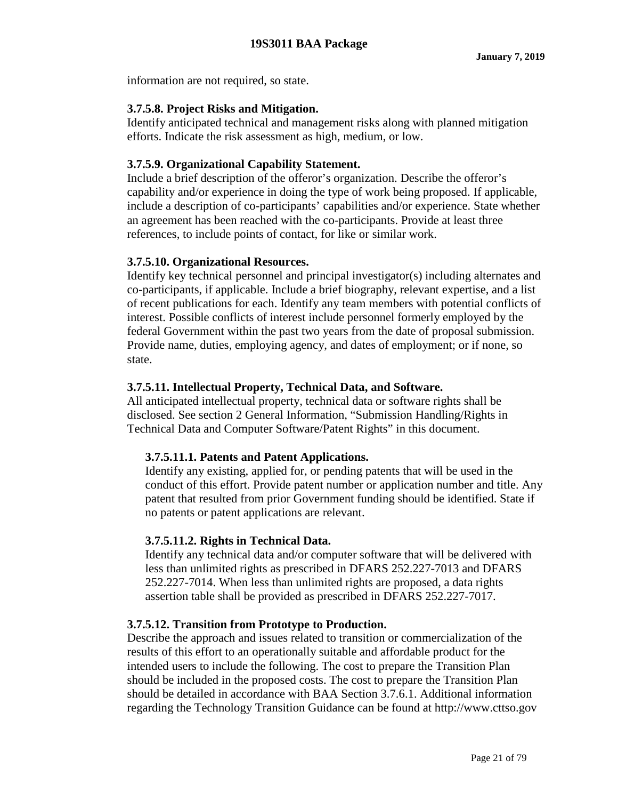information are not required, so state.

#### **3.7.5.8. Project Risks and Mitigation.**

Identify anticipated technical and management risks along with planned mitigation efforts. Indicate the risk assessment as high, medium, or low.

#### **3.7.5.9. Organizational Capability Statement.**

Include a brief description of the offeror's organization. Describe the offeror's capability and/or experience in doing the type of work being proposed. If applicable, include a description of co-participants' capabilities and/or experience. State whether an agreement has been reached with the co-participants. Provide at least three references, to include points of contact, for like or similar work.

#### **3.7.5.10. Organizational Resources.**

Identify key technical personnel and principal investigator(s) including alternates and co-participants, if applicable. Include a brief biography, relevant expertise, and a list of recent publications for each. Identify any team members with potential conflicts of interest. Possible conflicts of interest include personnel formerly employed by the federal Government within the past two years from the date of proposal submission. Provide name, duties, employing agency, and dates of employment; or if none, so state.

#### **3.7.5.11. Intellectual Property, Technical Data, and Software.**

All anticipated intellectual property, technical data or software rights shall be disclosed. See section 2 General Information, "Submission Handling/Rights in Technical Data and Computer Software/Patent Rights" in this document.

## **3.7.5.11.1. Patents and Patent Applications.**

Identify any existing, applied for, or pending patents that will be used in the conduct of this effort. Provide patent number or application number and title. Any patent that resulted from prior Government funding should be identified. State if no patents or patent applications are relevant.

## **3.7.5.11.2. Rights in Technical Data.**

Identify any technical data and/or computer software that will be delivered with less than unlimited rights as prescribed in DFARS 252.227-7013 and DFARS 252.227-7014. When less than unlimited rights are proposed, a data rights assertion table shall be provided as prescribed in DFARS 252.227-7017.

## **3.7.5.12. Transition from Prototype to Production.**

Describe the approach and issues related to transition or commercialization of the results of this effort to an operationally suitable and affordable product for the intended users to include the following. The cost to prepare the Transition Plan should be included in the proposed costs. The cost to prepare the Transition Plan should be detailed in accordance with BAA Section 3.7.6.1. Additional information regarding the Technology Transition Guidance can be found at http://www.cttso.gov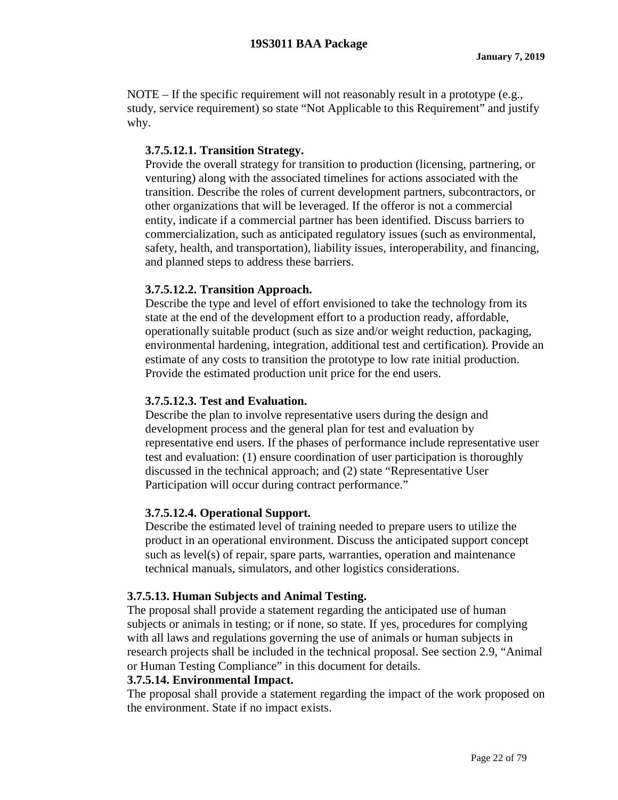NOTE – If the specific requirement will not reasonably result in a prototype (e.g., study, service requirement) so state "Not Applicable to this Requirement" and justify why.

## **3.7.5.12.1. Transition Strategy.**

Provide the overall strategy for transition to production (licensing, partnering, or venturing) along with the associated timelines for actions associated with the transition. Describe the roles of current development partners, subcontractors, or other organizations that will be leveraged. If the offeror is not a commercial entity, indicate if a commercial partner has been identified. Discuss barriers to commercialization, such as anticipated regulatory issues (such as environmental, safety, health, and transportation), liability issues, interoperability, and financing, and planned steps to address these barriers.

## **3.7.5.12.2. Transition Approach.**

Describe the type and level of effort envisioned to take the technology from its state at the end of the development effort to a production ready, affordable, operationally suitable product (such as size and/or weight reduction, packaging, environmental hardening, integration, additional test and certification). Provide an estimate of any costs to transition the prototype to low rate initial production. Provide the estimated production unit price for the end users.

## **3.7.5.12.3. Test and Evaluation.**

Describe the plan to involve representative users during the design and development process and the general plan for test and evaluation by representative end users. If the phases of performance include representative user test and evaluation: (1) ensure coordination of user participation is thoroughly discussed in the technical approach; and (2) state "Representative User Participation will occur during contract performance."

## **3.7.5.12.4. Operational Support.**

Describe the estimated level of training needed to prepare users to utilize the product in an operational environment. Discuss the anticipated support concept such as level(s) of repair, spare parts, warranties, operation and maintenance technical manuals, simulators, and other logistics considerations.

## **3.7.5.13. Human Subjects and Animal Testing.**

The proposal shall provide a statement regarding the anticipated use of human subjects or animals in testing; or if none, so state. If yes, procedures for complying with all laws and regulations governing the use of animals or human subjects in research projects shall be included in the technical proposal. See section 2.9, "Animal or Human Testing Compliance" in this document for details.

## **3.7.5.14. Environmental Impact.**

The proposal shall provide a statement regarding the impact of the work proposed on the environment. State if no impact exists.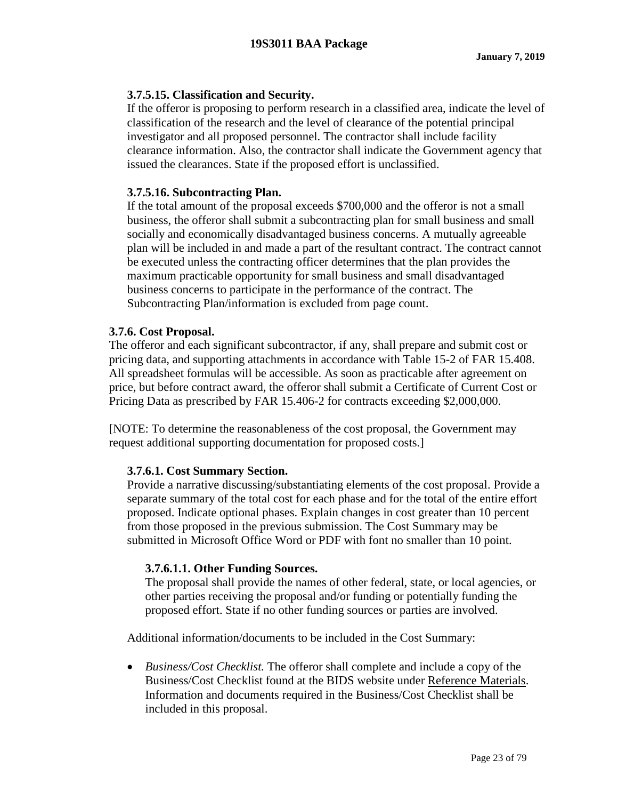## **3.7.5.15. Classification and Security.**

If the offeror is proposing to perform research in a classified area, indicate the level of classification of the research and the level of clearance of the potential principal investigator and all proposed personnel. The contractor shall include facility clearance information. Also, the contractor shall indicate the Government agency that issued the clearances. State if the proposed effort is unclassified.

## **3.7.5.16. Subcontracting Plan.**

If the total amount of the proposal exceeds \$700,000 and the offeror is not a small business, the offeror shall submit a subcontracting plan for small business and small socially and economically disadvantaged business concerns. A mutually agreeable plan will be included in and made a part of the resultant contract. The contract cannot be executed unless the contracting officer determines that the plan provides the maximum practicable opportunity for small business and small disadvantaged business concerns to participate in the performance of the contract. The Subcontracting Plan/information is excluded from page count.

#### **3.7.6. Cost Proposal.**

The offeror and each significant subcontractor, if any, shall prepare and submit cost or pricing data, and supporting attachments in accordance with Table 15-2 of FAR 15.408. All spreadsheet formulas will be accessible. As soon as practicable after agreement on price, but before contract award, the offeror shall submit a Certificate of Current Cost or Pricing Data as prescribed by FAR 15.406-2 for contracts exceeding \$2,000,000.

[NOTE: To determine the reasonableness of the cost proposal, the Government may request additional supporting documentation for proposed costs.]

## **3.7.6.1. Cost Summary Section.**

Provide a narrative discussing/substantiating elements of the cost proposal. Provide a separate summary of the total cost for each phase and for the total of the entire effort proposed. Indicate optional phases. Explain changes in cost greater than 10 percent from those proposed in the previous submission. The Cost Summary may be submitted in Microsoft Office Word or PDF with font no smaller than 10 point.

## **3.7.6.1.1. Other Funding Sources.**

The proposal shall provide the names of other federal, state, or local agencies, or other parties receiving the proposal and/or funding or potentially funding the proposed effort. State if no other funding sources or parties are involved.

Additional information/documents to be included in the Cost Summary:

• *Business/Cost Checklist.* The offeror shall complete and include a copy of the Business/Cost Checklist found at the BIDS website under Reference Materials. Information and documents required in the Business/Cost Checklist shall be included in this proposal.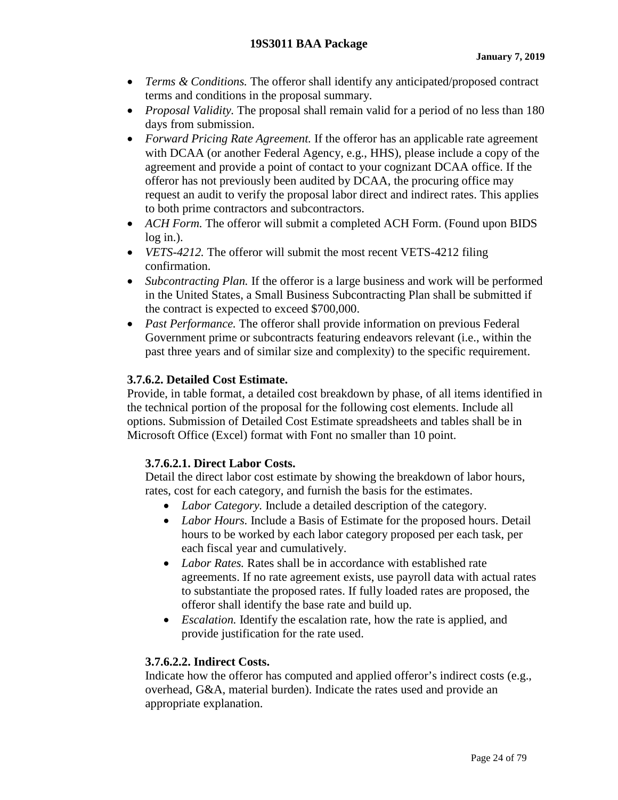- *Terms & Conditions.* The offeror shall identify any anticipated/proposed contract terms and conditions in the proposal summary.
- *Proposal Validity*. The proposal shall remain valid for a period of no less than 180 days from submission.
- *Forward Pricing Rate Agreement.* If the offeror has an applicable rate agreement with DCAA (or another Federal Agency, e.g., HHS), please include a copy of the agreement and provide a point of contact to your cognizant DCAA office. If the offeror has not previously been audited by DCAA, the procuring office may request an audit to verify the proposal labor direct and indirect rates. This applies to both prime contractors and subcontractors.
- *ACH Form*. The offeror will submit a completed ACH Form. (Found upon BIDS log in.).
- *VETS-4212.* The offeror will submit the most recent VETS-4212 filing confirmation.
- *Subcontracting Plan.* If the offeror is a large business and work will be performed in the United States, a Small Business Subcontracting Plan shall be submitted if the contract is expected to exceed \$700,000.
- *Past Performance*. The offeror shall provide information on previous Federal Government prime or subcontracts featuring endeavors relevant (i.e., within the past three years and of similar size and complexity) to the specific requirement.

# **3.7.6.2. Detailed Cost Estimate.**

Provide, in table format, a detailed cost breakdown by phase, of all items identified in the technical portion of the proposal for the following cost elements. Include all options. Submission of Detailed Cost Estimate spreadsheets and tables shall be in Microsoft Office (Excel) format with Font no smaller than 10 point.

# **3.7.6.2.1. Direct Labor Costs.**

Detail the direct labor cost estimate by showing the breakdown of labor hours, rates, cost for each category, and furnish the basis for the estimates.

- *Labor Category.* Include a detailed description of the category.
- *Labor Hours.* Include a Basis of Estimate for the proposed hours. Detail hours to be worked by each labor category proposed per each task, per each fiscal year and cumulatively.
- *Labor Rates.* Rates shall be in accordance with established rate agreements. If no rate agreement exists, use payroll data with actual rates to substantiate the proposed rates. If fully loaded rates are proposed, the offeror shall identify the base rate and build up.
- *Escalation.* Identify the escalation rate, how the rate is applied, and provide justification for the rate used.

# **3.7.6.2.2. Indirect Costs.**

Indicate how the offeror has computed and applied offeror's indirect costs (e.g., overhead, G&A, material burden). Indicate the rates used and provide an appropriate explanation.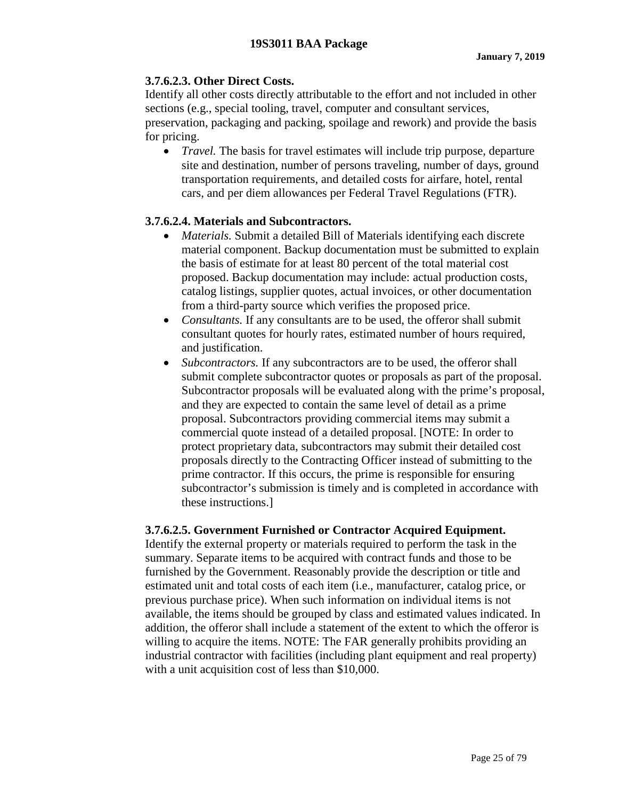# **3.7.6.2.3. Other Direct Costs.**

Identify all other costs directly attributable to the effort and not included in other sections (e.g., special tooling, travel, computer and consultant services, preservation, packaging and packing, spoilage and rework) and provide the basis for pricing.

• *Travel*. The basis for travel estimates will include trip purpose, departure site and destination, number of persons traveling, number of days, ground transportation requirements, and detailed costs for airfare, hotel, rental cars, and per diem allowances per Federal Travel Regulations (FTR).

# **3.7.6.2.4. Materials and Subcontractors.**

- *Materials.* Submit a detailed Bill of Materials identifying each discrete material component. Backup documentation must be submitted to explain the basis of estimate for at least 80 percent of the total material cost proposed. Backup documentation may include: actual production costs, catalog listings, supplier quotes, actual invoices, or other documentation from a third-party source which verifies the proposed price.
- *Consultants*. If any consultants are to be used, the offeror shall submit consultant quotes for hourly rates, estimated number of hours required, and justification.
- *Subcontractors.* If any subcontractors are to be used, the offeror shall submit complete subcontractor quotes or proposals as part of the proposal. Subcontractor proposals will be evaluated along with the prime's proposal, and they are expected to contain the same level of detail as a prime proposal. Subcontractors providing commercial items may submit a commercial quote instead of a detailed proposal. [NOTE: In order to protect proprietary data, subcontractors may submit their detailed cost proposals directly to the Contracting Officer instead of submitting to the prime contractor. If this occurs, the prime is responsible for ensuring subcontractor's submission is timely and is completed in accordance with these instructions.]

## **3.7.6.2.5. Government Furnished or Contractor Acquired Equipment.**

Identify the external property or materials required to perform the task in the summary. Separate items to be acquired with contract funds and those to be furnished by the Government. Reasonably provide the description or title and estimated unit and total costs of each item (i.e., manufacturer, catalog price, or previous purchase price). When such information on individual items is not available, the items should be grouped by class and estimated values indicated. In addition, the offeror shall include a statement of the extent to which the offeror is willing to acquire the items. NOTE: The FAR generally prohibits providing an industrial contractor with facilities (including plant equipment and real property) with a unit acquisition cost of less than \$10,000.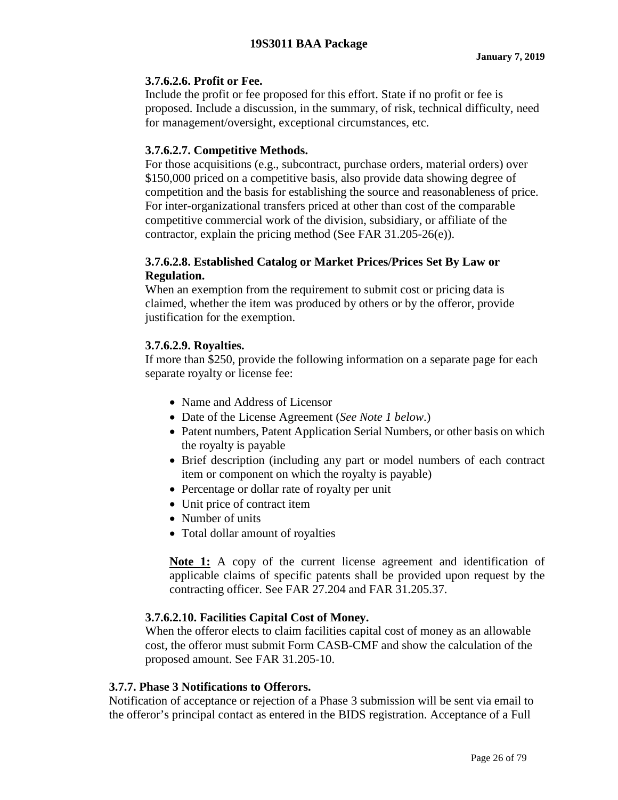# **3.7.6.2.6. Profit or Fee.**

Include the profit or fee proposed for this effort. State if no profit or fee is proposed. Include a discussion, in the summary, of risk, technical difficulty, need for management/oversight, exceptional circumstances, etc.

# **3.7.6.2.7. Competitive Methods.**

For those acquisitions (e.g., subcontract, purchase orders, material orders) over \$150,000 priced on a competitive basis, also provide data showing degree of competition and the basis for establishing the source and reasonableness of price. For inter-organizational transfers priced at other than cost of the comparable competitive commercial work of the division, subsidiary, or affiliate of the contractor, explain the pricing method (See FAR 31.205-26(e)).

## **3.7.6.2.8. Established Catalog or Market Prices/Prices Set By Law or Regulation.**

When an exemption from the requirement to submit cost or pricing data is claimed, whether the item was produced by others or by the offeror, provide justification for the exemption.

## **3.7.6.2.9. Royalties.**

If more than \$250, provide the following information on a separate page for each separate royalty or license fee:

- Name and Address of Licensor
- Date of the License Agreement (*See Note 1 below*.)
- Patent numbers, Patent Application Serial Numbers, or other basis on which the royalty is payable
- Brief description (including any part or model numbers of each contract item or component on which the royalty is payable)
- Percentage or dollar rate of royalty per unit
- Unit price of contract item
- Number of units
- Total dollar amount of royalties

**Note 1:** A copy of the current license agreement and identification of applicable claims of specific patents shall be provided upon request by the contracting officer. See FAR 27.204 and FAR 31.205.37.

## **3.7.6.2.10. Facilities Capital Cost of Money.**

When the offeror elects to claim facilities capital cost of money as an allowable cost, the offeror must submit Form CASB-CMF and show the calculation of the proposed amount. See FAR 31.205-10.

## **3.7.7. Phase 3 Notifications to Offerors.**

Notification of acceptance or rejection of a Phase 3 submission will be sent via email to the offeror's principal contact as entered in the BIDS registration. Acceptance of a Full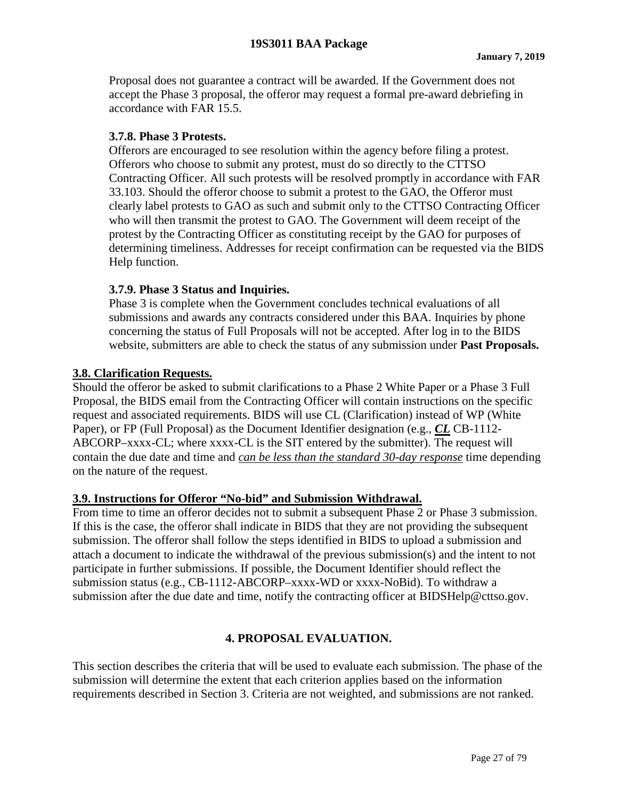Proposal does not guarantee a contract will be awarded. If the Government does not accept the Phase 3 proposal, the offeror may request a formal pre-award debriefing in accordance with FAR 15.5.

## **3.7.8. Phase 3 Protests.**

Offerors are encouraged to see resolution within the agency before filing a protest. Offerors who choose to submit any protest, must do so directly to the CTTSO Contracting Officer. All such protests will be resolved promptly in accordance with FAR 33.103. Should the offeror choose to submit a protest to the GAO, the Offeror must clearly label protests to GAO as such and submit only to the CTTSO Contracting Officer who will then transmit the protest to GAO. The Government will deem receipt of the protest by the Contracting Officer as constituting receipt by the GAO for purposes of determining timeliness. Addresses for receipt confirmation can be requested via the BIDS Help function.

# **3.7.9. Phase 3 Status and Inquiries.**

Phase 3 is complete when the Government concludes technical evaluations of all submissions and awards any contracts considered under this BAA. Inquiries by phone concerning the status of Full Proposals will not be accepted. After log in to the BIDS website, submitters are able to check the status of any submission under **Past Proposals.**

# **3.8. Clarification Requests.**

Should the offeror be asked to submit clarifications to a Phase 2 White Paper or a Phase 3 Full Proposal, the BIDS email from the Contracting Officer will contain instructions on the specific request and associated requirements. BIDS will use CL (Clarification) instead of WP (White Paper), or FP (Full Proposal) as the Document Identifier designation (e.g., *CL* CB-1112- ABCORP–xxxx-CL; where xxxx-CL is the SIT entered by the submitter). The request will contain the due date and time and *can be less than the standard 30-day response* time depending on the nature of the request.

## **3.9. Instructions for Offeror "No-bid" and Submission Withdrawal.**

From time to time an offeror decides not to submit a subsequent Phase 2 or Phase 3 submission. If this is the case, the offeror shall indicate in BIDS that they are not providing the subsequent submission. The offeror shall follow the steps identified in BIDS to upload a submission and attach a document to indicate the withdrawal of the previous submission(s) and the intent to not participate in further submissions. If possible, the Document Identifier should reflect the submission status (e.g., CB-1112-ABCORP–xxxx-WD or xxxx-NoBid). To withdraw a submission after the due date and time, notify the contracting officer at BIDSHelp@cttso.gov.

## **4. PROPOSAL EVALUATION.**

This section describes the criteria that will be used to evaluate each submission. The phase of the submission will determine the extent that each criterion applies based on the information requirements described in Section 3. Criteria are not weighted, and submissions are not ranked.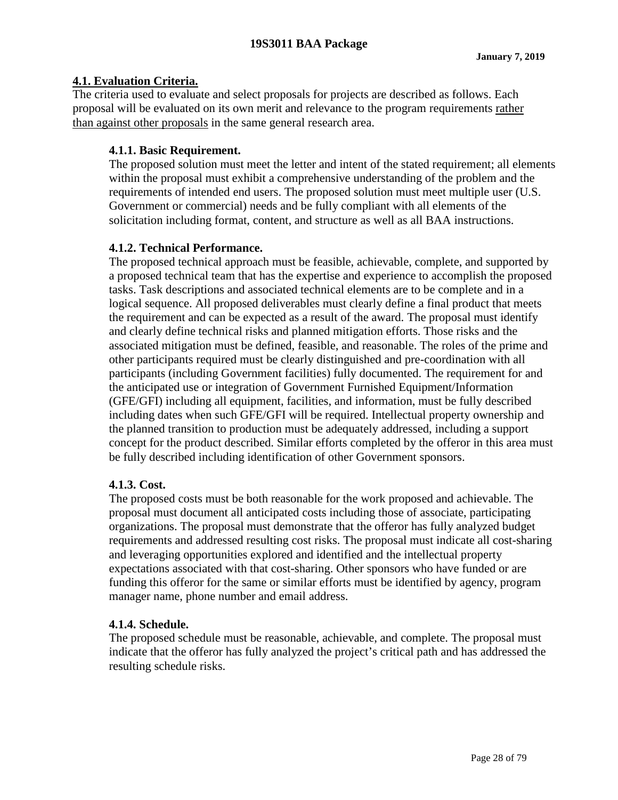## **4.1. Evaluation Criteria.**

The criteria used to evaluate and select proposals for projects are described as follows. Each proposal will be evaluated on its own merit and relevance to the program requirements rather than against other proposals in the same general research area.

# **4.1.1. Basic Requirement.**

The proposed solution must meet the letter and intent of the stated requirement; all elements within the proposal must exhibit a comprehensive understanding of the problem and the requirements of intended end users. The proposed solution must meet multiple user (U.S. Government or commercial) needs and be fully compliant with all elements of the solicitation including format, content, and structure as well as all BAA instructions.

# **4.1.2. Technical Performance.**

The proposed technical approach must be feasible, achievable, complete, and supported by a proposed technical team that has the expertise and experience to accomplish the proposed tasks. Task descriptions and associated technical elements are to be complete and in a logical sequence. All proposed deliverables must clearly define a final product that meets the requirement and can be expected as a result of the award. The proposal must identify and clearly define technical risks and planned mitigation efforts. Those risks and the associated mitigation must be defined, feasible, and reasonable. The roles of the prime and other participants required must be clearly distinguished and pre-coordination with all participants (including Government facilities) fully documented. The requirement for and the anticipated use or integration of Government Furnished Equipment/Information (GFE/GFI) including all equipment, facilities, and information, must be fully described including dates when such GFE/GFI will be required. Intellectual property ownership and the planned transition to production must be adequately addressed, including a support concept for the product described. Similar efforts completed by the offeror in this area must be fully described including identification of other Government sponsors.

## **4.1.3. Cost.**

The proposed costs must be both reasonable for the work proposed and achievable. The proposal must document all anticipated costs including those of associate, participating organizations. The proposal must demonstrate that the offeror has fully analyzed budget requirements and addressed resulting cost risks. The proposal must indicate all cost-sharing and leveraging opportunities explored and identified and the intellectual property expectations associated with that cost-sharing. Other sponsors who have funded or are funding this offeror for the same or similar efforts must be identified by agency, program manager name, phone number and email address.

## **4.1.4. Schedule.**

The proposed schedule must be reasonable, achievable, and complete. The proposal must indicate that the offeror has fully analyzed the project's critical path and has addressed the resulting schedule risks.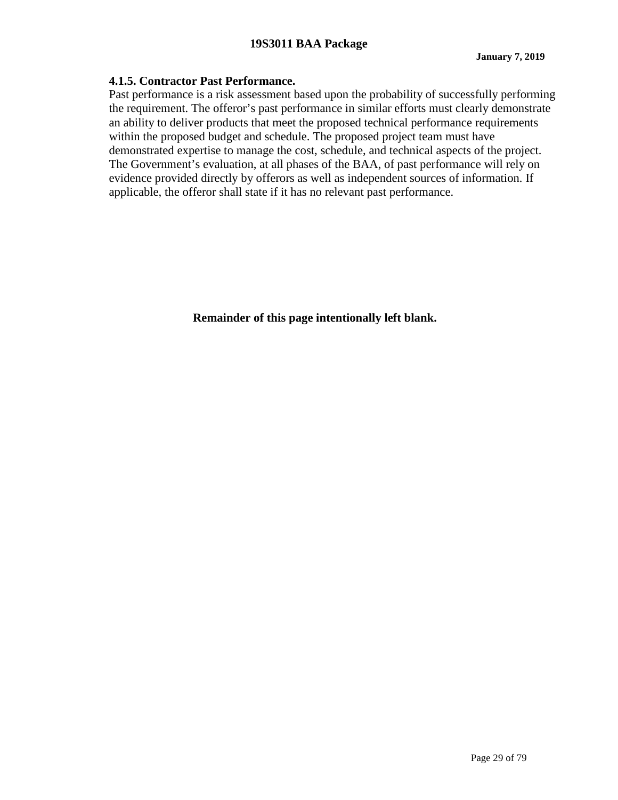## **4.1.5. Contractor Past Performance.**

Past performance is a risk assessment based upon the probability of successfully performing the requirement. The offeror's past performance in similar efforts must clearly demonstrate an ability to deliver products that meet the proposed technical performance requirements within the proposed budget and schedule. The proposed project team must have demonstrated expertise to manage the cost, schedule, and technical aspects of the project. The Government's evaluation, at all phases of the BAA, of past performance will rely on evidence provided directly by offerors as well as independent sources of information. If applicable, the offeror shall state if it has no relevant past performance.

**Remainder of this page intentionally left blank.**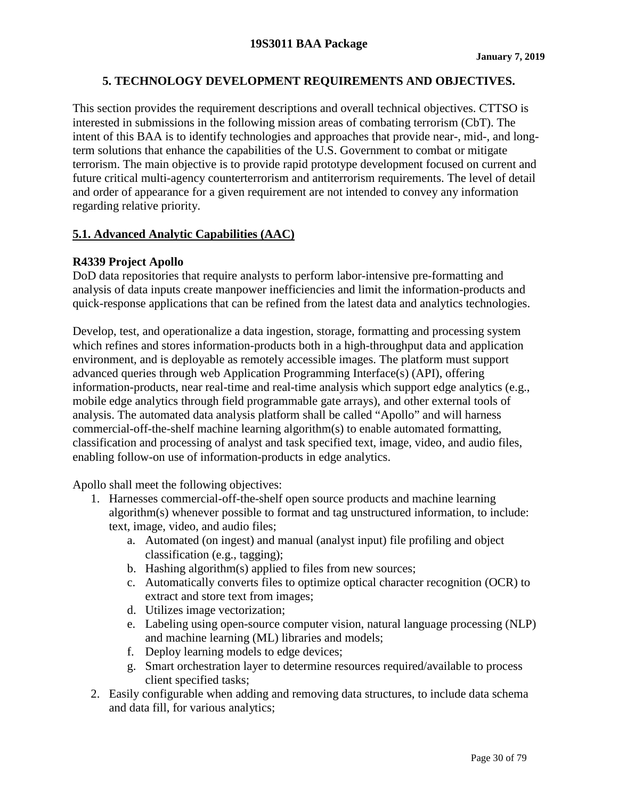# **5. TECHNOLOGY DEVELOPMENT REQUIREMENTS AND OBJECTIVES.**

This section provides the requirement descriptions and overall technical objectives. CTTSO is interested in submissions in the following mission areas of combating terrorism (CbT). The intent of this BAA is to identify technologies and approaches that provide near-, mid-, and longterm solutions that enhance the capabilities of the U.S. Government to combat or mitigate terrorism. The main objective is to provide rapid prototype development focused on current and future critical multi-agency counterterrorism and antiterrorism requirements. The level of detail and order of appearance for a given requirement are not intended to convey any information regarding relative priority.

# **5.1. Advanced Analytic Capabilities (AAC)**

# **R4339 Project Apollo**

DoD data repositories that require analysts to perform labor-intensive pre-formatting and analysis of data inputs create manpower inefficiencies and limit the information-products and quick-response applications that can be refined from the latest data and analytics technologies.

Develop, test, and operationalize a data ingestion, storage, formatting and processing system which refines and stores information-products both in a high-throughput data and application environment, and is deployable as remotely accessible images. The platform must support advanced queries through web Application Programming Interface(s) (API), offering information-products, near real-time and real-time analysis which support edge analytics (e.g., mobile edge analytics through field programmable gate arrays), and other external tools of analysis. The automated data analysis platform shall be called "Apollo" and will harness commercial-off-the-shelf machine learning algorithm(s) to enable automated formatting, classification and processing of analyst and task specified text, image, video, and audio files, enabling follow-on use of information-products in edge analytics.

Apollo shall meet the following objectives:

- 1. Harnesses commercial-off-the-shelf open source products and machine learning algorithm(s) whenever possible to format and tag unstructured information, to include: text, image, video, and audio files;
	- a. Automated (on ingest) and manual (analyst input) file profiling and object classification (e.g., tagging);
	- b. Hashing algorithm(s) applied to files from new sources;
	- c. Automatically converts files to optimize optical character recognition (OCR) to extract and store text from images;
	- d. Utilizes image vectorization;
	- e. Labeling using open-source computer vision, natural language processing (NLP) and machine learning (ML) libraries and models;
	- f. Deploy learning models to edge devices;
	- g. Smart orchestration layer to determine resources required/available to process client specified tasks;
- 2. Easily configurable when adding and removing data structures, to include data schema and data fill, for various analytics;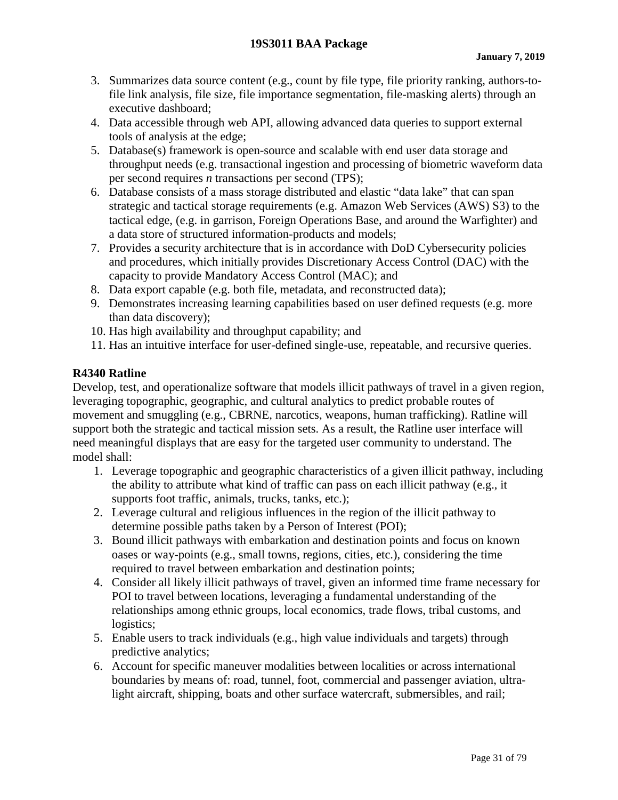- 3. Summarizes data source content (e.g., count by file type, file priority ranking, authors-tofile link analysis, file size, file importance segmentation, file-masking alerts) through an executive dashboard;
- 4. Data accessible through web API, allowing advanced data queries to support external tools of analysis at the edge;
- 5. Database(s) framework is open-source and scalable with end user data storage and throughput needs (e.g. transactional ingestion and processing of biometric waveform data per second requires *n* transactions per second (TPS);
- 6. Database consists of a mass storage distributed and elastic "data lake" that can span strategic and tactical storage requirements (e.g. Amazon Web Services (AWS) S3) to the tactical edge, (e.g. in garrison, Foreign Operations Base, and around the Warfighter) and a data store of structured information-products and models;
- 7. Provides a security architecture that is in accordance with DoD Cybersecurity policies and procedures, which initially provides Discretionary Access Control (DAC) with the capacity to provide Mandatory Access Control (MAC); and
- 8. Data export capable (e.g. both file, metadata, and reconstructed data);
- 9. Demonstrates increasing learning capabilities based on user defined requests (e.g. more than data discovery);
- 10. Has high availability and throughput capability; and
- 11. Has an intuitive interface for user-defined single-use, repeatable, and recursive queries.

#### **R4340 Ratline**

Develop, test, and operationalize software that models illicit pathways of travel in a given region, leveraging topographic, geographic, and cultural analytics to predict probable routes of movement and smuggling (e.g., CBRNE, narcotics, weapons, human trafficking). Ratline will support both the strategic and tactical mission sets. As a result, the Ratline user interface will need meaningful displays that are easy for the targeted user community to understand. The model shall:

- 1. Leverage topographic and geographic characteristics of a given illicit pathway, including the ability to attribute what kind of traffic can pass on each illicit pathway (e.g., it supports foot traffic, animals, trucks, tanks, etc.);
- 2. Leverage cultural and religious influences in the region of the illicit pathway to determine possible paths taken by a Person of Interest (POI);
- 3. Bound illicit pathways with embarkation and destination points and focus on known oases or way-points (e.g., small towns, regions, cities, etc.), considering the time required to travel between embarkation and destination points;
- 4. Consider all likely illicit pathways of travel, given an informed time frame necessary for POI to travel between locations, leveraging a fundamental understanding of the relationships among ethnic groups, local economics, trade flows, tribal customs, and logistics:
- 5. Enable users to track individuals (e.g., high value individuals and targets) through predictive analytics;
- 6. Account for specific maneuver modalities between localities or across international boundaries by means of: road, tunnel, foot, commercial and passenger aviation, ultralight aircraft, shipping, boats and other surface watercraft, submersibles, and rail;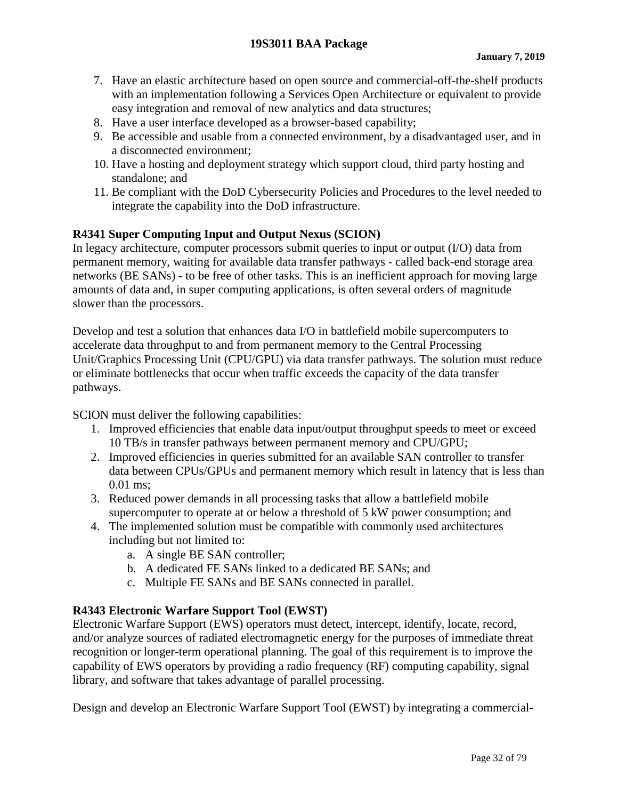- 7. Have an elastic architecture based on open source and commercial-off-the-shelf products with an implementation following a Services Open Architecture or equivalent to provide easy integration and removal of new analytics and data structures;
- 8. Have a user interface developed as a browser-based capability;
- 9. Be accessible and usable from a connected environment, by a disadvantaged user, and in a disconnected environment;
- 10. Have a hosting and deployment strategy which support cloud, third party hosting and standalone; and
- 11. Be compliant with the DoD Cybersecurity Policies and Procedures to the level needed to integrate the capability into the DoD infrastructure.

#### **R4341 Super Computing Input and Output Nexus (SCION)**

In legacy architecture, computer processors submit queries to input or output (I/O) data from permanent memory, waiting for available data transfer pathways - called back-end storage area networks (BE SANs) - to be free of other tasks. This is an inefficient approach for moving large amounts of data and, in super computing applications, is often several orders of magnitude slower than the processors.

Develop and test a solution that enhances data I/O in battlefield mobile supercomputers to accelerate data throughput to and from permanent memory to the Central Processing Unit/Graphics Processing Unit (CPU/GPU) via data transfer pathways. The solution must reduce or eliminate bottlenecks that occur when traffic exceeds the capacity of the data transfer pathways.

SCION must deliver the following capabilities:

- 1. Improved efficiencies that enable data input/output throughput speeds to meet or exceed 10 TB/s in transfer pathways between permanent memory and CPU/GPU;
- 2. Improved efficiencies in queries submitted for an available SAN controller to transfer data between CPUs/GPUs and permanent memory which result in latency that is less than 0.01 ms;
- 3. Reduced power demands in all processing tasks that allow a battlefield mobile supercomputer to operate at or below a threshold of 5 kW power consumption; and
- 4. The implemented solution must be compatible with commonly used architectures including but not limited to:
	- a. A single BE SAN controller;
	- b. A dedicated FE SANs linked to a dedicated BE SANs; and
	- c. Multiple FE SANs and BE SANs connected in parallel.

#### **R4343 Electronic Warfare Support Tool (EWST)**

Electronic Warfare Support (EWS) operators must detect, intercept, identify, locate, record, and/or analyze sources of radiated electromagnetic energy for the purposes of immediate threat recognition or longer-term operational planning. The goal of this requirement is to improve the capability of EWS operators by providing a radio frequency (RF) computing capability, signal library, and software that takes advantage of parallel processing.

Design and develop an Electronic Warfare Support Tool (EWST) by integrating a commercial-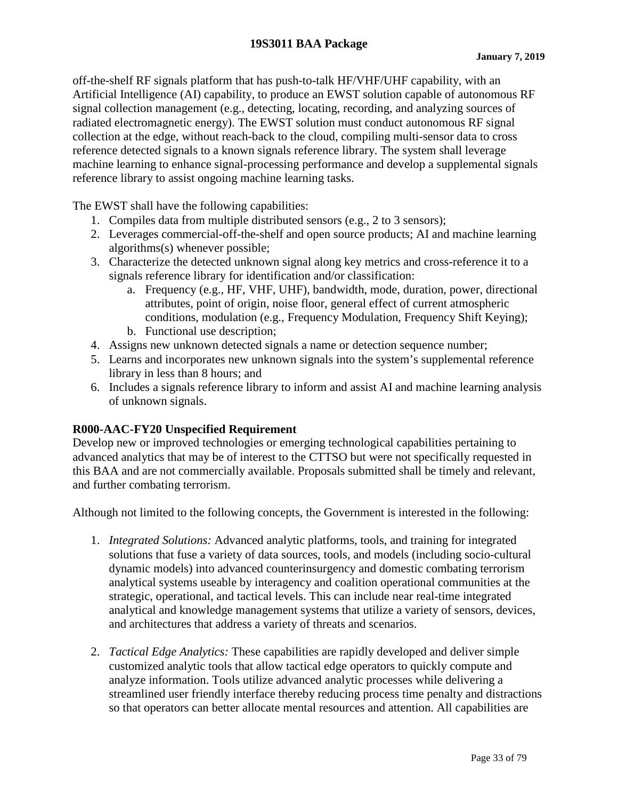off-the-shelf RF signals platform that has push-to-talk HF/VHF/UHF capability, with an Artificial Intelligence (AI) capability, to produce an EWST solution capable of autonomous RF signal collection management (e.g., detecting, locating, recording, and analyzing sources of radiated electromagnetic energy). The EWST solution must conduct autonomous RF signal collection at the edge, without reach-back to the cloud, compiling multi-sensor data to cross reference detected signals to a known signals reference library. The system shall leverage machine learning to enhance signal-processing performance and develop a supplemental signals reference library to assist ongoing machine learning tasks.

The EWST shall have the following capabilities:

- 1. Compiles data from multiple distributed sensors (e.g., 2 to 3 sensors);
- 2. Leverages commercial-off-the-shelf and open source products; AI and machine learning algorithms(s) whenever possible;
- 3. Characterize the detected unknown signal along key metrics and cross-reference it to a signals reference library for identification and/or classification:
	- a. Frequency (e.g., HF, VHF, UHF), bandwidth, mode, duration, power, directional attributes, point of origin, noise floor, general effect of current atmospheric conditions, modulation (e.g., Frequency Modulation, Frequency Shift Keying);
	- b. Functional use description;
- 4. Assigns new unknown detected signals a name or detection sequence number;
- 5. Learns and incorporates new unknown signals into the system's supplemental reference library in less than 8 hours; and
- 6. Includes a signals reference library to inform and assist AI and machine learning analysis of unknown signals.

## **R000-AAC-FY20 Unspecified Requirement**

Develop new or improved technologies or emerging technological capabilities pertaining to advanced analytics that may be of interest to the CTTSO but were not specifically requested in this BAA and are not commercially available. Proposals submitted shall be timely and relevant, and further combating terrorism.

Although not limited to the following concepts, the Government is interested in the following:

- 1. *Integrated Solutions:* Advanced analytic platforms, tools, and training for integrated solutions that fuse a variety of data sources, tools, and models (including socio-cultural dynamic models) into advanced counterinsurgency and domestic combating terrorism analytical systems useable by interagency and coalition operational communities at the strategic, operational, and tactical levels. This can include near real-time integrated analytical and knowledge management systems that utilize a variety of sensors, devices, and architectures that address a variety of threats and scenarios.
- 2. *Tactical Edge Analytics:* These capabilities are rapidly developed and deliver simple customized analytic tools that allow tactical edge operators to quickly compute and analyze information. Tools utilize advanced analytic processes while delivering a streamlined user friendly interface thereby reducing process time penalty and distractions so that operators can better allocate mental resources and attention. All capabilities are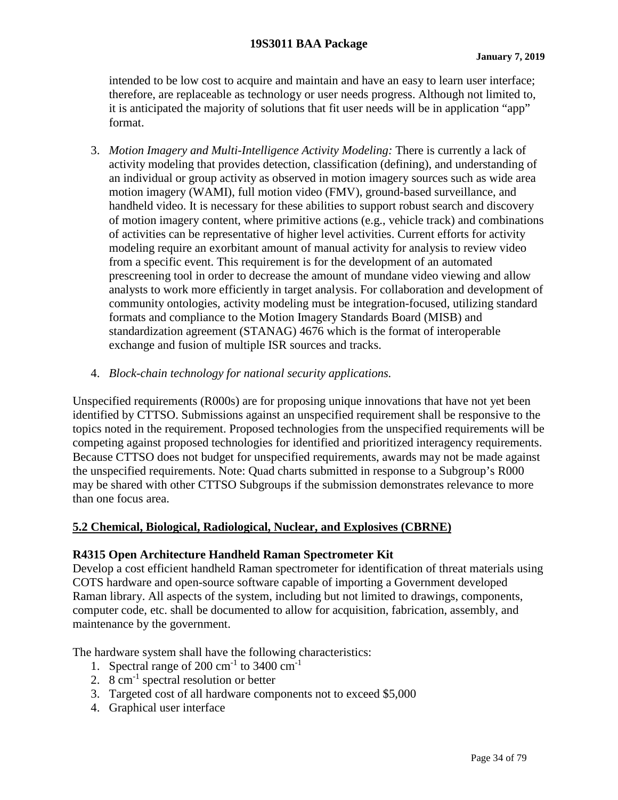intended to be low cost to acquire and maintain and have an easy to learn user interface; therefore, are replaceable as technology or user needs progress. Although not limited to, it is anticipated the majority of solutions that fit user needs will be in application "app" format.

- 3. *Motion Imagery and Multi-Intelligence Activity Modeling:* There is currently a lack of activity modeling that provides detection, classification (defining), and understanding of an individual or group activity as observed in motion imagery sources such as wide area motion imagery (WAMI), full motion video (FMV), ground-based surveillance, and handheld video. It is necessary for these abilities to support robust search and discovery of motion imagery content, where primitive actions (e.g., vehicle track) and combinations of activities can be representative of higher level activities. Current efforts for activity modeling require an exorbitant amount of manual activity for analysis to review video from a specific event. This requirement is for the development of an automated prescreening tool in order to decrease the amount of mundane video viewing and allow analysts to work more efficiently in target analysis. For collaboration and development of community ontologies, activity modeling must be integration-focused, utilizing standard formats and compliance to the Motion Imagery Standards Board (MISB) and standardization agreement (STANAG) 4676 which is the format of interoperable exchange and fusion of multiple ISR sources and tracks.
- 4. *Block-chain technology for national security applications.*

Unspecified requirements (R000s) are for proposing unique innovations that have not yet been identified by CTTSO. Submissions against an unspecified requirement shall be responsive to the topics noted in the requirement. Proposed technologies from the unspecified requirements will be competing against proposed technologies for identified and prioritized interagency requirements. Because CTTSO does not budget for unspecified requirements, awards may not be made against the unspecified requirements. Note: Quad charts submitted in response to a Subgroup's R000 may be shared with other CTTSO Subgroups if the submission demonstrates relevance to more than one focus area.

## **5.2 Chemical, Biological, Radiological, Nuclear, and Explosives (CBRNE)**

## **R4315 Open Architecture Handheld Raman Spectrometer Kit**

Develop a cost efficient handheld Raman spectrometer for identification of threat materials using COTS hardware and open-source software capable of importing a Government developed Raman library. All aspects of the system, including but not limited to drawings, components, computer code, etc. shall be documented to allow for acquisition, fabrication, assembly, and maintenance by the government.

The hardware system shall have the following characteristics:

- 1. Spectral range of  $200 \text{ cm}^{-1}$  to  $3400 \text{ cm}^{-1}$
- 2.  $8 \text{ cm}^{-1}$  spectral resolution or better
- 3. Targeted cost of all hardware components not to exceed \$5,000
- 4. Graphical user interface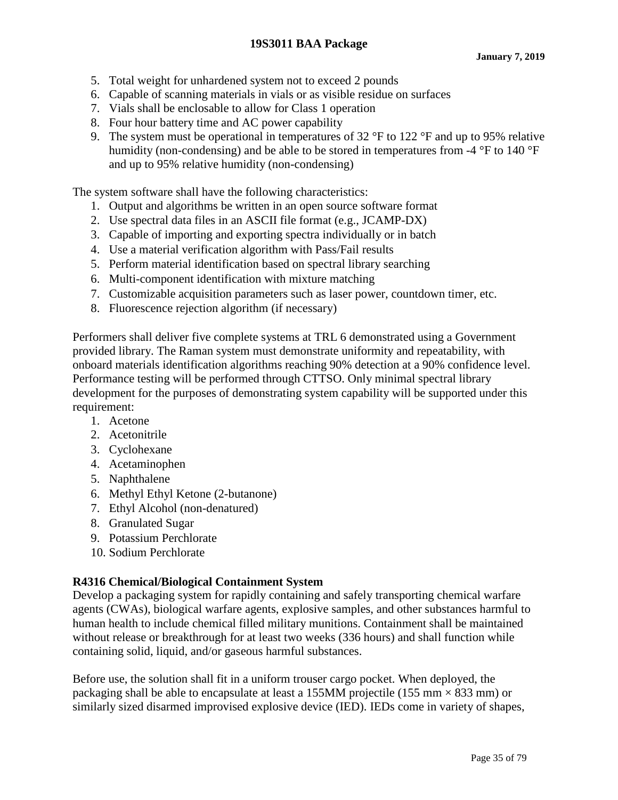- 5. Total weight for unhardened system not to exceed 2 pounds
- 6. Capable of scanning materials in vials or as visible residue on surfaces
- 7. Vials shall be enclosable to allow for Class 1 operation
- 8. Four hour battery time and AC power capability
- 9. The system must be operational in temperatures of 32  $\degree$ F to 122  $\degree$ F and up to 95% relative humidity (non-condensing) and be able to be stored in temperatures from -4 °F to 140 °F and up to 95% relative humidity (non-condensing)

The system software shall have the following characteristics:

- 1. Output and algorithms be written in an open source software format
- 2. Use spectral data files in an ASCII file format (e.g., JCAMP-DX)
- 3. Capable of importing and exporting spectra individually or in batch
- 4. Use a material verification algorithm with Pass/Fail results
- 5. Perform material identification based on spectral library searching
- 6. Multi-component identification with mixture matching
- 7. Customizable acquisition parameters such as laser power, countdown timer, etc.
- 8. Fluorescence rejection algorithm (if necessary)

Performers shall deliver five complete systems at TRL 6 demonstrated using a Government provided library. The Raman system must demonstrate uniformity and repeatability, with onboard materials identification algorithms reaching 90% detection at a 90% confidence level. Performance testing will be performed through CTTSO. Only minimal spectral library development for the purposes of demonstrating system capability will be supported under this requirement:

- 1. Acetone
- 2. Acetonitrile
- 3. Cyclohexane
- 4. Acetaminophen
- 5. Naphthalene
- 6. Methyl Ethyl Ketone (2-butanone)
- 7. Ethyl Alcohol (non-denatured)
- 8. Granulated Sugar
- 9. Potassium Perchlorate
- 10. Sodium Perchlorate

#### **R4316 Chemical/Biological Containment System**

Develop a packaging system for rapidly containing and safely transporting chemical warfare agents (CWAs), biological warfare agents, explosive samples, and other substances harmful to human health to include chemical filled military munitions. Containment shall be maintained without release or breakthrough for at least two weeks (336 hours) and shall function while containing solid, liquid, and/or gaseous harmful substances.

Before use, the solution shall fit in a uniform trouser cargo pocket. When deployed, the packaging shall be able to encapsulate at least a 155MM projectile (155 mm  $\times$  833 mm) or similarly sized disarmed improvised explosive device (IED). IEDs come in variety of shapes,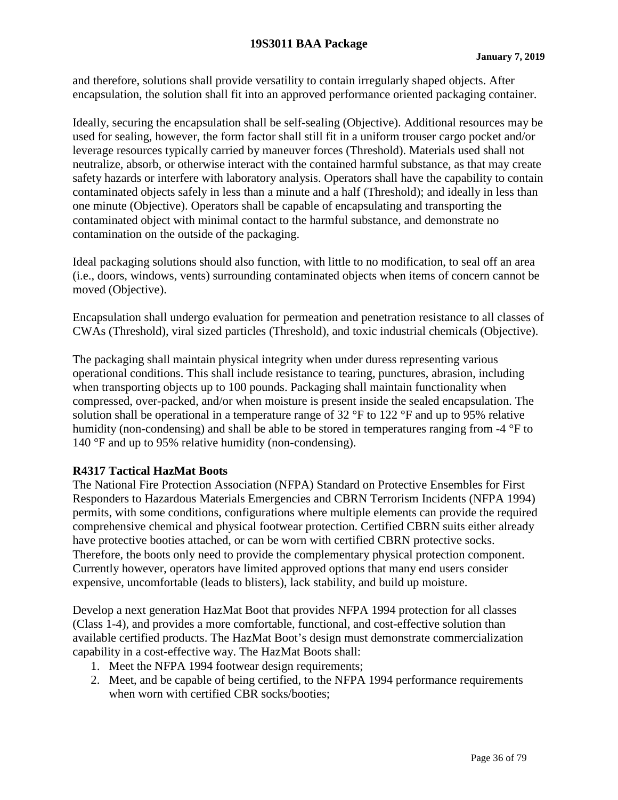and therefore, solutions shall provide versatility to contain irregularly shaped objects. After encapsulation, the solution shall fit into an approved performance oriented packaging container.

Ideally, securing the encapsulation shall be self-sealing (Objective). Additional resources may be used for sealing, however, the form factor shall still fit in a uniform trouser cargo pocket and/or leverage resources typically carried by maneuver forces (Threshold). Materials used shall not neutralize, absorb, or otherwise interact with the contained harmful substance, as that may create safety hazards or interfere with laboratory analysis. Operators shall have the capability to contain contaminated objects safely in less than a minute and a half (Threshold); and ideally in less than one minute (Objective). Operators shall be capable of encapsulating and transporting the contaminated object with minimal contact to the harmful substance, and demonstrate no contamination on the outside of the packaging.

Ideal packaging solutions should also function, with little to no modification, to seal off an area (i.e., doors, windows, vents) surrounding contaminated objects when items of concern cannot be moved (Objective).

Encapsulation shall undergo evaluation for permeation and penetration resistance to all classes of CWAs (Threshold), viral sized particles (Threshold), and toxic industrial chemicals (Objective).

The packaging shall maintain physical integrity when under duress representing various operational conditions. This shall include resistance to tearing, punctures, abrasion, including when transporting objects up to 100 pounds. Packaging shall maintain functionality when compressed, over-packed, and/or when moisture is present inside the sealed encapsulation. The solution shall be operational in a temperature range of 32 °F to 122 °F and up to 95% relative humidity (non-condensing) and shall be able to be stored in temperatures ranging from  $-4$  °F to 140 °F and up to 95% relative humidity (non-condensing).

## **R4317 Tactical HazMat Boots**

The National Fire Protection Association (NFPA) Standard on Protective Ensembles for First Responders to Hazardous Materials Emergencies and CBRN Terrorism Incidents (NFPA 1994) permits, with some conditions, configurations where multiple elements can provide the required comprehensive chemical and physical footwear protection. Certified CBRN suits either already have protective booties attached, or can be worn with certified CBRN protective socks. Therefore, the boots only need to provide the complementary physical protection component. Currently however, operators have limited approved options that many end users consider expensive, uncomfortable (leads to blisters), lack stability, and build up moisture.

Develop a next generation HazMat Boot that provides NFPA 1994 protection for all classes (Class 1-4), and provides a more comfortable, functional, and cost-effective solution than available certified products. The HazMat Boot's design must demonstrate commercialization capability in a cost-effective way. The HazMat Boots shall:

- 1. Meet the NFPA 1994 footwear design requirements;
- 2. Meet, and be capable of being certified, to the NFPA 1994 performance requirements when worn with certified CBR socks/booties: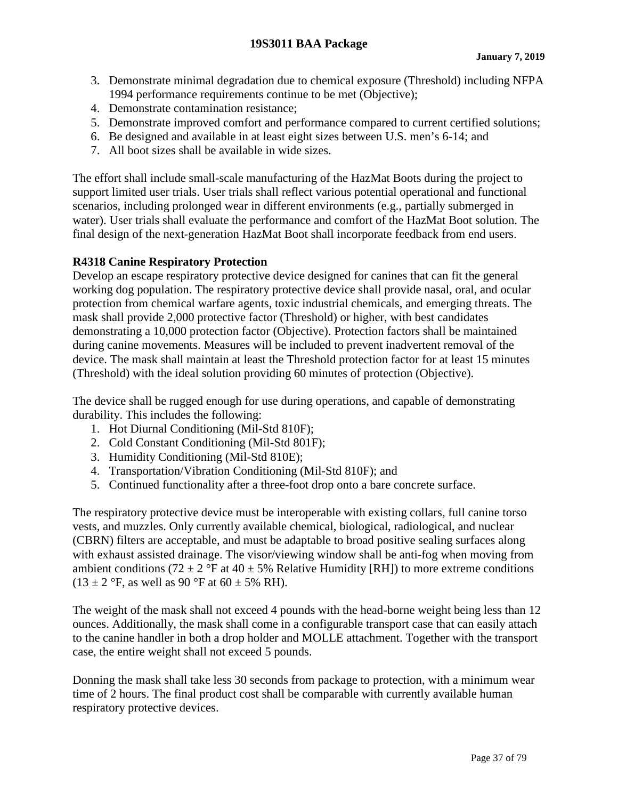- 3. Demonstrate minimal degradation due to chemical exposure (Threshold) including NFPA 1994 performance requirements continue to be met (Objective);
- 4. Demonstrate contamination resistance;
- 5. Demonstrate improved comfort and performance compared to current certified solutions;
- 6. Be designed and available in at least eight sizes between U.S. men's 6-14; and
- 7. All boot sizes shall be available in wide sizes.

The effort shall include small-scale manufacturing of the HazMat Boots during the project to support limited user trials. User trials shall reflect various potential operational and functional scenarios, including prolonged wear in different environments (e.g., partially submerged in water). User trials shall evaluate the performance and comfort of the HazMat Boot solution. The final design of the next-generation HazMat Boot shall incorporate feedback from end users.

## **R4318 Canine Respiratory Protection**

Develop an escape respiratory protective device designed for canines that can fit the general working dog population. The respiratory protective device shall provide nasal, oral, and ocular protection from chemical warfare agents, toxic industrial chemicals, and emerging threats. The mask shall provide 2,000 protective factor (Threshold) or higher, with best candidates demonstrating a 10,000 protection factor (Objective). Protection factors shall be maintained during canine movements. Measures will be included to prevent inadvertent removal of the device. The mask shall maintain at least the Threshold protection factor for at least 15 minutes (Threshold) with the ideal solution providing 60 minutes of protection (Objective).

The device shall be rugged enough for use during operations, and capable of demonstrating durability. This includes the following:

- 1. Hot Diurnal Conditioning (Mil-Std 810F);
- 2. Cold Constant Conditioning (Mil-Std 801F);
- 3. Humidity Conditioning (Mil-Std 810E);
- 4. Transportation/Vibration Conditioning (Mil-Std 810F); and
- 5. Continued functionality after a three-foot drop onto a bare concrete surface.

The respiratory protective device must be interoperable with existing collars, full canine torso vests, and muzzles. Only currently available chemical, biological, radiological, and nuclear (CBRN) filters are acceptable, and must be adaptable to broad positive sealing surfaces along with exhaust assisted drainage. The visor/viewing window shall be anti-fog when moving from ambient conditions (72  $\pm$  2 °F at 40  $\pm$  5% Relative Humidity [RH]) to more extreme conditions  $(13 \pm 2 \text{ °F}, \text{ as well as } 90 \text{ °F at } 60 \pm 5\% \text{ RH}).$ 

The weight of the mask shall not exceed 4 pounds with the head-borne weight being less than 12 ounces. Additionally, the mask shall come in a configurable transport case that can easily attach to the canine handler in both a drop holder and MOLLE attachment. Together with the transport case, the entire weight shall not exceed 5 pounds.

Donning the mask shall take less 30 seconds from package to protection, with a minimum wear time of 2 hours. The final product cost shall be comparable with currently available human respiratory protective devices.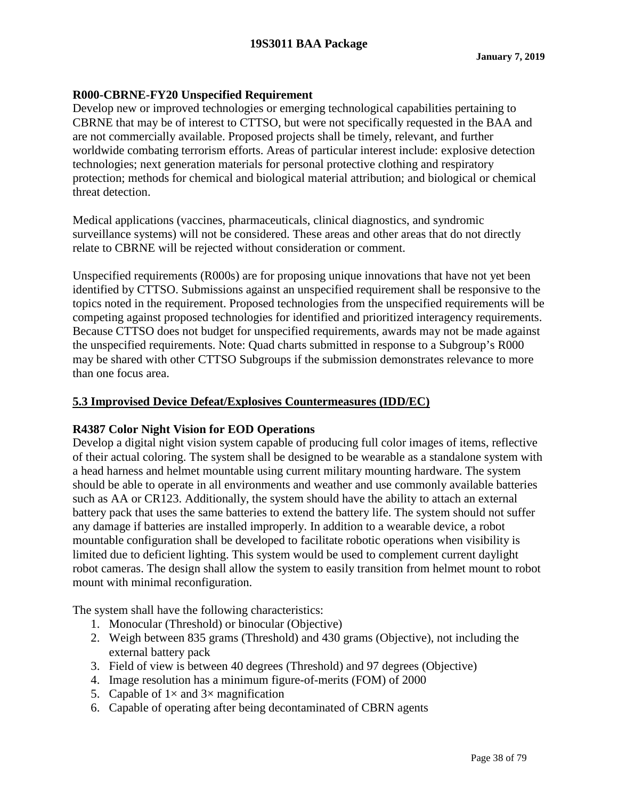## **R000-CBRNE-FY20 Unspecified Requirement**

Develop new or improved technologies or emerging technological capabilities pertaining to CBRNE that may be of interest to CTTSO, but were not specifically requested in the BAA and are not commercially available. Proposed projects shall be timely, relevant, and further worldwide combating terrorism efforts. Areas of particular interest include: explosive detection technologies; next generation materials for personal protective clothing and respiratory protection; methods for chemical and biological material attribution; and biological or chemical threat detection.

Medical applications (vaccines, pharmaceuticals, clinical diagnostics, and syndromic surveillance systems) will not be considered. These areas and other areas that do not directly relate to CBRNE will be rejected without consideration or comment.

Unspecified requirements (R000s) are for proposing unique innovations that have not yet been identified by CTTSO. Submissions against an unspecified requirement shall be responsive to the topics noted in the requirement. Proposed technologies from the unspecified requirements will be competing against proposed technologies for identified and prioritized interagency requirements. Because CTTSO does not budget for unspecified requirements, awards may not be made against the unspecified requirements. Note: Quad charts submitted in response to a Subgroup's R000 may be shared with other CTTSO Subgroups if the submission demonstrates relevance to more than one focus area.

#### **5.3 Improvised Device Defeat/Explosives Countermeasures (IDD/EC)**

#### **R4387 Color Night Vision for EOD Operations**

Develop a digital night vision system capable of producing full color images of items, reflective of their actual coloring. The system shall be designed to be wearable as a standalone system with a head harness and helmet mountable using current military mounting hardware. The system should be able to operate in all environments and weather and use commonly available batteries such as AA or CR123. Additionally, the system should have the ability to attach an external battery pack that uses the same batteries to extend the battery life. The system should not suffer any damage if batteries are installed improperly. In addition to a wearable device, a robot mountable configuration shall be developed to facilitate robotic operations when visibility is limited due to deficient lighting. This system would be used to complement current daylight robot cameras. The design shall allow the system to easily transition from helmet mount to robot mount with minimal reconfiguration.

The system shall have the following characteristics:

- 1. Monocular (Threshold) or binocular (Objective)
- 2. Weigh between 835 grams (Threshold) and 430 grams (Objective), not including the external battery pack
- 3. Field of view is between 40 degrees (Threshold) and 97 degrees (Objective)
- 4. Image resolution has a minimum figure-of-merits (FOM) of 2000
- 5. Capable of  $1 \times$  and  $3 \times$  magnification
- 6. Capable of operating after being decontaminated of CBRN agents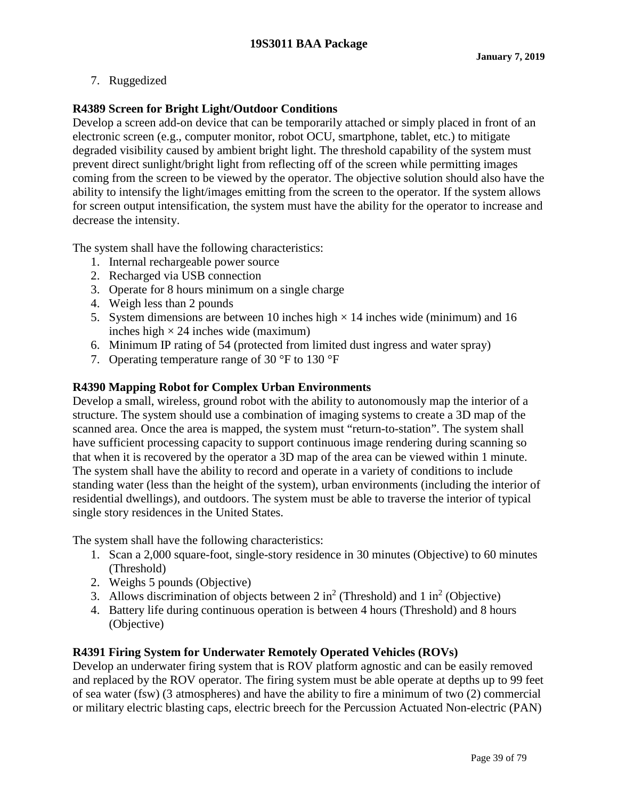7. Ruggedized

## **R4389 Screen for Bright Light/Outdoor Conditions**

Develop a screen add-on device that can be temporarily attached or simply placed in front of an electronic screen (e.g., computer monitor, robot OCU, smartphone, tablet, etc.) to mitigate degraded visibility caused by ambient bright light. The threshold capability of the system must prevent direct sunlight/bright light from reflecting off of the screen while permitting images coming from the screen to be viewed by the operator. The objective solution should also have the ability to intensify the light/images emitting from the screen to the operator. If the system allows for screen output intensification, the system must have the ability for the operator to increase and decrease the intensity.

The system shall have the following characteristics:

- 1. Internal rechargeable power source
- 2. Recharged via USB connection
- 3. Operate for 8 hours minimum on a single charge
- 4. Weigh less than 2 pounds
- 5. System dimensions are between 10 inches high  $\times$  14 inches wide (minimum) and 16 inches high  $\times$  24 inches wide (maximum)
- 6. Minimum IP rating of 54 (protected from limited dust ingress and water spray)
- 7. Operating temperature range of 30 °F to 130 °F

## **R4390 Mapping Robot for Complex Urban Environments**

Develop a small, wireless, ground robot with the ability to autonomously map the interior of a structure. The system should use a combination of imaging systems to create a 3D map of the scanned area. Once the area is mapped, the system must "return-to-station". The system shall have sufficient processing capacity to support continuous image rendering during scanning so that when it is recovered by the operator a 3D map of the area can be viewed within 1 minute. The system shall have the ability to record and operate in a variety of conditions to include standing water (less than the height of the system), urban environments (including the interior of residential dwellings), and outdoors. The system must be able to traverse the interior of typical single story residences in the United States.

The system shall have the following characteristics:

- 1. Scan a 2,000 square-foot, single-story residence in 30 minutes (Objective) to 60 minutes (Threshold)
- 2. Weighs 5 pounds (Objective)
- 3. Allows discrimination of objects between  $2 \text{ in}^2$  (Threshold) and  $1 \text{ in}^2$  (Objective)
- 4. Battery life during continuous operation is between 4 hours (Threshold) and 8 hours (Objective)

# **R4391 Firing System for Underwater Remotely Operated Vehicles (ROVs)**

Develop an underwater firing system that is ROV platform agnostic and can be easily removed and replaced by the ROV operator. The firing system must be able operate at depths up to 99 feet of sea water (fsw) (3 atmospheres) and have the ability to fire a minimum of two (2) commercial or military electric blasting caps, electric breech for the Percussion Actuated Non-electric (PAN)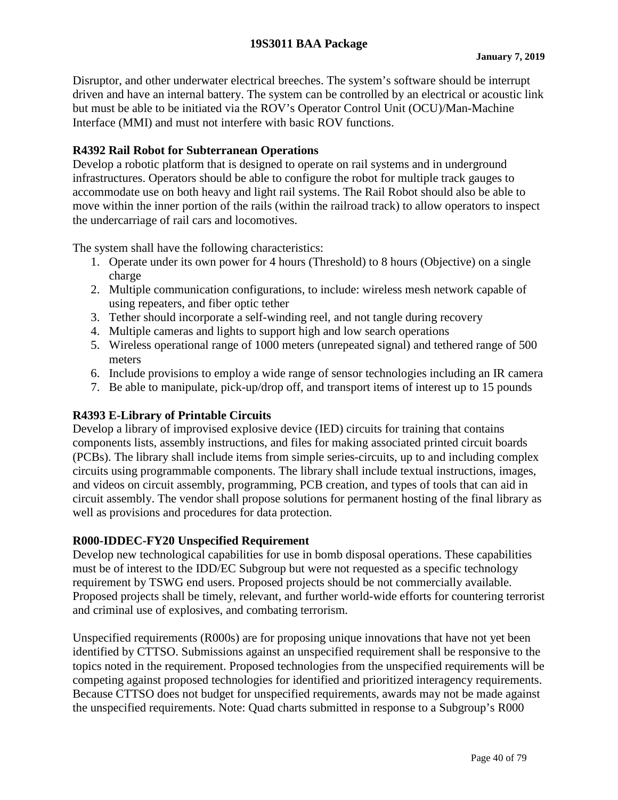#### **19S3011 BAA Package**

Disruptor, and other underwater electrical breeches. The system's software should be interrupt driven and have an internal battery. The system can be controlled by an electrical or acoustic link but must be able to be initiated via the ROV's Operator Control Unit (OCU)/Man-Machine Interface (MMI) and must not interfere with basic ROV functions.

#### **R4392 Rail Robot for Subterranean Operations**

Develop a robotic platform that is designed to operate on rail systems and in underground infrastructures. Operators should be able to configure the robot for multiple track gauges to accommodate use on both heavy and light rail systems. The Rail Robot should also be able to move within the inner portion of the rails (within the railroad track) to allow operators to inspect the undercarriage of rail cars and locomotives.

The system shall have the following characteristics:

- 1. Operate under its own power for 4 hours (Threshold) to 8 hours (Objective) on a single charge
- 2. Multiple communication configurations, to include: wireless mesh network capable of using repeaters, and fiber optic tether
- 3. Tether should incorporate a self-winding reel, and not tangle during recovery
- 4. Multiple cameras and lights to support high and low search operations
- 5. Wireless operational range of 1000 meters (unrepeated signal) and tethered range of 500 meters
- 6. Include provisions to employ a wide range of sensor technologies including an IR camera
- 7. Be able to manipulate, pick-up/drop off, and transport items of interest up to 15 pounds

#### **R4393 E-Library of Printable Circuits**

Develop a library of improvised explosive device (IED) circuits for training that contains components lists, assembly instructions, and files for making associated printed circuit boards (PCBs). The library shall include items from simple series-circuits, up to and including complex circuits using programmable components. The library shall include textual instructions, images, and videos on circuit assembly, programming, PCB creation, and types of tools that can aid in circuit assembly. The vendor shall propose solutions for permanent hosting of the final library as well as provisions and procedures for data protection.

#### **R000-IDDEC-FY20 Unspecified Requirement**

Develop new technological capabilities for use in bomb disposal operations. These capabilities must be of interest to the IDD/EC Subgroup but were not requested as a specific technology requirement by TSWG end users. Proposed projects should be not commercially available. Proposed projects shall be timely, relevant, and further world-wide efforts for countering terrorist and criminal use of explosives, and combating terrorism.

Unspecified requirements (R000s) are for proposing unique innovations that have not yet been identified by CTTSO. Submissions against an unspecified requirement shall be responsive to the topics noted in the requirement. Proposed technologies from the unspecified requirements will be competing against proposed technologies for identified and prioritized interagency requirements. Because CTTSO does not budget for unspecified requirements, awards may not be made against the unspecified requirements. Note: Quad charts submitted in response to a Subgroup's R000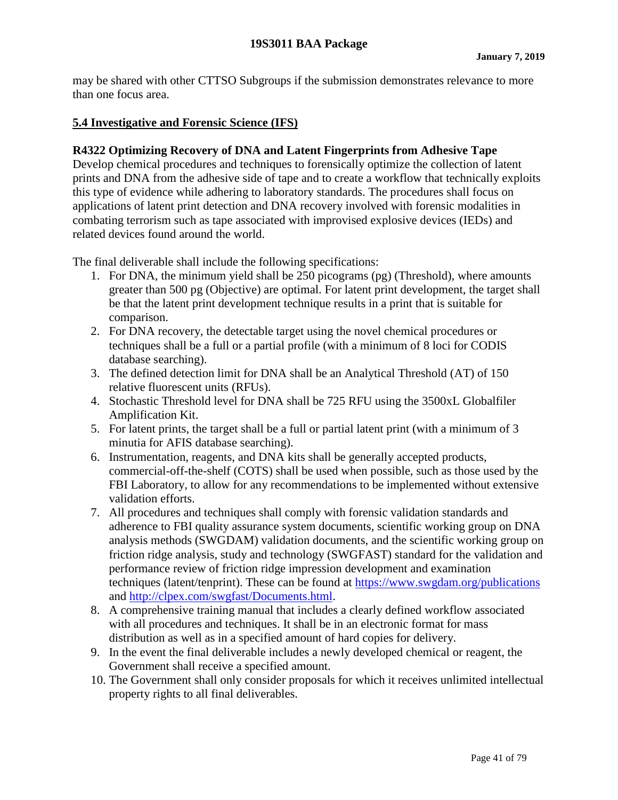may be shared with other CTTSO Subgroups if the submission demonstrates relevance to more than one focus area.

## **5.4 Investigative and Forensic Science (IFS)**

#### **R4322 Optimizing Recovery of DNA and Latent Fingerprints from Adhesive Tape**

Develop chemical procedures and techniques to forensically optimize the collection of latent prints and DNA from the adhesive side of tape and to create a workflow that technically exploits this type of evidence while adhering to laboratory standards. The procedures shall focus on applications of latent print detection and DNA recovery involved with forensic modalities in combating terrorism such as tape associated with improvised explosive devices (IEDs) and related devices found around the world.

The final deliverable shall include the following specifications:

- 1. For DNA, the minimum yield shall be 250 picograms (pg) (Threshold), where amounts greater than 500 pg (Objective) are optimal. For latent print development, the target shall be that the latent print development technique results in a print that is suitable for comparison.
- 2. For DNA recovery, the detectable target using the novel chemical procedures or techniques shall be a full or a partial profile (with a minimum of 8 loci for CODIS database searching).
- 3. The defined detection limit for DNA shall be an Analytical Threshold (AT) of 150 relative fluorescent units (RFUs).
- 4. Stochastic Threshold level for DNA shall be 725 RFU using the 3500xL Globalfiler Amplification Kit.
- 5. For latent prints, the target shall be a full or partial latent print (with a minimum of 3 minutia for AFIS database searching).
- 6. Instrumentation, reagents, and DNA kits shall be generally accepted products, commercial-off-the-shelf (COTS) shall be used when possible, such as those used by the FBI Laboratory, to allow for any recommendations to be implemented without extensive validation efforts.
- 7. All procedures and techniques shall comply with forensic validation standards and adherence to FBI quality assurance system documents, scientific working group on DNA analysis methods (SWGDAM) validation documents, and the scientific working group on friction ridge analysis, study and technology (SWGFAST) standard for the validation and performance review of friction ridge impression development and examination techniques (latent/tenprint). These can be found at https://www.swgdam.org/publications and http://clpex.com/swgfast/Documents.html.
- 8. A comprehensive training manual that includes a clearly defined workflow associated with all procedures and techniques. It shall be in an electronic format for mass distribution as well as in a specified amount of hard copies for delivery.
- 9. In the event the final deliverable includes a newly developed chemical or reagent, the Government shall receive a specified amount.
- 10. The Government shall only consider proposals for which it receives unlimited intellectual property rights to all final deliverables.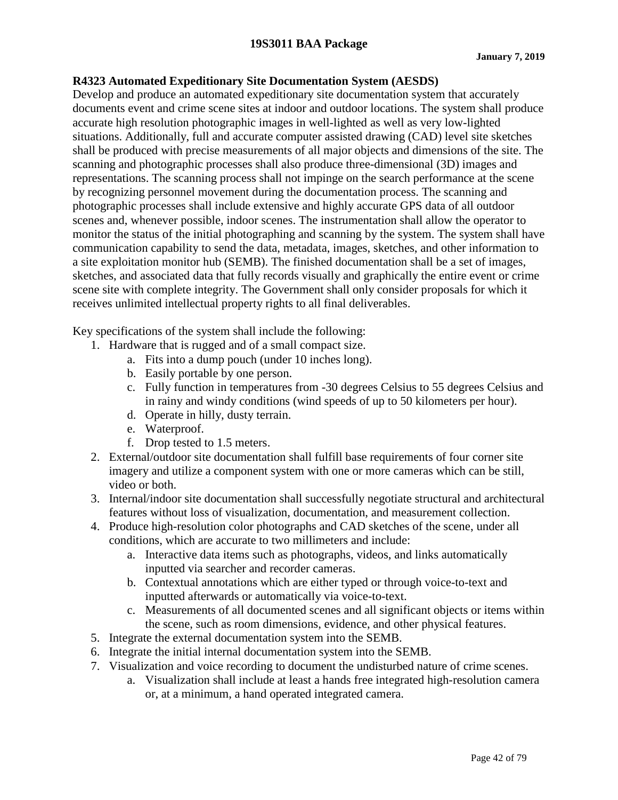#### **19S3011 BAA Package**

#### **R4323 Automated Expeditionary Site Documentation System (AESDS)**

Develop and produce an automated expeditionary site documentation system that accurately documents event and crime scene sites at indoor and outdoor locations. The system shall produce accurate high resolution photographic images in well-lighted as well as very low-lighted situations. Additionally, full and accurate computer assisted drawing (CAD) level site sketches shall be produced with precise measurements of all major objects and dimensions of the site. The scanning and photographic processes shall also produce three-dimensional (3D) images and representations. The scanning process shall not impinge on the search performance at the scene by recognizing personnel movement during the documentation process. The scanning and photographic processes shall include extensive and highly accurate GPS data of all outdoor scenes and, whenever possible, indoor scenes. The instrumentation shall allow the operator to monitor the status of the initial photographing and scanning by the system. The system shall have communication capability to send the data, metadata, images, sketches, and other information to a site exploitation monitor hub (SEMB). The finished documentation shall be a set of images, sketches, and associated data that fully records visually and graphically the entire event or crime scene site with complete integrity. The Government shall only consider proposals for which it receives unlimited intellectual property rights to all final deliverables.

Key specifications of the system shall include the following:

- 1. Hardware that is rugged and of a small compact size.
	- a. Fits into a dump pouch (under 10 inches long).
	- b. Easily portable by one person.
	- c. Fully function in temperatures from -30 degrees Celsius to 55 degrees Celsius and in rainy and windy conditions (wind speeds of up to 50 kilometers per hour).
	- d. Operate in hilly, dusty terrain.
	- e. Waterproof.
	- f. Drop tested to 1.5 meters.
- 2. External/outdoor site documentation shall fulfill base requirements of four corner site imagery and utilize a component system with one or more cameras which can be still, video or both.
- 3. Internal/indoor site documentation shall successfully negotiate structural and architectural features without loss of visualization, documentation, and measurement collection.
- 4. Produce high-resolution color photographs and CAD sketches of the scene, under all conditions, which are accurate to two millimeters and include:
	- a. Interactive data items such as photographs, videos, and links automatically inputted via searcher and recorder cameras.
	- b. Contextual annotations which are either typed or through voice-to-text and inputted afterwards or automatically via voice-to-text.
	- c. Measurements of all documented scenes and all significant objects or items within the scene, such as room dimensions, evidence, and other physical features.
- 5. Integrate the external documentation system into the SEMB.
- 6. Integrate the initial internal documentation system into the SEMB.
- 7. Visualization and voice recording to document the undisturbed nature of crime scenes.
	- a. Visualization shall include at least a hands free integrated high-resolution camera or, at a minimum, a hand operated integrated camera.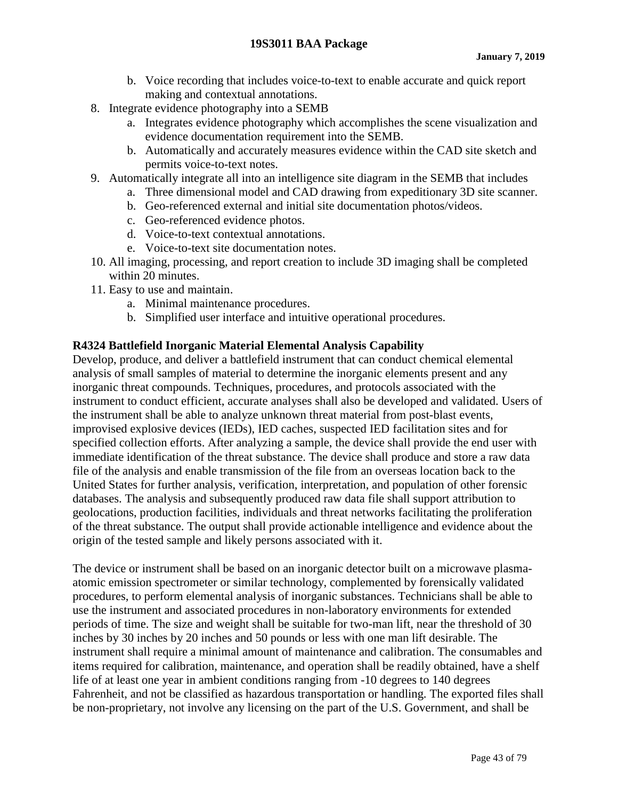- b. Voice recording that includes voice-to-text to enable accurate and quick report making and contextual annotations.
- 8. Integrate evidence photography into a SEMB
	- a. Integrates evidence photography which accomplishes the scene visualization and evidence documentation requirement into the SEMB.
	- b. Automatically and accurately measures evidence within the CAD site sketch and permits voice-to-text notes.
- 9. Automatically integrate all into an intelligence site diagram in the SEMB that includes
	- a. Three dimensional model and CAD drawing from expeditionary 3D site scanner.
		- b. Geo-referenced external and initial site documentation photos/videos.
		- c. Geo-referenced evidence photos.
		- d. Voice-to-text contextual annotations.
		- e. Voice-to-text site documentation notes.
- 10. All imaging, processing, and report creation to include 3D imaging shall be completed within 20 minutes.
- 11. Easy to use and maintain.
	- a. Minimal maintenance procedures.
	- b. Simplified user interface and intuitive operational procedures.

#### **R4324 Battlefield Inorganic Material Elemental Analysis Capability**

Develop, produce, and deliver a battlefield instrument that can conduct chemical elemental analysis of small samples of material to determine the inorganic elements present and any inorganic threat compounds. Techniques, procedures, and protocols associated with the instrument to conduct efficient, accurate analyses shall also be developed and validated. Users of the instrument shall be able to analyze unknown threat material from post-blast events, improvised explosive devices (IEDs), IED caches, suspected IED facilitation sites and for specified collection efforts. After analyzing a sample, the device shall provide the end user with immediate identification of the threat substance. The device shall produce and store a raw data file of the analysis and enable transmission of the file from an overseas location back to the United States for further analysis, verification, interpretation, and population of other forensic databases. The analysis and subsequently produced raw data file shall support attribution to geolocations, production facilities, individuals and threat networks facilitating the proliferation of the threat substance. The output shall provide actionable intelligence and evidence about the origin of the tested sample and likely persons associated with it.

The device or instrument shall be based on an inorganic detector built on a microwave plasmaatomic emission spectrometer or similar technology, complemented by forensically validated procedures, to perform elemental analysis of inorganic substances. Technicians shall be able to use the instrument and associated procedures in non-laboratory environments for extended periods of time. The size and weight shall be suitable for two-man lift, near the threshold of 30 inches by 30 inches by 20 inches and 50 pounds or less with one man lift desirable. The instrument shall require a minimal amount of maintenance and calibration. The consumables and items required for calibration, maintenance, and operation shall be readily obtained, have a shelf life of at least one year in ambient conditions ranging from -10 degrees to 140 degrees Fahrenheit, and not be classified as hazardous transportation or handling. The exported files shall be non-proprietary, not involve any licensing on the part of the U.S. Government, and shall be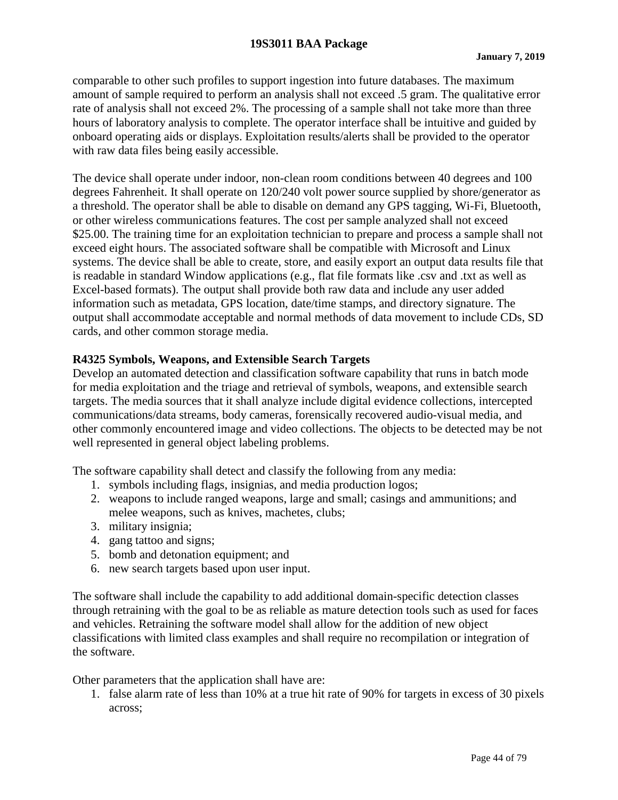comparable to other such profiles to support ingestion into future databases. The maximum amount of sample required to perform an analysis shall not exceed .5 gram. The qualitative error rate of analysis shall not exceed 2%. The processing of a sample shall not take more than three hours of laboratory analysis to complete. The operator interface shall be intuitive and guided by onboard operating aids or displays. Exploitation results/alerts shall be provided to the operator with raw data files being easily accessible.

The device shall operate under indoor, non-clean room conditions between 40 degrees and 100 degrees Fahrenheit. It shall operate on 120/240 volt power source supplied by shore/generator as a threshold. The operator shall be able to disable on demand any GPS tagging, Wi-Fi, Bluetooth, or other wireless communications features. The cost per sample analyzed shall not exceed \$25.00. The training time for an exploitation technician to prepare and process a sample shall not exceed eight hours. The associated software shall be compatible with Microsoft and Linux systems. The device shall be able to create, store, and easily export an output data results file that is readable in standard Window applications (e.g., flat file formats like .csv and .txt as well as Excel-based formats). The output shall provide both raw data and include any user added information such as metadata, GPS location, date/time stamps, and directory signature. The output shall accommodate acceptable and normal methods of data movement to include CDs, SD cards, and other common storage media.

## **R4325 Symbols, Weapons, and Extensible Search Targets**

Develop an automated detection and classification software capability that runs in batch mode for media exploitation and the triage and retrieval of symbols, weapons, and extensible search targets. The media sources that it shall analyze include digital evidence collections, intercepted communications/data streams, body cameras, forensically recovered audio-visual media, and other commonly encountered image and video collections. The objects to be detected may be not well represented in general object labeling problems.

The software capability shall detect and classify the following from any media:

- 1. symbols including flags, insignias, and media production logos;
- 2. weapons to include ranged weapons, large and small; casings and ammunitions; and melee weapons, such as knives, machetes, clubs;
- 3. military insignia;
- 4. gang tattoo and signs;
- 5. bomb and detonation equipment; and
- 6. new search targets based upon user input.

The software shall include the capability to add additional domain-specific detection classes through retraining with the goal to be as reliable as mature detection tools such as used for faces and vehicles. Retraining the software model shall allow for the addition of new object classifications with limited class examples and shall require no recompilation or integration of the software.

Other parameters that the application shall have are:

1. false alarm rate of less than 10% at a true hit rate of 90% for targets in excess of 30 pixels across;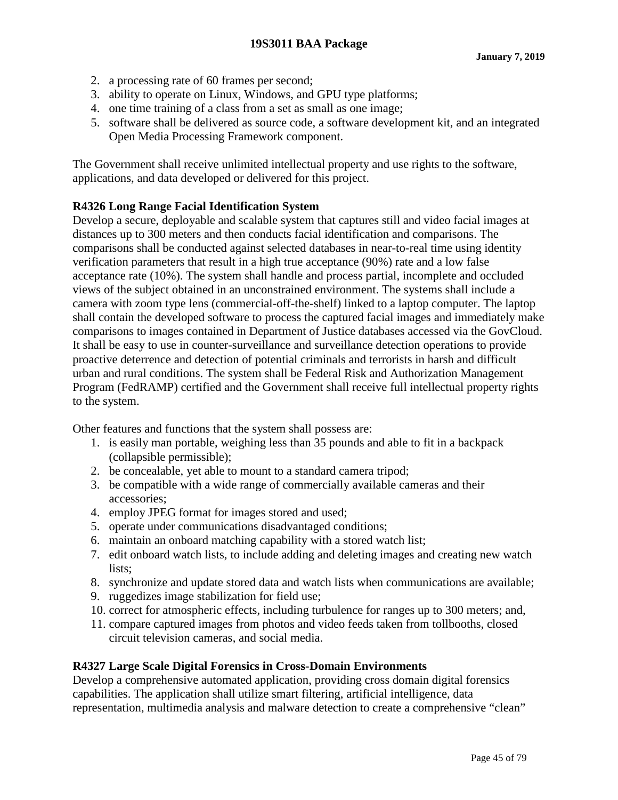- 2. a processing rate of 60 frames per second;
- 3. ability to operate on Linux, Windows, and GPU type platforms;
- 4. one time training of a class from a set as small as one image;
- 5. software shall be delivered as source code, a software development kit, and an integrated Open Media Processing Framework component.

The Government shall receive unlimited intellectual property and use rights to the software, applications, and data developed or delivered for this project.

## **R4326 Long Range Facial Identification System**

Develop a secure, deployable and scalable system that captures still and video facial images at distances up to 300 meters and then conducts facial identification and comparisons. The comparisons shall be conducted against selected databases in near-to-real time using identity verification parameters that result in a high true acceptance (90%) rate and a low false acceptance rate (10%). The system shall handle and process partial, incomplete and occluded views of the subject obtained in an unconstrained environment. The systems shall include a camera with zoom type lens (commercial-off-the-shelf) linked to a laptop computer. The laptop shall contain the developed software to process the captured facial images and immediately make comparisons to images contained in Department of Justice databases accessed via the GovCloud. It shall be easy to use in counter-surveillance and surveillance detection operations to provide proactive deterrence and detection of potential criminals and terrorists in harsh and difficult urban and rural conditions. The system shall be Federal Risk and Authorization Management Program (FedRAMP) certified and the Government shall receive full intellectual property rights to the system.

Other features and functions that the system shall possess are:

- 1. is easily man portable, weighing less than 35 pounds and able to fit in a backpack (collapsible permissible);
- 2. be concealable, yet able to mount to a standard camera tripod;
- 3. be compatible with a wide range of commercially available cameras and their accessories;
- 4. employ JPEG format for images stored and used;
- 5. operate under communications disadvantaged conditions;
- 6. maintain an onboard matching capability with a stored watch list;
- 7. edit onboard watch lists, to include adding and deleting images and creating new watch lists;
- 8. synchronize and update stored data and watch lists when communications are available;
- 9. ruggedizes image stabilization for field use;
- 10. correct for atmospheric effects, including turbulence for ranges up to 300 meters; and,
- 11. compare captured images from photos and video feeds taken from tollbooths, closed circuit television cameras, and social media.

#### **R4327 Large Scale Digital Forensics in Cross-Domain Environments**

Develop a comprehensive automated application, providing cross domain digital forensics capabilities. The application shall utilize smart filtering, artificial intelligence, data representation, multimedia analysis and malware detection to create a comprehensive "clean"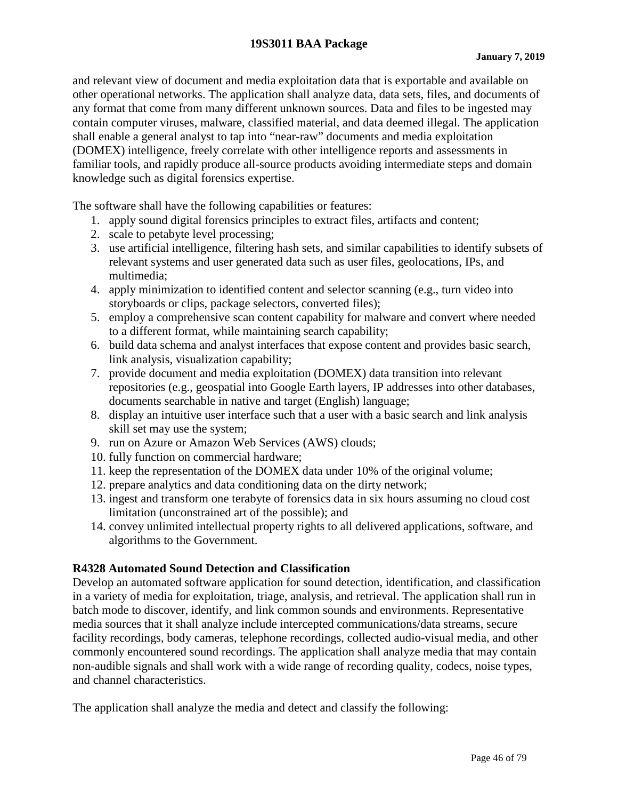## **19S3011 BAA Package**

and relevant view of document and media exploitation data that is exportable and available on other operational networks. The application shall analyze data, data sets, files, and documents of any format that come from many different unknown sources. Data and files to be ingested may contain computer viruses, malware, classified material, and data deemed illegal. The application shall enable a general analyst to tap into "near-raw" documents and media exploitation (DOMEX) intelligence, freely correlate with other intelligence reports and assessments in familiar tools, and rapidly produce all-source products avoiding intermediate steps and domain knowledge such as digital forensics expertise.

The software shall have the following capabilities or features:

- 1. apply sound digital forensics principles to extract files, artifacts and content;
- 2. scale to petabyte level processing;
- 3. use artificial intelligence, filtering hash sets, and similar capabilities to identify subsets of relevant systems and user generated data such as user files, geolocations, IPs, and multimedia;
- 4. apply minimization to identified content and selector scanning (e.g., turn video into storyboards or clips, package selectors, converted files);
- 5. employ a comprehensive scan content capability for malware and convert where needed to a different format, while maintaining search capability;
- 6. build data schema and analyst interfaces that expose content and provides basic search, link analysis, visualization capability;
- 7. provide document and media exploitation (DOMEX) data transition into relevant repositories (e.g., geospatial into Google Earth layers, IP addresses into other databases, documents searchable in native and target (English) language;
- 8. display an intuitive user interface such that a user with a basic search and link analysis skill set may use the system;
- 9. run on Azure or Amazon Web Services (AWS) clouds;
- 10. fully function on commercial hardware;
- 11. keep the representation of the DOMEX data under 10% of the original volume;
- 12. prepare analytics and data conditioning data on the dirty network;
- 13. ingest and transform one terabyte of forensics data in six hours assuming no cloud cost limitation (unconstrained art of the possible); and
- 14. convey unlimited intellectual property rights to all delivered applications, software, and algorithms to the Government.

## **R4328 Automated Sound Detection and Classification**

Develop an automated software application for sound detection, identification, and classification in a variety of media for exploitation, triage, analysis, and retrieval. The application shall run in batch mode to discover, identify, and link common sounds and environments. Representative media sources that it shall analyze include intercepted communications/data streams, secure facility recordings, body cameras, telephone recordings, collected audio-visual media, and other commonly encountered sound recordings. The application shall analyze media that may contain non-audible signals and shall work with a wide range of recording quality, codecs, noise types, and channel characteristics.

The application shall analyze the media and detect and classify the following: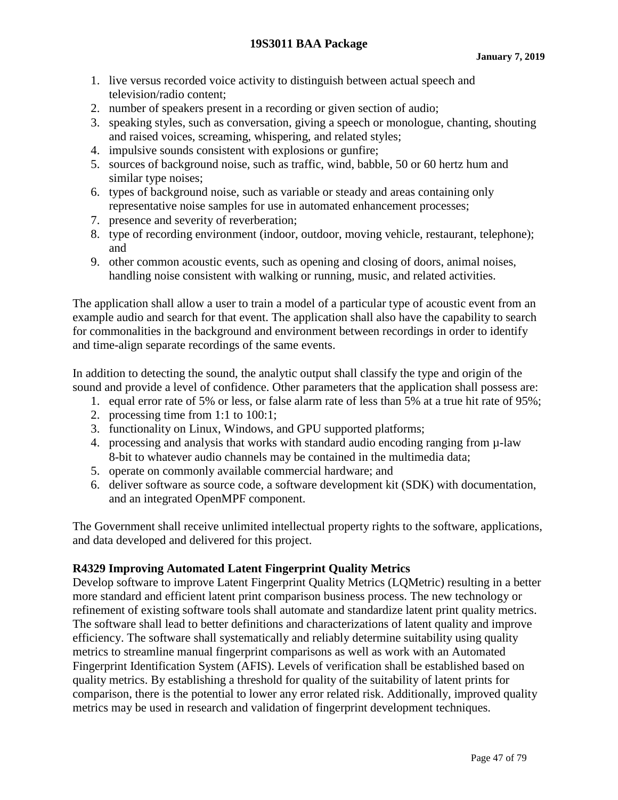- 1. live versus recorded voice activity to distinguish between actual speech and television/radio content;
- 2. number of speakers present in a recording or given section of audio;
- 3. speaking styles, such as conversation, giving a speech or monologue, chanting, shouting and raised voices, screaming, whispering, and related styles;
- 4. impulsive sounds consistent with explosions or gunfire;
- 5. sources of background noise, such as traffic, wind, babble, 50 or 60 hertz hum and similar type noises;
- 6. types of background noise, such as variable or steady and areas containing only representative noise samples for use in automated enhancement processes;
- 7. presence and severity of reverberation;
- 8. type of recording environment (indoor, outdoor, moving vehicle, restaurant, telephone); and
- 9. other common acoustic events, such as opening and closing of doors, animal noises, handling noise consistent with walking or running, music, and related activities.

The application shall allow a user to train a model of a particular type of acoustic event from an example audio and search for that event. The application shall also have the capability to search for commonalities in the background and environment between recordings in order to identify and time-align separate recordings of the same events.

In addition to detecting the sound, the analytic output shall classify the type and origin of the sound and provide a level of confidence. Other parameters that the application shall possess are:

- 1. equal error rate of 5% or less, or false alarm rate of less than 5% at a true hit rate of 95%;
- 2. processing time from 1:1 to 100:1;
- 3. functionality on Linux, Windows, and GPU supported platforms;
- 4. processing and analysis that works with standard audio encoding ranging from µ-law 8-bit to whatever audio channels may be contained in the multimedia data;
- 5. operate on commonly available commercial hardware; and
- 6. deliver software as source code, a software development kit (SDK) with documentation, and an integrated OpenMPF component.

The Government shall receive unlimited intellectual property rights to the software, applications, and data developed and delivered for this project.

## **R4329 Improving Automated Latent Fingerprint Quality Metrics**

Develop software to improve Latent Fingerprint Quality Metrics (LQMetric) resulting in a better more standard and efficient latent print comparison business process. The new technology or refinement of existing software tools shall automate and standardize latent print quality metrics. The software shall lead to better definitions and characterizations of latent quality and improve efficiency. The software shall systematically and reliably determine suitability using quality metrics to streamline manual fingerprint comparisons as well as work with an Automated Fingerprint Identification System (AFIS). Levels of verification shall be established based on quality metrics. By establishing a threshold for quality of the suitability of latent prints for comparison, there is the potential to lower any error related risk. Additionally, improved quality metrics may be used in research and validation of fingerprint development techniques.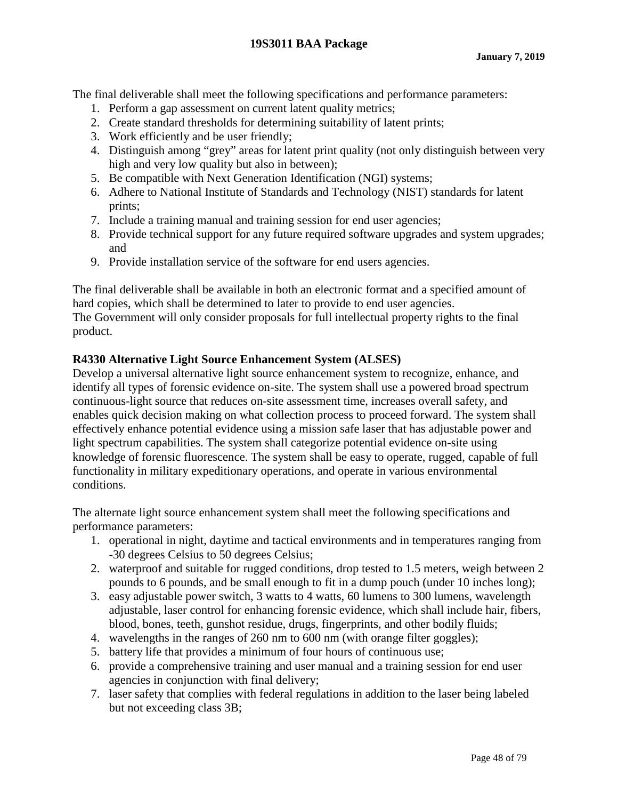The final deliverable shall meet the following specifications and performance parameters:

- 1. Perform a gap assessment on current latent quality metrics;
- 2. Create standard thresholds for determining suitability of latent prints;
- 3. Work efficiently and be user friendly;
- 4. Distinguish among "grey" areas for latent print quality (not only distinguish between very high and very low quality but also in between);
- 5. Be compatible with Next Generation Identification (NGI) systems;
- 6. Adhere to National Institute of Standards and Technology (NIST) standards for latent prints;
- 7. Include a training manual and training session for end user agencies;
- 8. Provide technical support for any future required software upgrades and system upgrades; and
- 9. Provide installation service of the software for end users agencies.

The final deliverable shall be available in both an electronic format and a specified amount of hard copies, which shall be determined to later to provide to end user agencies. The Government will only consider proposals for full intellectual property rights to the final product.

#### **R4330 Alternative Light Source Enhancement System (ALSES)**

Develop a universal alternative light source enhancement system to recognize, enhance, and identify all types of forensic evidence on-site. The system shall use a powered broad spectrum continuous-light source that reduces on-site assessment time, increases overall safety, and enables quick decision making on what collection process to proceed forward. The system shall effectively enhance potential evidence using a mission safe laser that has adjustable power and light spectrum capabilities. The system shall categorize potential evidence on-site using knowledge of forensic fluorescence. The system shall be easy to operate, rugged, capable of full functionality in military expeditionary operations, and operate in various environmental conditions.

The alternate light source enhancement system shall meet the following specifications and performance parameters:

- 1. operational in night, daytime and tactical environments and in temperatures ranging from -30 degrees Celsius to 50 degrees Celsius;
- 2. waterproof and suitable for rugged conditions, drop tested to 1.5 meters, weigh between 2 pounds to 6 pounds, and be small enough to fit in a dump pouch (under 10 inches long);
- 3. easy adjustable power switch, 3 watts to 4 watts, 60 lumens to 300 lumens, wavelength adjustable, laser control for enhancing forensic evidence, which shall include hair, fibers, blood, bones, teeth, gunshot residue, drugs, fingerprints, and other bodily fluids;
- 4. wavelengths in the ranges of 260 nm to 600 nm (with orange filter goggles);
- 5. battery life that provides a minimum of four hours of continuous use;
- 6. provide a comprehensive training and user manual and a training session for end user agencies in conjunction with final delivery;
- 7. laser safety that complies with federal regulations in addition to the laser being labeled but not exceeding class 3B;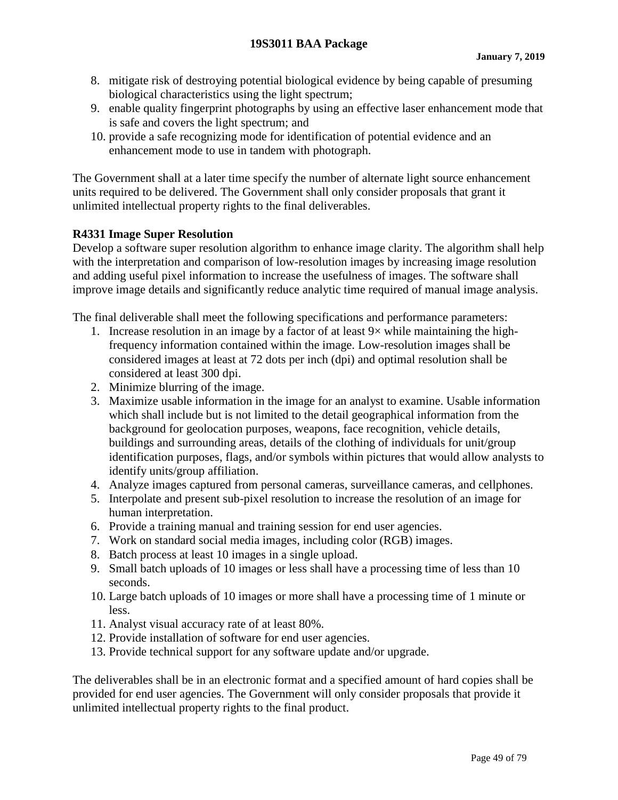- 8. mitigate risk of destroying potential biological evidence by being capable of presuming biological characteristics using the light spectrum;
- 9. enable quality fingerprint photographs by using an effective laser enhancement mode that is safe and covers the light spectrum; and
- 10. provide a safe recognizing mode for identification of potential evidence and an enhancement mode to use in tandem with photograph.

The Government shall at a later time specify the number of alternate light source enhancement units required to be delivered. The Government shall only consider proposals that grant it unlimited intellectual property rights to the final deliverables.

# **R4331 Image Super Resolution**

Develop a software super resolution algorithm to enhance image clarity. The algorithm shall help with the interpretation and comparison of low-resolution images by increasing image resolution and adding useful pixel information to increase the usefulness of images. The software shall improve image details and significantly reduce analytic time required of manual image analysis.

The final deliverable shall meet the following specifications and performance parameters:

- 1. Increase resolution in an image by a factor of at least  $9\times$  while maintaining the highfrequency information contained within the image. Low-resolution images shall be considered images at least at 72 dots per inch (dpi) and optimal resolution shall be considered at least 300 dpi.
- 2. Minimize blurring of the image.
- 3. Maximize usable information in the image for an analyst to examine. Usable information which shall include but is not limited to the detail geographical information from the background for geolocation purposes, weapons, face recognition, vehicle details, buildings and surrounding areas, details of the clothing of individuals for unit/group identification purposes, flags, and/or symbols within pictures that would allow analysts to identify units/group affiliation.
- 4. Analyze images captured from personal cameras, surveillance cameras, and cellphones.
- 5. Interpolate and present sub-pixel resolution to increase the resolution of an image for human interpretation.
- 6. Provide a training manual and training session for end user agencies.
- 7. Work on standard social media images, including color (RGB) images.
- 8. Batch process at least 10 images in a single upload.
- 9. Small batch uploads of 10 images or less shall have a processing time of less than 10 seconds.
- 10. Large batch uploads of 10 images or more shall have a processing time of 1 minute or less.
- 11. Analyst visual accuracy rate of at least 80%.
- 12. Provide installation of software for end user agencies.
- 13. Provide technical support for any software update and/or upgrade.

The deliverables shall be in an electronic format and a specified amount of hard copies shall be provided for end user agencies. The Government will only consider proposals that provide it unlimited intellectual property rights to the final product.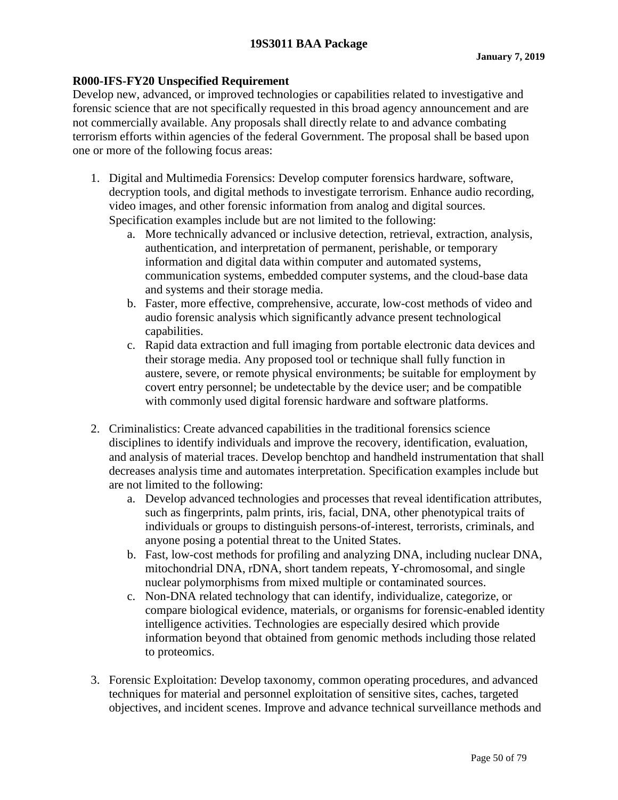## **R000-IFS-FY20 Unspecified Requirement**

Develop new, advanced, or improved technologies or capabilities related to investigative and forensic science that are not specifically requested in this broad agency announcement and are not commercially available. Any proposals shall directly relate to and advance combating terrorism efforts within agencies of the federal Government. The proposal shall be based upon one or more of the following focus areas:

- 1. Digital and Multimedia Forensics: Develop computer forensics hardware, software, decryption tools, and digital methods to investigate terrorism. Enhance audio recording, video images, and other forensic information from analog and digital sources. Specification examples include but are not limited to the following:
	- a. More technically advanced or inclusive detection, retrieval, extraction, analysis, authentication, and interpretation of permanent, perishable, or temporary information and digital data within computer and automated systems, communication systems, embedded computer systems, and the cloud-base data and systems and their storage media.
	- b. Faster, more effective, comprehensive, accurate, low-cost methods of video and audio forensic analysis which significantly advance present technological capabilities.
	- c. Rapid data extraction and full imaging from portable electronic data devices and their storage media. Any proposed tool or technique shall fully function in austere, severe, or remote physical environments; be suitable for employment by covert entry personnel; be undetectable by the device user; and be compatible with commonly used digital forensic hardware and software platforms.
- 2. Criminalistics: Create advanced capabilities in the traditional forensics science disciplines to identify individuals and improve the recovery, identification, evaluation, and analysis of material traces. Develop benchtop and handheld instrumentation that shall decreases analysis time and automates interpretation. Specification examples include but are not limited to the following:
	- a. Develop advanced technologies and processes that reveal identification attributes, such as fingerprints, palm prints, iris, facial, DNA, other phenotypical traits of individuals or groups to distinguish persons-of-interest, terrorists, criminals, and anyone posing a potential threat to the United States.
	- b. Fast, low-cost methods for profiling and analyzing DNA, including nuclear DNA, mitochondrial DNA, rDNA, short tandem repeats, Y-chromosomal, and single nuclear polymorphisms from mixed multiple or contaminated sources.
	- c. Non-DNA related technology that can identify, individualize, categorize, or compare biological evidence, materials, or organisms for forensic-enabled identity intelligence activities. Technologies are especially desired which provide information beyond that obtained from genomic methods including those related to proteomics.
- 3. Forensic Exploitation: Develop taxonomy, common operating procedures, and advanced techniques for material and personnel exploitation of sensitive sites, caches, targeted objectives, and incident scenes. Improve and advance technical surveillance methods and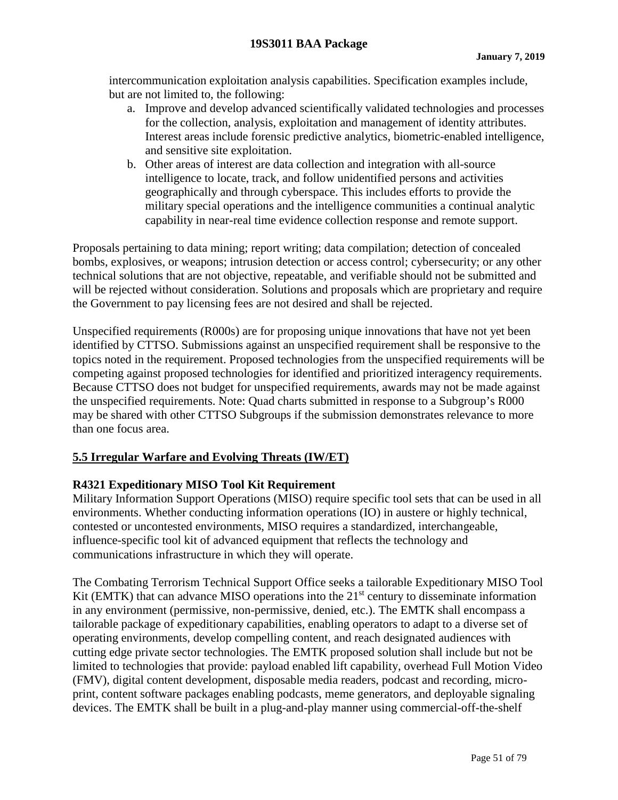intercommunication exploitation analysis capabilities. Specification examples include, but are not limited to, the following:

- a. Improve and develop advanced scientifically validated technologies and processes for the collection, analysis, exploitation and management of identity attributes. Interest areas include forensic predictive analytics, biometric-enabled intelligence, and sensitive site exploitation.
- b. Other areas of interest are data collection and integration with all-source intelligence to locate, track, and follow unidentified persons and activities geographically and through cyberspace. This includes efforts to provide the military special operations and the intelligence communities a continual analytic capability in near-real time evidence collection response and remote support.

Proposals pertaining to data mining; report writing; data compilation; detection of concealed bombs, explosives, or weapons; intrusion detection or access control; cybersecurity; or any other technical solutions that are not objective, repeatable, and verifiable should not be submitted and will be rejected without consideration. Solutions and proposals which are proprietary and require the Government to pay licensing fees are not desired and shall be rejected.

Unspecified requirements (R000s) are for proposing unique innovations that have not yet been identified by CTTSO. Submissions against an unspecified requirement shall be responsive to the topics noted in the requirement. Proposed technologies from the unspecified requirements will be competing against proposed technologies for identified and prioritized interagency requirements. Because CTTSO does not budget for unspecified requirements, awards may not be made against the unspecified requirements. Note: Quad charts submitted in response to a Subgroup's R000 may be shared with other CTTSO Subgroups if the submission demonstrates relevance to more than one focus area.

## **5.5 Irregular Warfare and Evolving Threats (IW/ET)**

## **R4321 Expeditionary MISO Tool Kit Requirement**

Military Information Support Operations (MISO) require specific tool sets that can be used in all environments. Whether conducting information operations (IO) in austere or highly technical, contested or uncontested environments, MISO requires a standardized, interchangeable, influence-specific tool kit of advanced equipment that reflects the technology and communications infrastructure in which they will operate.

The Combating Terrorism Technical Support Office seeks a tailorable Expeditionary MISO Tool Kit (EMTK) that can advance MISO operations into the  $21<sup>st</sup>$  century to disseminate information in any environment (permissive, non-permissive, denied, etc.). The EMTK shall encompass a tailorable package of expeditionary capabilities, enabling operators to adapt to a diverse set of operating environments, develop compelling content, and reach designated audiences with cutting edge private sector technologies. The EMTK proposed solution shall include but not be limited to technologies that provide: payload enabled lift capability, overhead Full Motion Video (FMV), digital content development, disposable media readers, podcast and recording, microprint, content software packages enabling podcasts, meme generators, and deployable signaling devices. The EMTK shall be built in a plug-and-play manner using commercial-off-the-shelf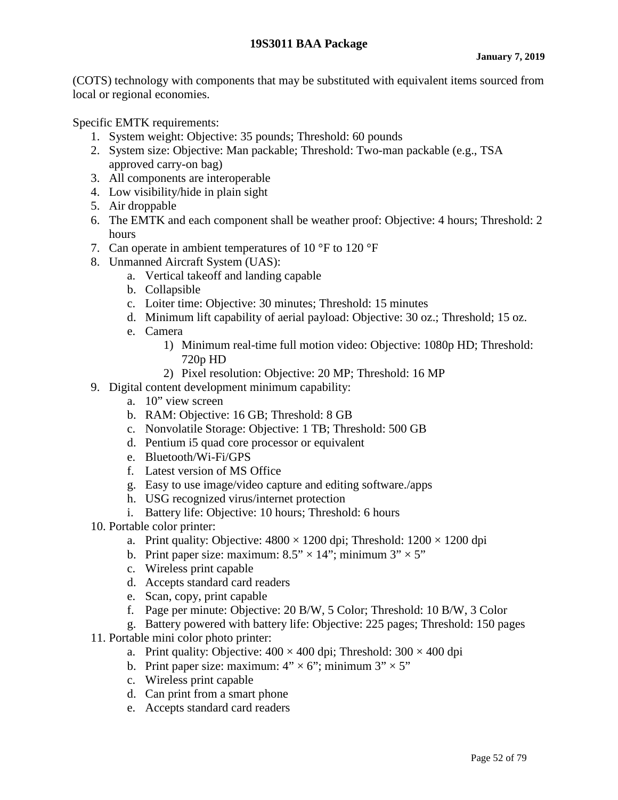#### **19S3011 BAA Package**

(COTS) technology with components that may be substituted with equivalent items sourced from local or regional economies.

Specific EMTK requirements:

- 1. System weight: Objective: 35 pounds; Threshold: 60 pounds
- 2. System size: Objective: Man packable; Threshold: Two-man packable (e.g., TSA approved carry-on bag)
- 3. All components are interoperable
- 4. Low visibility/hide in plain sight
- 5. Air droppable
- 6. The EMTK and each component shall be weather proof: Objective: 4 hours; Threshold: 2 hours
- 7. Can operate in ambient temperatures of 10  $\mathrm{^{\circ}F}$  to 120  $\mathrm{^{\circ}F}$
- 8. Unmanned Aircraft System (UAS):
	- a. Vertical takeoff and landing capable
	- b. Collapsible
	- c. Loiter time: Objective: 30 minutes; Threshold: 15 minutes
	- d. Minimum lift capability of aerial payload: Objective: 30 oz.; Threshold; 15 oz.
	- e. Camera
		- 1) Minimum real-time full motion video: Objective: 1080p HD; Threshold: 720p HD
		- 2) Pixel resolution: Objective: 20 MP; Threshold: 16 MP
- 9. Digital content development minimum capability:
	- a. 10" view screen
	- b. RAM: Objective: 16 GB; Threshold: 8 GB
	- c. Nonvolatile Storage: Objective: 1 TB; Threshold: 500 GB
	- d. Pentium i5 quad core processor or equivalent
	- e. Bluetooth/Wi-Fi/GPS
	- f. Latest version of MS Office
	- g. Easy to use image/video capture and editing software./apps
	- h. USG recognized virus/internet protection
	- i. Battery life: Objective: 10 hours; Threshold: 6 hours
- 10. Portable color printer:
	- a. Print quality: Objective:  $4800 \times 1200$  dpi; Threshold:  $1200 \times 1200$  dpi
	- b. Print paper size: maximum:  $8.5" \times 14"$ ; minimum  $3" \times 5"$
	- c. Wireless print capable
	- d. Accepts standard card readers
	- e. Scan, copy, print capable
	- f. Page per minute: Objective: 20 B/W, 5 Color; Threshold: 10 B/W, 3 Color
	- g. Battery powered with battery life: Objective: 225 pages; Threshold: 150 pages
- 11. Portable mini color photo printer:
	- a. Print quality: Objective:  $400 \times 400$  dpi; Threshold:  $300 \times 400$  dpi
	- b. Print paper size: maximum:  $4'' \times 6''$ ; minimum  $3'' \times 5''$
	- c. Wireless print capable
	- d. Can print from a smart phone
	- e. Accepts standard card readers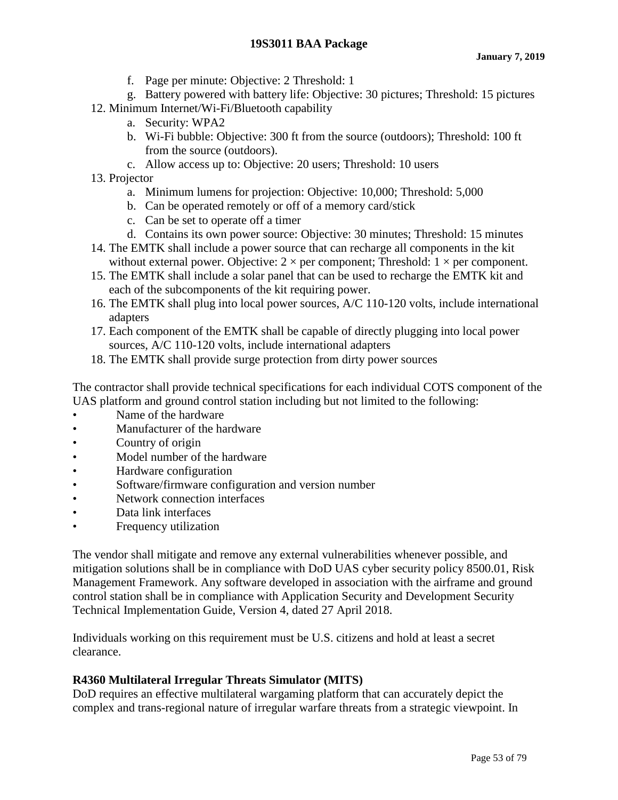- f. Page per minute: Objective: 2 Threshold: 1
- g. Battery powered with battery life: Objective: 30 pictures; Threshold: 15 pictures
- 12. Minimum Internet/Wi-Fi/Bluetooth capability
	- a. Security: WPA2
	- b. Wi-Fi bubble: Objective: 300 ft from the source (outdoors); Threshold: 100 ft from the source (outdoors).
	- c. Allow access up to: Objective: 20 users; Threshold: 10 users
- 13. Projector
	- a. Minimum lumens for projection: Objective: 10,000; Threshold: 5,000
	- b. Can be operated remotely or off of a memory card/stick
	- c. Can be set to operate off a timer
	- d. Contains its own power source: Objective: 30 minutes; Threshold: 15 minutes
- 14. The EMTK shall include a power source that can recharge all components in the kit without external power. Objective:  $2 \times$  per component; Threshold:  $1 \times$  per component.
- 15. The EMTK shall include a solar panel that can be used to recharge the EMTK kit and each of the subcomponents of the kit requiring power.
- 16. The EMTK shall plug into local power sources, A/C 110-120 volts, include international adapters
- 17. Each component of the EMTK shall be capable of directly plugging into local power sources, A/C 110-120 volts, include international adapters
- 18. The EMTK shall provide surge protection from dirty power sources

The contractor shall provide technical specifications for each individual COTS component of the UAS platform and ground control station including but not limited to the following:

- Name of the hardware
- Manufacturer of the hardware
- Country of origin
- Model number of the hardware
- Hardware configuration
- Software/firmware configuration and version number
- Network connection interfaces
- Data link interfaces
- Frequency utilization

The vendor shall mitigate and remove any external vulnerabilities whenever possible, and mitigation solutions shall be in compliance with DoD UAS cyber security policy 8500.01, Risk Management Framework. Any software developed in association with the airframe and ground control station shall be in compliance with Application Security and Development Security Technical Implementation Guide, Version 4, dated 27 April 2018.

Individuals working on this requirement must be U.S. citizens and hold at least a secret clearance.

## **R4360 Multilateral Irregular Threats Simulator (MITS)**

DoD requires an effective multilateral wargaming platform that can accurately depict the complex and trans-regional nature of irregular warfare threats from a strategic viewpoint. In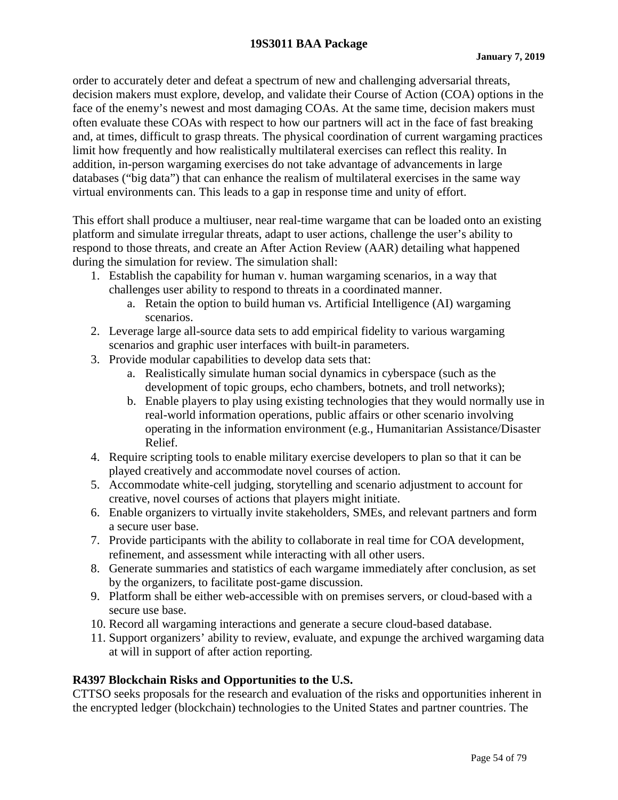order to accurately deter and defeat a spectrum of new and challenging adversarial threats, decision makers must explore, develop, and validate their Course of Action (COA) options in the face of the enemy's newest and most damaging COAs. At the same time, decision makers must often evaluate these COAs with respect to how our partners will act in the face of fast breaking and, at times, difficult to grasp threats. The physical coordination of current wargaming practices limit how frequently and how realistically multilateral exercises can reflect this reality. In addition, in-person wargaming exercises do not take advantage of advancements in large databases ("big data") that can enhance the realism of multilateral exercises in the same way virtual environments can. This leads to a gap in response time and unity of effort.

This effort shall produce a multiuser, near real-time wargame that can be loaded onto an existing platform and simulate irregular threats, adapt to user actions, challenge the user's ability to respond to those threats, and create an After Action Review (AAR) detailing what happened during the simulation for review. The simulation shall:

- 1. Establish the capability for human v. human wargaming scenarios, in a way that challenges user ability to respond to threats in a coordinated manner.
	- a. Retain the option to build human vs. Artificial Intelligence (AI) wargaming scenarios.
- 2. Leverage large all-source data sets to add empirical fidelity to various wargaming scenarios and graphic user interfaces with built-in parameters.
- 3. Provide modular capabilities to develop data sets that:
	- a. Realistically simulate human social dynamics in cyberspace (such as the development of topic groups, echo chambers, botnets, and troll networks);
	- b. Enable players to play using existing technologies that they would normally use in real-world information operations, public affairs or other scenario involving operating in the information environment (e.g., Humanitarian Assistance/Disaster Relief.
- 4. Require scripting tools to enable military exercise developers to plan so that it can be played creatively and accommodate novel courses of action.
- 5. Accommodate white-cell judging, storytelling and scenario adjustment to account for creative, novel courses of actions that players might initiate.
- 6. Enable organizers to virtually invite stakeholders, SMEs, and relevant partners and form a secure user base.
- 7. Provide participants with the ability to collaborate in real time for COA development, refinement, and assessment while interacting with all other users.
- 8. Generate summaries and statistics of each wargame immediately after conclusion, as set by the organizers, to facilitate post-game discussion.
- 9. Platform shall be either web-accessible with on premises servers, or cloud-based with a secure use base.
- 10. Record all wargaming interactions and generate a secure cloud-based database.
- 11. Support organizers' ability to review, evaluate, and expunge the archived wargaming data at will in support of after action reporting.

# **R4397 Blockchain Risks and Opportunities to the U.S.**

CTTSO seeks proposals for the research and evaluation of the risks and opportunities inherent in the encrypted ledger (blockchain) technologies to the United States and partner countries. The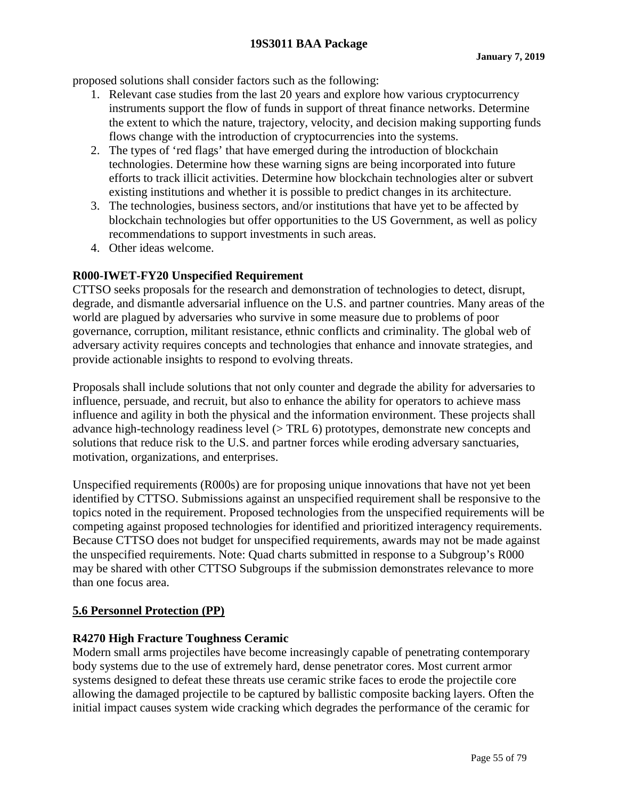proposed solutions shall consider factors such as the following:

- 1. Relevant case studies from the last 20 years and explore how various cryptocurrency instruments support the flow of funds in support of threat finance networks. Determine the extent to which the nature, trajectory, velocity, and decision making supporting funds flows change with the introduction of cryptocurrencies into the systems.
- 2. The types of 'red flags' that have emerged during the introduction of blockchain technologies. Determine how these warning signs are being incorporated into future efforts to track illicit activities. Determine how blockchain technologies alter or subvert existing institutions and whether it is possible to predict changes in its architecture.
- 3. The technologies, business sectors, and/or institutions that have yet to be affected by blockchain technologies but offer opportunities to the US Government, as well as policy recommendations to support investments in such areas.
- 4. Other ideas welcome.

## **R000-IWET-FY20 Unspecified Requirement**

CTTSO seeks proposals for the research and demonstration of technologies to detect, disrupt, degrade, and dismantle adversarial influence on the U.S. and partner countries. Many areas of the world are plagued by adversaries who survive in some measure due to problems of poor governance, corruption, militant resistance, ethnic conflicts and criminality. The global web of adversary activity requires concepts and technologies that enhance and innovate strategies, and provide actionable insights to respond to evolving threats.

Proposals shall include solutions that not only counter and degrade the ability for adversaries to influence, persuade, and recruit, but also to enhance the ability for operators to achieve mass influence and agility in both the physical and the information environment. These projects shall advance high-technology readiness level (> TRL 6) prototypes, demonstrate new concepts and solutions that reduce risk to the U.S. and partner forces while eroding adversary sanctuaries, motivation, organizations, and enterprises.

Unspecified requirements (R000s) are for proposing unique innovations that have not yet been identified by CTTSO. Submissions against an unspecified requirement shall be responsive to the topics noted in the requirement. Proposed technologies from the unspecified requirements will be competing against proposed technologies for identified and prioritized interagency requirements. Because CTTSO does not budget for unspecified requirements, awards may not be made against the unspecified requirements. Note: Quad charts submitted in response to a Subgroup's R000 may be shared with other CTTSO Subgroups if the submission demonstrates relevance to more than one focus area.

## **5.6 Personnel Protection (PP)**

## **R4270 High Fracture Toughness Ceramic**

Modern small arms projectiles have become increasingly capable of penetrating contemporary body systems due to the use of extremely hard, dense penetrator cores. Most current armor systems designed to defeat these threats use ceramic strike faces to erode the projectile core allowing the damaged projectile to be captured by ballistic composite backing layers. Often the initial impact causes system wide cracking which degrades the performance of the ceramic for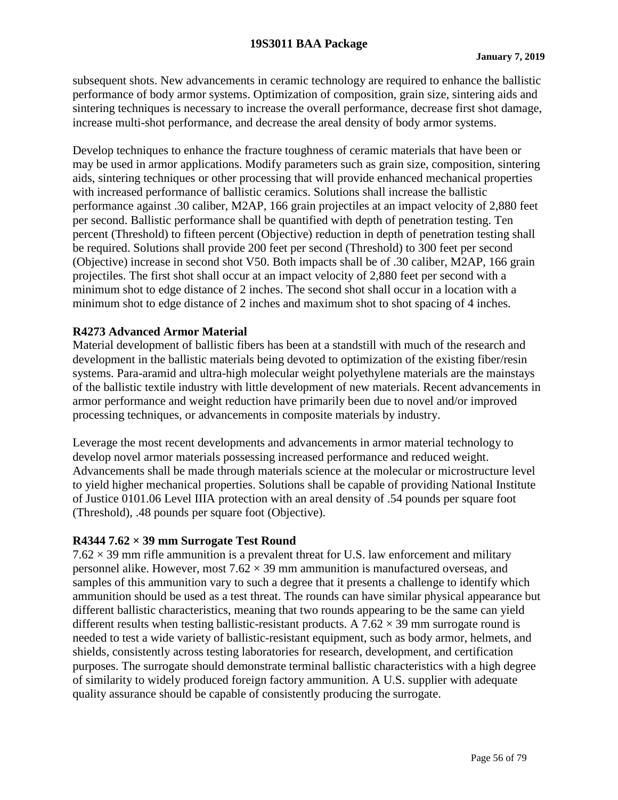subsequent shots. New advancements in ceramic technology are required to enhance the ballistic performance of body armor systems. Optimization of composition, grain size, sintering aids and sintering techniques is necessary to increase the overall performance, decrease first shot damage, increase multi-shot performance, and decrease the areal density of body armor systems.

Develop techniques to enhance the fracture toughness of ceramic materials that have been or may be used in armor applications. Modify parameters such as grain size, composition, sintering aids, sintering techniques or other processing that will provide enhanced mechanical properties with increased performance of ballistic ceramics. Solutions shall increase the ballistic performance against .30 caliber, M2AP, 166 grain projectiles at an impact velocity of 2,880 feet per second. Ballistic performance shall be quantified with depth of penetration testing. Ten percent (Threshold) to fifteen percent (Objective) reduction in depth of penetration testing shall be required. Solutions shall provide 200 feet per second (Threshold) to 300 feet per second (Objective) increase in second shot V50. Both impacts shall be of .30 caliber, M2AP, 166 grain projectiles. The first shot shall occur at an impact velocity of 2,880 feet per second with a minimum shot to edge distance of 2 inches. The second shot shall occur in a location with a minimum shot to edge distance of 2 inches and maximum shot to shot spacing of 4 inches.

## **R4273 Advanced Armor Material**

Material development of ballistic fibers has been at a standstill with much of the research and development in the ballistic materials being devoted to optimization of the existing fiber/resin systems. Para-aramid and ultra-high molecular weight polyethylene materials are the mainstays of the ballistic textile industry with little development of new materials. Recent advancements in armor performance and weight reduction have primarily been due to novel and/or improved processing techniques, or advancements in composite materials by industry.

Leverage the most recent developments and advancements in armor material technology to develop novel armor materials possessing increased performance and reduced weight. Advancements shall be made through materials science at the molecular or microstructure level to yield higher mechanical properties. Solutions shall be capable of providing National Institute of Justice 0101.06 Level IIIA protection with an areal density of .54 pounds per square foot (Threshold), .48 pounds per square foot (Objective).

## **R4344 7.62 × 39 mm Surrogate Test Round**

 $7.62 \times 39$  mm rifle ammunition is a prevalent threat for U.S. law enforcement and military personnel alike. However, most  $7.62 \times 39$  mm ammunition is manufactured overseas, and samples of this ammunition vary to such a degree that it presents a challenge to identify which ammunition should be used as a test threat. The rounds can have similar physical appearance but different ballistic characteristics, meaning that two rounds appearing to be the same can yield different results when testing ballistic-resistant products. A  $7.62 \times 39$  mm surrogate round is needed to test a wide variety of ballistic-resistant equipment, such as body armor, helmets, and shields, consistently across testing laboratories for research, development, and certification purposes. The surrogate should demonstrate terminal ballistic characteristics with a high degree of similarity to widely produced foreign factory ammunition. A U.S. supplier with adequate quality assurance should be capable of consistently producing the surrogate.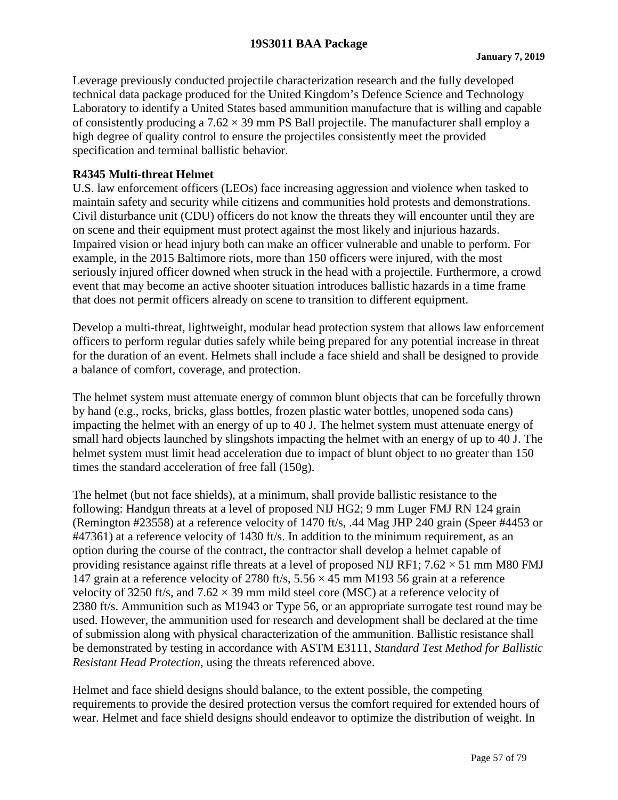Leverage previously conducted projectile characterization research and the fully developed technical data package produced for the United Kingdom's Defence Science and Technology Laboratory to identify a United States based ammunition manufacture that is willing and capable of consistently producing a  $7.62 \times 39$  mm PS Ball projectile. The manufacturer shall employ a high degree of quality control to ensure the projectiles consistently meet the provided specification and terminal ballistic behavior.

#### **R4345 Multi-threat Helmet**

U.S. law enforcement officers (LEOs) face increasing aggression and violence when tasked to maintain safety and security while citizens and communities hold protests and demonstrations. Civil disturbance unit (CDU) officers do not know the threats they will encounter until they are on scene and their equipment must protect against the most likely and injurious hazards. Impaired vision or head injury both can make an officer vulnerable and unable to perform. For example, in the 2015 Baltimore riots, more than 150 officers were injured, with the most seriously injured officer downed when struck in the head with a projectile. Furthermore, a crowd event that may become an active shooter situation introduces ballistic hazards in a time frame that does not permit officers already on scene to transition to different equipment.

Develop a multi-threat, lightweight, modular head protection system that allows law enforcement officers to perform regular duties safely while being prepared for any potential increase in threat for the duration of an event. Helmets shall include a face shield and shall be designed to provide a balance of comfort, coverage, and protection.

The helmet system must attenuate energy of common blunt objects that can be forcefully thrown by hand (e.g., rocks, bricks, glass bottles, frozen plastic water bottles, unopened soda cans) impacting the helmet with an energy of up to 40 J. The helmet system must attenuate energy of small hard objects launched by slingshots impacting the helmet with an energy of up to 40 J. The helmet system must limit head acceleration due to impact of blunt object to no greater than 150 times the standard acceleration of free fall (150g).

The helmet (but not face shields), at a minimum, shall provide ballistic resistance to the following: Handgun threats at a level of proposed NIJ HG2; 9 mm Luger FMJ RN 124 grain (Remington #23558) at a reference velocity of 1470 ft/s, .44 Mag JHP 240 grain (Speer #4453 or #47361) at a reference velocity of 1430 ft/s. In addition to the minimum requirement, as an option during the course of the contract, the contractor shall develop a helmet capable of providing resistance against rifle threats at a level of proposed NIJ RF1;  $7.62 \times 51$  mm M80 FMJ 147 grain at a reference velocity of 2780 ft/s,  $5.56 \times 45$  mm M193 56 grain at a reference velocity of 3250 ft/s, and  $7.62 \times 39$  mm mild steel core (MSC) at a reference velocity of 2380 ft/s. Ammunition such as M1943 or Type 56, or an appropriate surrogate test round may be used. However, the ammunition used for research and development shall be declared at the time of submission along with physical characterization of the ammunition. Ballistic resistance shall be demonstrated by testing in accordance with ASTM E3111, *Standard Test Method for Ballistic Resistant Head Protection*, using the threats referenced above.

Helmet and face shield designs should balance, to the extent possible, the competing requirements to provide the desired protection versus the comfort required for extended hours of wear. Helmet and face shield designs should endeavor to optimize the distribution of weight. In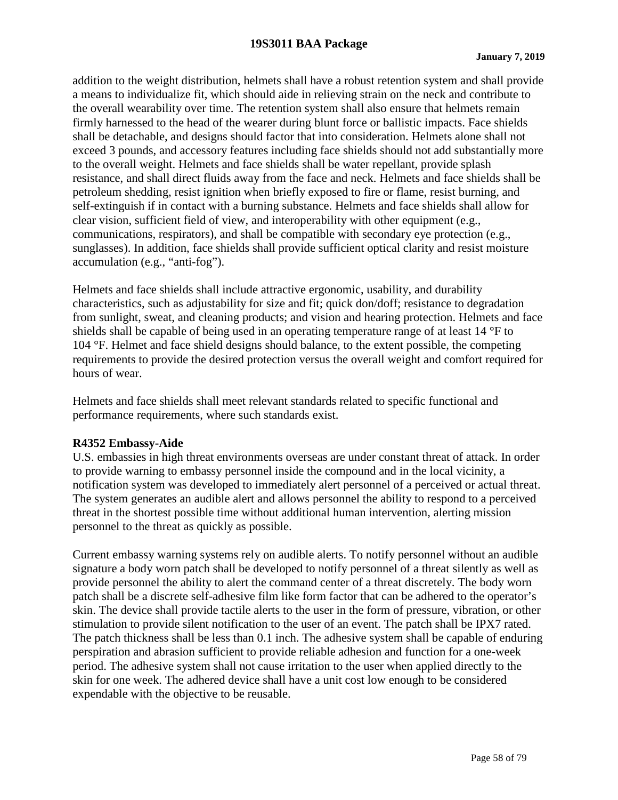addition to the weight distribution, helmets shall have a robust retention system and shall provide a means to individualize fit, which should aide in relieving strain on the neck and contribute to the overall wearability over time. The retention system shall also ensure that helmets remain firmly harnessed to the head of the wearer during blunt force or ballistic impacts. Face shields shall be detachable, and designs should factor that into consideration. Helmets alone shall not exceed 3 pounds, and accessory features including face shields should not add substantially more to the overall weight. Helmets and face shields shall be water repellant, provide splash resistance, and shall direct fluids away from the face and neck. Helmets and face shields shall be petroleum shedding, resist ignition when briefly exposed to fire or flame, resist burning, and self-extinguish if in contact with a burning substance. Helmets and face shields shall allow for clear vision, sufficient field of view, and interoperability with other equipment (e.g., communications, respirators), and shall be compatible with secondary eye protection (e.g., sunglasses). In addition, face shields shall provide sufficient optical clarity and resist moisture accumulation (e.g., "anti-fog").

Helmets and face shields shall include attractive ergonomic, usability, and durability characteristics, such as adjustability for size and fit; quick don/doff; resistance to degradation from sunlight, sweat, and cleaning products; and vision and hearing protection. Helmets and face shields shall be capable of being used in an operating temperature range of at least 14 °F to 104 °F. Helmet and face shield designs should balance, to the extent possible, the competing requirements to provide the desired protection versus the overall weight and comfort required for hours of wear.

Helmets and face shields shall meet relevant standards related to specific functional and performance requirements, where such standards exist.

## **R4352 Embassy-Aide**

U.S. embassies in high threat environments overseas are under constant threat of attack. In order to provide warning to embassy personnel inside the compound and in the local vicinity, a notification system was developed to immediately alert personnel of a perceived or actual threat. The system generates an audible alert and allows personnel the ability to respond to a perceived threat in the shortest possible time without additional human intervention, alerting mission personnel to the threat as quickly as possible.

Current embassy warning systems rely on audible alerts. To notify personnel without an audible signature a body worn patch shall be developed to notify personnel of a threat silently as well as provide personnel the ability to alert the command center of a threat discretely. The body worn patch shall be a discrete self-adhesive film like form factor that can be adhered to the operator's skin. The device shall provide tactile alerts to the user in the form of pressure, vibration, or other stimulation to provide silent notification to the user of an event. The patch shall be IPX7 rated. The patch thickness shall be less than 0.1 inch. The adhesive system shall be capable of enduring perspiration and abrasion sufficient to provide reliable adhesion and function for a one-week period. The adhesive system shall not cause irritation to the user when applied directly to the skin for one week. The adhered device shall have a unit cost low enough to be considered expendable with the objective to be reusable.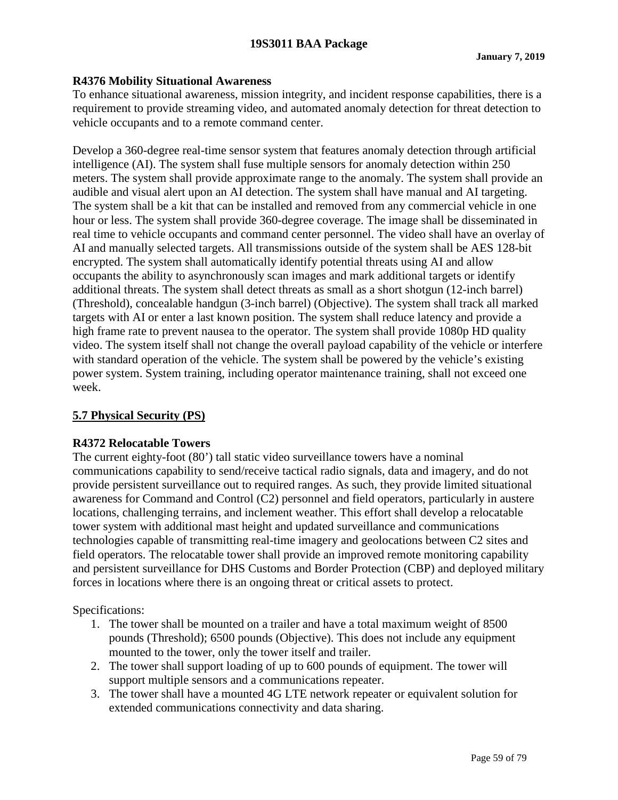#### **R4376 Mobility Situational Awareness**

To enhance situational awareness, mission integrity, and incident response capabilities, there is a requirement to provide streaming video, and automated anomaly detection for threat detection to vehicle occupants and to a remote command center.

Develop a 360-degree real-time sensor system that features anomaly detection through artificial intelligence (AI). The system shall fuse multiple sensors for anomaly detection within 250 meters. The system shall provide approximate range to the anomaly. The system shall provide an audible and visual alert upon an AI detection. The system shall have manual and AI targeting. The system shall be a kit that can be installed and removed from any commercial vehicle in one hour or less. The system shall provide 360-degree coverage. The image shall be disseminated in real time to vehicle occupants and command center personnel. The video shall have an overlay of AI and manually selected targets. All transmissions outside of the system shall be AES 128-bit encrypted. The system shall automatically identify potential threats using AI and allow occupants the ability to asynchronously scan images and mark additional targets or identify additional threats. The system shall detect threats as small as a short shotgun (12-inch barrel) (Threshold), concealable handgun (3-inch barrel) (Objective). The system shall track all marked targets with AI or enter a last known position. The system shall reduce latency and provide a high frame rate to prevent nausea to the operator. The system shall provide 1080p HD quality video. The system itself shall not change the overall payload capability of the vehicle or interfere with standard operation of the vehicle. The system shall be powered by the vehicle's existing power system. System training, including operator maintenance training, shall not exceed one week.

## **5.7 Physical Security (PS)**

## **R4372 Relocatable Towers**

The current eighty-foot (80') tall static video surveillance towers have a nominal communications capability to send/receive tactical radio signals, data and imagery, and do not provide persistent surveillance out to required ranges. As such, they provide limited situational awareness for Command and Control (C2) personnel and field operators, particularly in austere locations, challenging terrains, and inclement weather. This effort shall develop a relocatable tower system with additional mast height and updated surveillance and communications technologies capable of transmitting real-time imagery and geolocations between C2 sites and field operators. The relocatable tower shall provide an improved remote monitoring capability and persistent surveillance for DHS Customs and Border Protection (CBP) and deployed military forces in locations where there is an ongoing threat or critical assets to protect.

Specifications:

- 1. The tower shall be mounted on a trailer and have a total maximum weight of 8500 pounds (Threshold); 6500 pounds (Objective). This does not include any equipment mounted to the tower, only the tower itself and trailer.
- 2. The tower shall support loading of up to 600 pounds of equipment. The tower will support multiple sensors and a communications repeater.
- 3. The tower shall have a mounted 4G LTE network repeater or equivalent solution for extended communications connectivity and data sharing.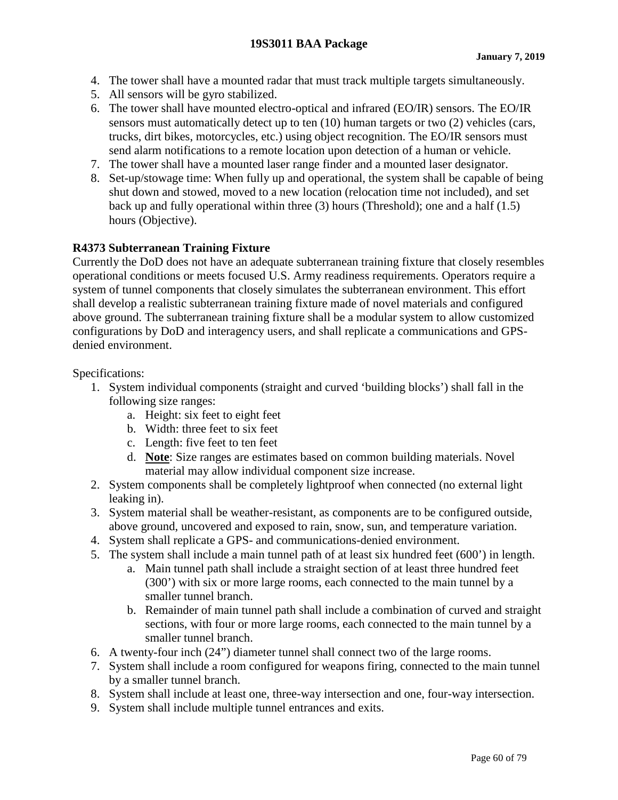- 4. The tower shall have a mounted radar that must track multiple targets simultaneously.
- 5. All sensors will be gyro stabilized.
- 6. The tower shall have mounted electro-optical and infrared (EO/IR) sensors. The EO/IR sensors must automatically detect up to ten (10) human targets or two (2) vehicles (cars, trucks, dirt bikes, motorcycles, etc.) using object recognition. The EO/IR sensors must send alarm notifications to a remote location upon detection of a human or vehicle.
- 7. The tower shall have a mounted laser range finder and a mounted laser designator.
- 8. Set-up/stowage time: When fully up and operational, the system shall be capable of being shut down and stowed, moved to a new location (relocation time not included), and set back up and fully operational within three (3) hours (Threshold); one and a half (1.5) hours (Objective).

# **R4373 Subterranean Training Fixture**

Currently the DoD does not have an adequate subterranean training fixture that closely resembles operational conditions or meets focused U.S. Army readiness requirements. Operators require a system of tunnel components that closely simulates the subterranean environment. This effort shall develop a realistic subterranean training fixture made of novel materials and configured above ground. The subterranean training fixture shall be a modular system to allow customized configurations by DoD and interagency users, and shall replicate a communications and GPSdenied environment.

Specifications:

- 1. System individual components (straight and curved 'building blocks') shall fall in the following size ranges:
	- a. Height: six feet to eight feet
	- b. Width: three feet to six feet
	- c. Length: five feet to ten feet
	- d. **Note**: Size ranges are estimates based on common building materials. Novel material may allow individual component size increase.
- 2. System components shall be completely lightproof when connected (no external light leaking in).
- 3. System material shall be weather-resistant, as components are to be configured outside, above ground, uncovered and exposed to rain, snow, sun, and temperature variation.
- 4. System shall replicate a GPS- and communications-denied environment.
- 5. The system shall include a main tunnel path of at least six hundred feet (600') in length.
	- a. Main tunnel path shall include a straight section of at least three hundred feet (300') with six or more large rooms, each connected to the main tunnel by a smaller tunnel branch.
	- b. Remainder of main tunnel path shall include a combination of curved and straight sections, with four or more large rooms, each connected to the main tunnel by a smaller tunnel branch.
- 6. A twenty-four inch (24") diameter tunnel shall connect two of the large rooms.
- 7. System shall include a room configured for weapons firing, connected to the main tunnel by a smaller tunnel branch.
- 8. System shall include at least one, three-way intersection and one, four-way intersection.
- 9. System shall include multiple tunnel entrances and exits.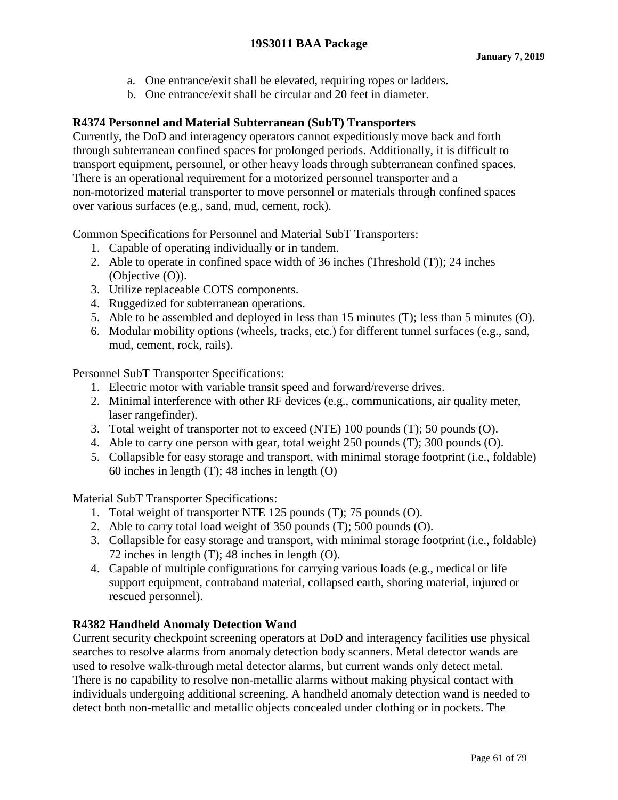- a. One entrance/exit shall be elevated, requiring ropes or ladders.
- b. One entrance/exit shall be circular and 20 feet in diameter.

## **R4374 Personnel and Material Subterranean (SubT) Transporters**

Currently, the DoD and interagency operators cannot expeditiously move back and forth through subterranean confined spaces for prolonged periods. Additionally, it is difficult to transport equipment, personnel, or other heavy loads through subterranean confined spaces. There is an operational requirement for a motorized personnel transporter and a non-motorized material transporter to move personnel or materials through confined spaces over various surfaces (e.g., sand, mud, cement, rock).

Common Specifications for Personnel and Material SubT Transporters:

- 1. Capable of operating individually or in tandem.
- 2. Able to operate in confined space width of 36 inches (Threshold (T)); 24 inches (Objective (O)).
- 3. Utilize replaceable COTS components.
- 4. Ruggedized for subterranean operations.
- 5. Able to be assembled and deployed in less than 15 minutes (T); less than 5 minutes (O).
- 6. Modular mobility options (wheels, tracks, etc.) for different tunnel surfaces (e.g., sand, mud, cement, rock, rails).

Personnel SubT Transporter Specifications:

- 1. Electric motor with variable transit speed and forward/reverse drives.
- 2. Minimal interference with other RF devices (e.g., communications, air quality meter, laser rangefinder).
- 3. Total weight of transporter not to exceed (NTE) 100 pounds (T); 50 pounds (O).
- 4. Able to carry one person with gear, total weight 250 pounds (T); 300 pounds (O).
- 5. Collapsible for easy storage and transport, with minimal storage footprint (i.e., foldable) 60 inches in length (T); 48 inches in length (O)

Material SubT Transporter Specifications:

- 1. Total weight of transporter NTE 125 pounds (T); 75 pounds (O).
- 2. Able to carry total load weight of 350 pounds (T); 500 pounds (O).
- 3. Collapsible for easy storage and transport, with minimal storage footprint (i.e., foldable) 72 inches in length (T); 48 inches in length (O).
- 4. Capable of multiple configurations for carrying various loads (e.g., medical or life support equipment, contraband material, collapsed earth, shoring material, injured or rescued personnel).

# **R4382 Handheld Anomaly Detection Wand**

Current security checkpoint screening operators at DoD and interagency facilities use physical searches to resolve alarms from anomaly detection body scanners. Metal detector wands are used to resolve walk-through metal detector alarms, but current wands only detect metal. There is no capability to resolve non-metallic alarms without making physical contact with individuals undergoing additional screening. A handheld anomaly detection wand is needed to detect both non-metallic and metallic objects concealed under clothing or in pockets. The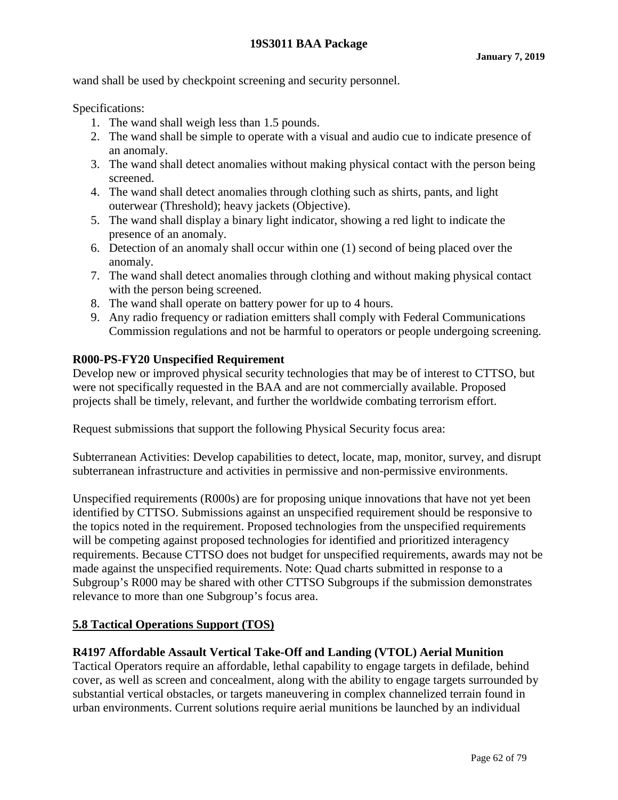wand shall be used by checkpoint screening and security personnel.

Specifications:

- 1. The wand shall weigh less than 1.5 pounds.
- 2. The wand shall be simple to operate with a visual and audio cue to indicate presence of an anomaly.
- 3. The wand shall detect anomalies without making physical contact with the person being screened.
- 4. The wand shall detect anomalies through clothing such as shirts, pants, and light outerwear (Threshold); heavy jackets (Objective).
- 5. The wand shall display a binary light indicator, showing a red light to indicate the presence of an anomaly.
- 6. Detection of an anomaly shall occur within one (1) second of being placed over the anomaly.
- 7. The wand shall detect anomalies through clothing and without making physical contact with the person being screened.
- 8. The wand shall operate on battery power for up to 4 hours.
- 9. Any radio frequency or radiation emitters shall comply with Federal Communications Commission regulations and not be harmful to operators or people undergoing screening.

## **R000-PS-FY20 Unspecified Requirement**

Develop new or improved physical security technologies that may be of interest to CTTSO, but were not specifically requested in the BAA and are not commercially available. Proposed projects shall be timely, relevant, and further the worldwide combating terrorism effort.

Request submissions that support the following Physical Security focus area:

Subterranean Activities: Develop capabilities to detect, locate, map, monitor, survey, and disrupt subterranean infrastructure and activities in permissive and non-permissive environments.

Unspecified requirements (R000s) are for proposing unique innovations that have not yet been identified by CTTSO. Submissions against an unspecified requirement should be responsive to the topics noted in the requirement. Proposed technologies from the unspecified requirements will be competing against proposed technologies for identified and prioritized interagency requirements. Because CTTSO does not budget for unspecified requirements, awards may not be made against the unspecified requirements. Note: Quad charts submitted in response to a Subgroup's R000 may be shared with other CTTSO Subgroups if the submission demonstrates relevance to more than one Subgroup's focus area.

## **5.8 Tactical Operations Support (TOS)**

## **R4197 Affordable Assault Vertical Take-Off and Landing (VTOL) Aerial Munition**

Tactical Operators require an affordable, lethal capability to engage targets in defilade, behind cover, as well as screen and concealment, along with the ability to engage targets surrounded by substantial vertical obstacles, or targets maneuvering in complex channelized terrain found in urban environments. Current solutions require aerial munitions be launched by an individual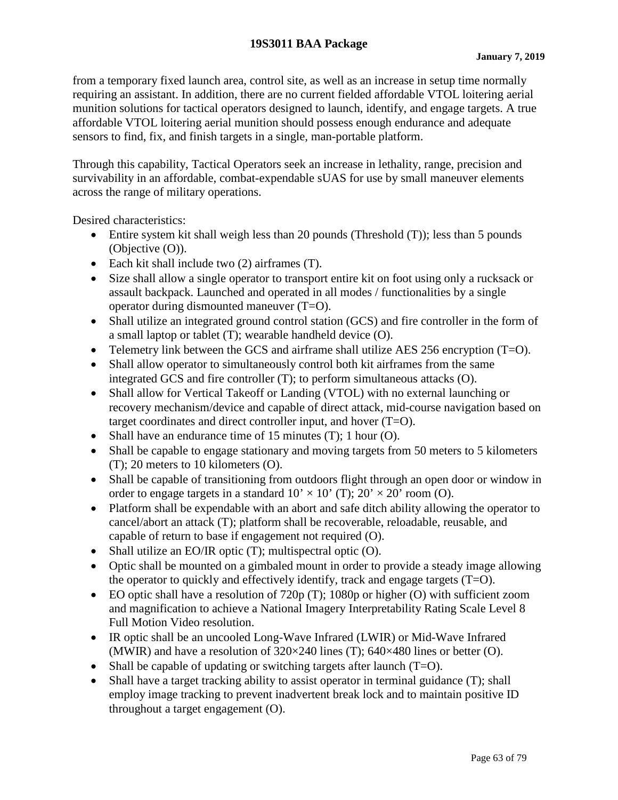## **19S3011 BAA Package**

from a temporary fixed launch area, control site, as well as an increase in setup time normally requiring an assistant. In addition, there are no current fielded affordable VTOL loitering aerial munition solutions for tactical operators designed to launch, identify, and engage targets. A true affordable VTOL loitering aerial munition should possess enough endurance and adequate sensors to find, fix, and finish targets in a single, man-portable platform.

Through this capability, Tactical Operators seek an increase in lethality, range, precision and survivability in an affordable, combat-expendable sUAS for use by small maneuver elements across the range of military operations.

Desired characteristics:

- Entire system kit shall weigh less than 20 pounds (Threshold  $(T)$ ); less than 5 pounds (Objective (O)).
- Each kit shall include two (2) airframes (T).
- Size shall allow a single operator to transport entire kit on foot using only a rucksack or assault backpack. Launched and operated in all modes / functionalities by a single operator during dismounted maneuver (T=O).
- Shall utilize an integrated ground control station (GCS) and fire controller in the form of a small laptop or tablet (T); wearable handheld device (O).
- Telemetry link between the GCS and airframe shall utilize AES 256 encryption (T=O).
- Shall allow operator to simultaneously control both kit airframes from the same integrated GCS and fire controller (T); to perform simultaneous attacks (O).
- Shall allow for Vertical Takeoff or Landing (VTOL) with no external launching or recovery mechanism/device and capable of direct attack, mid-course navigation based on target coordinates and direct controller input, and hover (T=O).
- Shall have an endurance time of 15 minutes (T); 1 hour (O).
- Shall be capable to engage stationary and moving targets from 50 meters to 5 kilometers (T); 20 meters to 10 kilometers (O).
- Shall be capable of transitioning from outdoors flight through an open door or window in order to engage targets in a standard  $10' \times 10'$  (T);  $20' \times 20'$  room (O).
- Platform shall be expendable with an abort and safe ditch ability allowing the operator to cancel/abort an attack (T); platform shall be recoverable, reloadable, reusable, and capable of return to base if engagement not required (O).
- Shall utilize an EO/IR optic (T); multispectral optic (O).
- Optic shall be mounted on a gimbaled mount in order to provide a steady image allowing the operator to quickly and effectively identify, track and engage targets (T=O).
- EO optic shall have a resolution of 720p (T); 1080p or higher (O) with sufficient zoom and magnification to achieve a National Imagery Interpretability Rating Scale Level 8 Full Motion Video resolution.
- IR optic shall be an uncooled Long-Wave Infrared (LWIR) or Mid-Wave Infrared (MWIR) and have a resolution of  $320\times240$  lines (T); 640 $\times$ 480 lines or better (O).
- Shall be capable of updating or switching targets after launch  $(T=O)$ .
- Shall have a target tracking ability to assist operator in terminal guidance (T); shall employ image tracking to prevent inadvertent break lock and to maintain positive ID throughout a target engagement (O).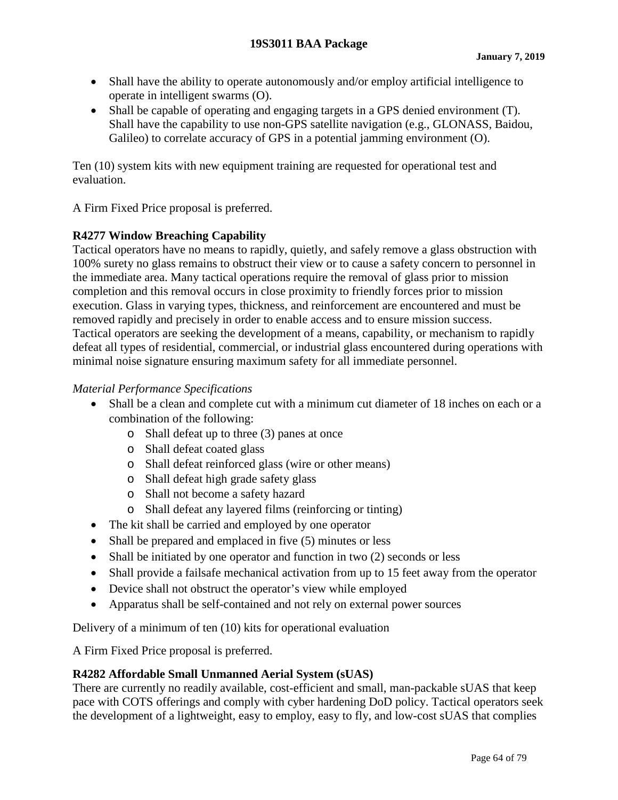- Shall have the ability to operate autonomously and/or employ artificial intelligence to operate in intelligent swarms (O).
- Shall be capable of operating and engaging targets in a GPS denied environment (T). Shall have the capability to use non-GPS satellite navigation (e.g., GLONASS, Baidou, Galileo) to correlate accuracy of GPS in a potential jamming environment (O).

Ten (10) system kits with new equipment training are requested for operational test and evaluation.

A Firm Fixed Price proposal is preferred.

## **R4277 Window Breaching Capability**

Tactical operators have no means to rapidly, quietly, and safely remove a glass obstruction with 100% surety no glass remains to obstruct their view or to cause a safety concern to personnel in the immediate area. Many tactical operations require the removal of glass prior to mission completion and this removal occurs in close proximity to friendly forces prior to mission execution. Glass in varying types, thickness, and reinforcement are encountered and must be removed rapidly and precisely in order to enable access and to ensure mission success. Tactical operators are seeking the development of a means, capability, or mechanism to rapidly defeat all types of residential, commercial, or industrial glass encountered during operations with minimal noise signature ensuring maximum safety for all immediate personnel.

## *Material Performance Specifications*

- Shall be a clean and complete cut with a minimum cut diameter of 18 inches on each or a combination of the following:
	- o Shall defeat up to three (3) panes at once
	- o Shall defeat coated glass
	- o Shall defeat reinforced glass (wire or other means)
	- o Shall defeat high grade safety glass
	- o Shall not become a safety hazard
	- o Shall defeat any layered films (reinforcing or tinting)
- The kit shall be carried and employed by one operator
- Shall be prepared and emplaced in five (5) minutes or less
- Shall be initiated by one operator and function in two (2) seconds or less
- Shall provide a failsafe mechanical activation from up to 15 feet away from the operator
- Device shall not obstruct the operator's view while employed
- Apparatus shall be self-contained and not rely on external power sources

Delivery of a minimum of ten (10) kits for operational evaluation

A Firm Fixed Price proposal is preferred.

## **R4282 Affordable Small Unmanned Aerial System (sUAS)**

There are currently no readily available, cost-efficient and small, man-packable sUAS that keep pace with COTS offerings and comply with cyber hardening DoD policy. Tactical operators seek the development of a lightweight, easy to employ, easy to fly, and low-cost sUAS that complies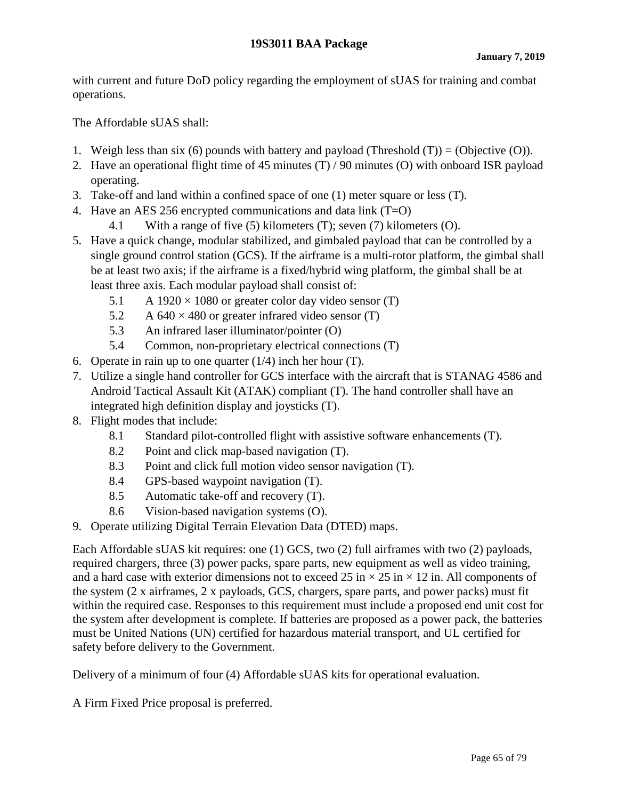with current and future DoD policy regarding the employment of sUAS for training and combat operations.

The Affordable sUAS shall:

- 1. Weigh less than six (6) pounds with battery and payload (Threshold (T)) = (Objective (O)).
- 2. Have an operational flight time of 45 minutes (T) / 90 minutes (O) with onboard ISR payload operating.
- 3. Take-off and land within a confined space of one (1) meter square or less (T).
- 4. Have an AES 256 encrypted communications and data link (T=O)
	- 4.1 With a range of five (5) kilometers (T); seven (7) kilometers (O).
- 5. Have a quick change, modular stabilized, and gimbaled payload that can be controlled by a single ground control station (GCS). If the airframe is a multi-rotor platform, the gimbal shall be at least two axis; if the airframe is a fixed/hybrid wing platform, the gimbal shall be at least three axis. Each modular payload shall consist of:
	- 5.1 A 1920  $\times$  1080 or greater color day video sensor (T)
	- 5.2 A  $640 \times 480$  or greater infrared video sensor (T)
	- 5.3 An infrared laser illuminator/pointer (O)
	- 5.4 Common, non-proprietary electrical connections (T)
- 6. Operate in rain up to one quarter (1/4) inch her hour (T).
- 7. Utilize a single hand controller for GCS interface with the aircraft that is STANAG 4586 and Android Tactical Assault Kit (ATAK) compliant (T). The hand controller shall have an integrated high definition display and joysticks (T).
- 8. Flight modes that include:
	- 8.1 Standard pilot-controlled flight with assistive software enhancements (T).
	- 8.2 Point and click map-based navigation (T).
	- 8.3 Point and click full motion video sensor navigation (T).
	- 8.4 GPS-based waypoint navigation (T).
	- 8.5 Automatic take-off and recovery (T).
	- 8.6 Vision-based navigation systems (O).
- 9. Operate utilizing Digital Terrain Elevation Data (DTED) maps.

Each Affordable sUAS kit requires: one (1) GCS, two (2) full airframes with two (2) payloads, required chargers, three (3) power packs, spare parts, new equipment as well as video training, and a hard case with exterior dimensions not to exceed 25 in  $\times$  25 in  $\times$  12 in. All components of the system (2 x airframes, 2 x payloads, GCS, chargers, spare parts, and power packs) must fit within the required case. Responses to this requirement must include a proposed end unit cost for the system after development is complete. If batteries are proposed as a power pack, the batteries must be United Nations (UN) certified for hazardous material transport, and UL certified for safety before delivery to the Government.

Delivery of a minimum of four (4) Affordable sUAS kits for operational evaluation.

A Firm Fixed Price proposal is preferred.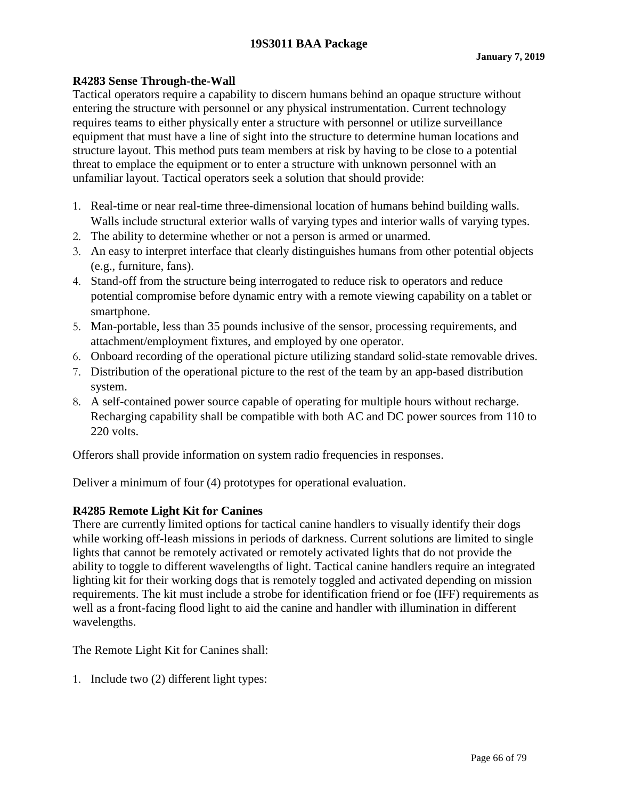## **19S3011 BAA Package**

#### **R4283 Sense Through-the-Wall**

Tactical operators require a capability to discern humans behind an opaque structure without entering the structure with personnel or any physical instrumentation. Current technology requires teams to either physically enter a structure with personnel or utilize surveillance equipment that must have a line of sight into the structure to determine human locations and structure layout. This method puts team members at risk by having to be close to a potential threat to emplace the equipment or to enter a structure with unknown personnel with an unfamiliar layout. Tactical operators seek a solution that should provide:

- 1. Real-time or near real-time three-dimensional location of humans behind building walls. Walls include structural exterior walls of varying types and interior walls of varying types.
- 2. The ability to determine whether or not a person is armed or unarmed.
- 3. An easy to interpret interface that clearly distinguishes humans from other potential objects (e.g., furniture, fans).
- 4. Stand-off from the structure being interrogated to reduce risk to operators and reduce potential compromise before dynamic entry with a remote viewing capability on a tablet or smartphone.
- 5. Man-portable, less than 35 pounds inclusive of the sensor, processing requirements, and attachment/employment fixtures, and employed by one operator.
- 6. Onboard recording of the operational picture utilizing standard solid-state removable drives.
- 7. Distribution of the operational picture to the rest of the team by an app-based distribution system.
- 8. A self-contained power source capable of operating for multiple hours without recharge. Recharging capability shall be compatible with both AC and DC power sources from 110 to 220 volts.

Offerors shall provide information on system radio frequencies in responses.

Deliver a minimum of four (4) prototypes for operational evaluation.

## **R4285 Remote Light Kit for Canines**

There are currently limited options for tactical canine handlers to visually identify their dogs while working off-leash missions in periods of darkness. Current solutions are limited to single lights that cannot be remotely activated or remotely activated lights that do not provide the ability to toggle to different wavelengths of light. Tactical canine handlers require an integrated lighting kit for their working dogs that is remotely toggled and activated depending on mission requirements. The kit must include a strobe for identification friend or foe (IFF) requirements as well as a front-facing flood light to aid the canine and handler with illumination in different wavelengths.

The Remote Light Kit for Canines shall:

1. Include two (2) different light types: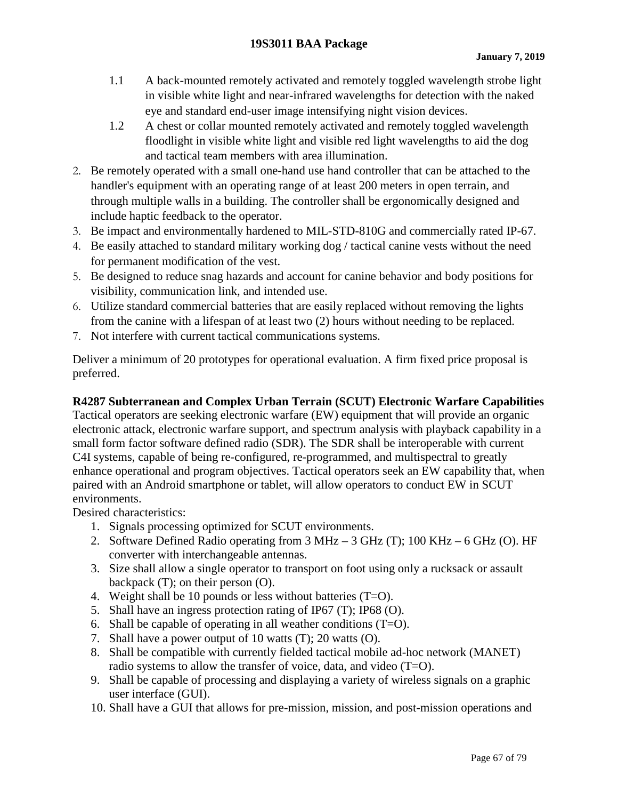#### **19S3011 BAA Package**

- 1.1 A back-mounted remotely activated and remotely toggled wavelength strobe light in visible white light and near-infrared wavelengths for detection with the naked eye and standard end-user image intensifying night vision devices.
- 1.2 A chest or collar mounted remotely activated and remotely toggled wavelength floodlight in visible white light and visible red light wavelengths to aid the dog and tactical team members with area illumination.
- 2. Be remotely operated with a small one-hand use hand controller that can be attached to the handler's equipment with an operating range of at least 200 meters in open terrain, and through multiple walls in a building. The controller shall be ergonomically designed and include haptic feedback to the operator.
- 3. Be impact and environmentally hardened to MIL-STD-810G and commercially rated IP-67.
- 4. Be easily attached to standard military working dog / tactical canine vests without the need for permanent modification of the vest.
- 5. Be designed to reduce snag hazards and account for canine behavior and body positions for visibility, communication link, and intended use.
- 6. Utilize standard commercial batteries that are easily replaced without removing the lights from the canine with a lifespan of at least two (2) hours without needing to be replaced.
- 7. Not interfere with current tactical communications systems.

Deliver a minimum of 20 prototypes for operational evaluation. A firm fixed price proposal is preferred.

# **R4287 Subterranean and Complex Urban Terrain (SCUT) Electronic Warfare Capabilities**

Tactical operators are seeking electronic warfare (EW) equipment that will provide an organic electronic attack, electronic warfare support, and spectrum analysis with playback capability in a small form factor software defined radio (SDR). The SDR shall be interoperable with current C4I systems, capable of being re-configured, re-programmed, and multispectral to greatly enhance operational and program objectives. Tactical operators seek an EW capability that, when paired with an Android smartphone or tablet, will allow operators to conduct EW in SCUT environments.

Desired characteristics:

- 1. Signals processing optimized for SCUT environments.
- 2. Software Defined Radio operating from 3 MHz 3 GHz (T); 100 KHz 6 GHz (O). HF converter with interchangeable antennas.
- 3. Size shall allow a single operator to transport on foot using only a rucksack or assault backpack (T); on their person (O).
- 4. Weight shall be 10 pounds or less without batteries  $(T=O)$ .
- 5. Shall have an ingress protection rating of IP67 (T); IP68 (O).
- 6. Shall be capable of operating in all weather conditions  $(T=O)$ .
- 7. Shall have a power output of 10 watts (T); 20 watts (O).
- 8. Shall be compatible with currently fielded tactical mobile ad-hoc network (MANET) radio systems to allow the transfer of voice, data, and video (T=O).
- 9. Shall be capable of processing and displaying a variety of wireless signals on a graphic user interface (GUI).
- 10. Shall have a GUI that allows for pre-mission, mission, and post-mission operations and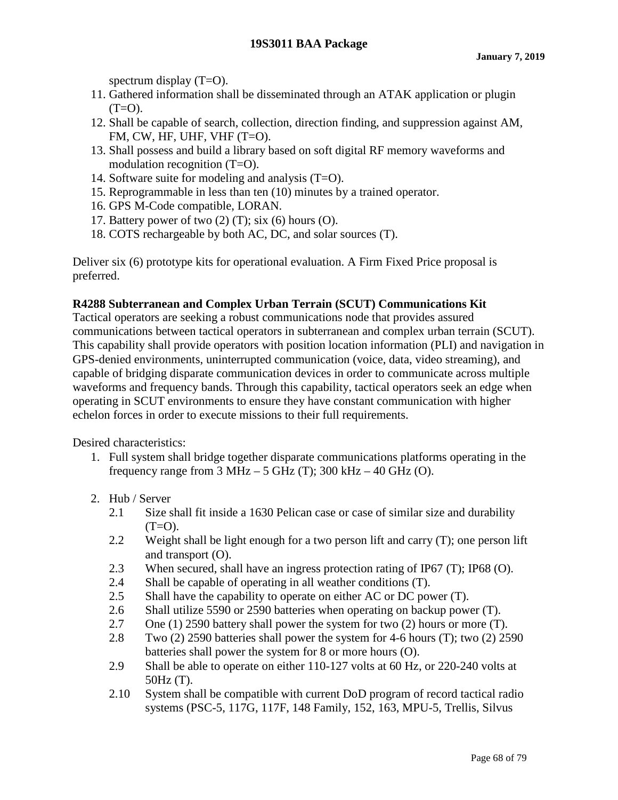spectrum display (T=O).

- 11. Gathered information shall be disseminated through an ATAK application or plugin  $(T=O)$ .
- 12. Shall be capable of search, collection, direction finding, and suppression against AM, FM, CW, HF, UHF, VHF (T=O).
- 13. Shall possess and build a library based on soft digital RF memory waveforms and modulation recognition (T=O).
- 14. Software suite for modeling and analysis (T=O).
- 15. Reprogrammable in less than ten (10) minutes by a trained operator.
- 16. GPS M-Code compatible, LORAN.
- 17. Battery power of two  $(2)$  (T); six  $(6)$  hours  $(0)$ .
- 18. COTS rechargeable by both AC, DC, and solar sources (T).

Deliver six (6) prototype kits for operational evaluation. A Firm Fixed Price proposal is preferred.

#### **R4288 Subterranean and Complex Urban Terrain (SCUT) Communications Kit**

Tactical operators are seeking a robust communications node that provides assured communications between tactical operators in subterranean and complex urban terrain (SCUT). This capability shall provide operators with position location information (PLI) and navigation in GPS-denied environments, uninterrupted communication (voice, data, video streaming), and capable of bridging disparate communication devices in order to communicate across multiple waveforms and frequency bands. Through this capability, tactical operators seek an edge when operating in SCUT environments to ensure they have constant communication with higher echelon forces in order to execute missions to their full requirements.

Desired characteristics:

- 1. Full system shall bridge together disparate communications platforms operating in the frequency range from  $3 \text{ MHz} - 5 \text{ GHz (T)}$ ;  $300 \text{ kHz} - 40 \text{ GHz (O)}$ .
- 2. Hub / Server
	- 2.1 Size shall fit inside a 1630 Pelican case or case of similar size and durability  $(T=O)$ .
	- 2.2 Weight shall be light enough for a two person lift and carry (T); one person lift and transport (O).
	- 2.3 When secured, shall have an ingress protection rating of IP67 (T); IP68 (O).
	- 2.4 Shall be capable of operating in all weather conditions (T).
	- 2.5 Shall have the capability to operate on either AC or DC power (T).
	- 2.6 Shall utilize 5590 or 2590 batteries when operating on backup power (T).<br>2.7 One (1) 2590 battery shall nower the system for two (2) hours or more (T)
	- One (1) 2590 battery shall power the system for two (2) hours or more (T).
	- 2.8 Two (2) 2590 batteries shall power the system for 4-6 hours (T); two (2) 2590 batteries shall power the system for 8 or more hours (O).
	- 2.9 Shall be able to operate on either 110-127 volts at 60 Hz, or 220-240 volts at 50Hz (T).
	- 2.10 System shall be compatible with current DoD program of record tactical radio systems (PSC-5, 117G, 117F, 148 Family, 152, 163, MPU-5, Trellis, Silvus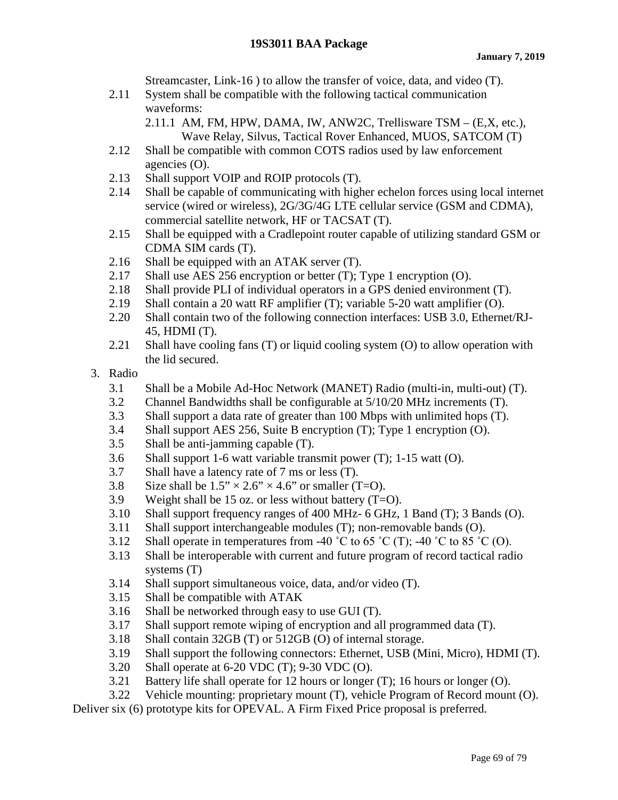Streamcaster, Link-16 ) to allow the transfer of voice, data, and video (T).

- 2.11 System shall be compatible with the following tactical communication waveforms:
	- 2.11.1 AM, FM, HPW, DAMA, IW, ANW2C, Trellisware TSM (E,X, etc.), Wave Relay, Silvus, Tactical Rover Enhanced, MUOS, SATCOM (T)
- 2.12 Shall be compatible with common COTS radios used by law enforcement agencies (O).
- 2.13 Shall support VOIP and ROIP protocols (T).
- 2.14 Shall be capable of communicating with higher echelon forces using local internet service (wired or wireless), 2G/3G/4G LTE cellular service (GSM and CDMA), commercial satellite network, HF or TACSAT (T).
- 2.15 Shall be equipped with a Cradlepoint router capable of utilizing standard GSM or CDMA SIM cards (T).
- 2.16 Shall be equipped with an ATAK server (T).
- 2.17 Shall use AES 256 encryption or better (T); Type 1 encryption (O).
- 2.18 Shall provide PLI of individual operators in a GPS denied environment (T).
- 2.19 Shall contain a 20 watt RF amplifier (T); variable 5-20 watt amplifier (O).
- 2.20 Shall contain two of the following connection interfaces: USB 3.0, Ethernet/RJ-45, HDMI (T).
- 2.21 Shall have cooling fans (T) or liquid cooling system (O) to allow operation with the lid secured.
- 3. Radio
	- 3.1 Shall be a Mobile Ad-Hoc Network (MANET) Radio (multi-in, multi-out) (T).
	- 3.2 Channel Bandwidths shall be configurable at 5/10/20 MHz increments (T).
	- 3.3 Shall support a data rate of greater than 100 Mbps with unlimited hops (T).
	- 3.4 Shall support AES 256, Suite B encryption (T); Type 1 encryption (O).
	- 3.5 Shall be anti-jamming capable (T).
	- 3.6 Shall support 1-6 watt variable transmit power (T); 1-15 watt (O).
	- 3.7 Shall have a latency rate of 7 ms or less (T).
	- 3.8 Size shall be  $1.5" \times 2.6" \times 4.6"$  or smaller (T=O).
	- 3.9 Weight shall be 15 oz. or less without battery  $(T=O)$ .
	- 3.10 Shall support frequency ranges of 400 MHz- 6 GHz, 1 Band (T); 3 Bands (O).
	- 3.11 Shall support interchangeable modules (T); non-removable bands (O).
	- 3.12 Shall operate in temperatures from -40 °C to 65 °C (T); -40 °C to 85 °C (O).
	- 3.13 Shall be interoperable with current and future program of record tactical radio systems (T)
	- 3.14 Shall support simultaneous voice, data, and/or video (T).
	- 3.15 Shall be compatible with ATAK
	- 3.16 Shall be networked through easy to use GUI (T).
	- 3.17 Shall support remote wiping of encryption and all programmed data (T).
	- 3.18 Shall contain 32GB (T) or 512GB (O) of internal storage.
	- 3.19 Shall support the following connectors: Ethernet, USB (Mini, Micro), HDMI (T).
	- 3.20 Shall operate at 6-20 VDC (T); 9-30 VDC (O).
	- 3.21 Battery life shall operate for 12 hours or longer (T); 16 hours or longer (O).
	- 3.22 Vehicle mounting: proprietary mount (T), vehicle Program of Record mount (O).

Deliver six (6) prototype kits for OPEVAL. A Firm Fixed Price proposal is preferred.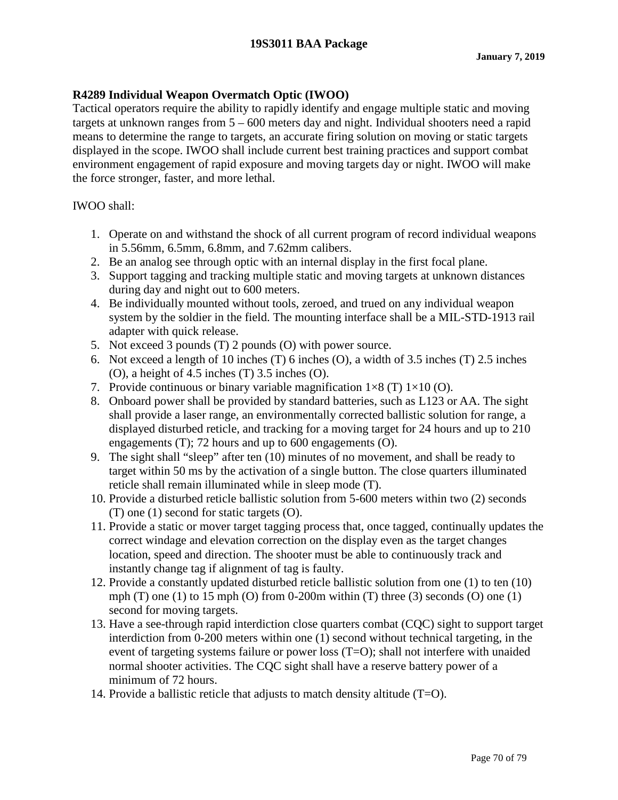## **R4289 Individual Weapon Overmatch Optic (IWOO)**

Tactical operators require the ability to rapidly identify and engage multiple static and moving targets at unknown ranges from 5 – 600 meters day and night. Individual shooters need a rapid means to determine the range to targets, an accurate firing solution on moving or static targets displayed in the scope. IWOO shall include current best training practices and support combat environment engagement of rapid exposure and moving targets day or night. IWOO will make the force stronger, faster, and more lethal.

## IWOO shall:

- 1. Operate on and withstand the shock of all current program of record individual weapons in 5.56mm, 6.5mm, 6.8mm, and 7.62mm calibers.
- 2. Be an analog see through optic with an internal display in the first focal plane.
- 3. Support tagging and tracking multiple static and moving targets at unknown distances during day and night out to 600 meters.
- 4. Be individually mounted without tools, zeroed, and trued on any individual weapon system by the soldier in the field. The mounting interface shall be a MIL-STD-1913 rail adapter with quick release.
- 5. Not exceed 3 pounds (T) 2 pounds (O) with power source.
- 6. Not exceed a length of 10 inches (T) 6 inches (O), a width of 3.5 inches (T) 2.5 inches (O), a height of 4.5 inches (T) 3.5 inches (O).
- 7. Provide continuous or binary variable magnification  $1\times8$  (T)  $1\times10$  (O).
- 8. Onboard power shall be provided by standard batteries, such as L123 or AA. The sight shall provide a laser range, an environmentally corrected ballistic solution for range, a displayed disturbed reticle, and tracking for a moving target for 24 hours and up to 210 engagements (T); 72 hours and up to 600 engagements (O).
- 9. The sight shall "sleep" after ten (10) minutes of no movement, and shall be ready to target within 50 ms by the activation of a single button. The close quarters illuminated reticle shall remain illuminated while in sleep mode (T).
- 10. Provide a disturbed reticle ballistic solution from 5-600 meters within two (2) seconds (T) one (1) second for static targets (O).
- 11. Provide a static or mover target tagging process that, once tagged, continually updates the correct windage and elevation correction on the display even as the target changes location, speed and direction. The shooter must be able to continuously track and instantly change tag if alignment of tag is faulty.
- 12. Provide a constantly updated disturbed reticle ballistic solution from one (1) to ten (10) mph (T) one (1) to 15 mph (O) from 0-200m within (T) three (3) seconds (O) one (1) second for moving targets.
- 13. Have a see-through rapid interdiction close quarters combat (CQC) sight to support target interdiction from 0-200 meters within one (1) second without technical targeting, in the event of targeting systems failure or power loss (T=O); shall not interfere with unaided normal shooter activities. The CQC sight shall have a reserve battery power of a minimum of 72 hours.
- 14. Provide a ballistic reticle that adjusts to match density altitude (T=O).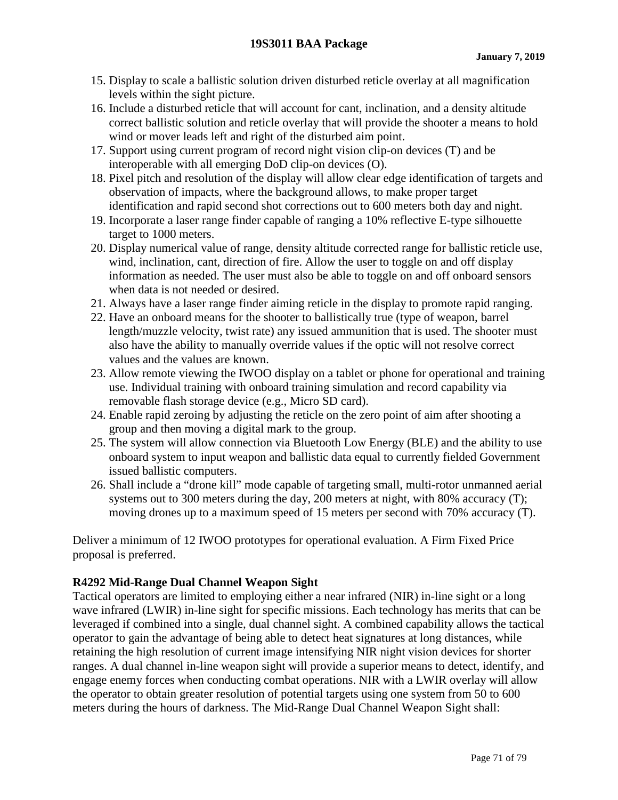- 15. Display to scale a ballistic solution driven disturbed reticle overlay at all magnification levels within the sight picture.
- 16. Include a disturbed reticle that will account for cant, inclination, and a density altitude correct ballistic solution and reticle overlay that will provide the shooter a means to hold wind or mover leads left and right of the disturbed aim point.
- 17. Support using current program of record night vision clip-on devices (T) and be interoperable with all emerging DoD clip-on devices (O).
- 18. Pixel pitch and resolution of the display will allow clear edge identification of targets and observation of impacts, where the background allows, to make proper target identification and rapid second shot corrections out to 600 meters both day and night.
- 19. Incorporate a laser range finder capable of ranging a 10% reflective E-type silhouette target to 1000 meters.
- 20. Display numerical value of range, density altitude corrected range for ballistic reticle use, wind, inclination, cant, direction of fire. Allow the user to toggle on and off display information as needed. The user must also be able to toggle on and off onboard sensors when data is not needed or desired.
- 21. Always have a laser range finder aiming reticle in the display to promote rapid ranging.
- 22. Have an onboard means for the shooter to ballistically true (type of weapon, barrel length/muzzle velocity, twist rate) any issued ammunition that is used. The shooter must also have the ability to manually override values if the optic will not resolve correct values and the values are known.
- 23. Allow remote viewing the IWOO display on a tablet or phone for operational and training use. Individual training with onboard training simulation and record capability via removable flash storage device (e.g., Micro SD card).
- 24. Enable rapid zeroing by adjusting the reticle on the zero point of aim after shooting a group and then moving a digital mark to the group.
- 25. The system will allow connection via Bluetooth Low Energy (BLE) and the ability to use onboard system to input weapon and ballistic data equal to currently fielded Government issued ballistic computers.
- 26. Shall include a "drone kill" mode capable of targeting small, multi-rotor unmanned aerial systems out to 300 meters during the day, 200 meters at night, with 80% accuracy (T); moving drones up to a maximum speed of 15 meters per second with 70% accuracy (T).

Deliver a minimum of 12 IWOO prototypes for operational evaluation. A Firm Fixed Price proposal is preferred.

# **R4292 Mid-Range Dual Channel Weapon Sight**

Tactical operators are limited to employing either a near infrared (NIR) in-line sight or a long wave infrared (LWIR) in-line sight for specific missions. Each technology has merits that can be leveraged if combined into a single, dual channel sight. A combined capability allows the tactical operator to gain the advantage of being able to detect heat signatures at long distances, while retaining the high resolution of current image intensifying NIR night vision devices for shorter ranges. A dual channel in-line weapon sight will provide a superior means to detect, identify, and engage enemy forces when conducting combat operations. NIR with a LWIR overlay will allow the operator to obtain greater resolution of potential targets using one system from 50 to 600 meters during the hours of darkness. The Mid-Range Dual Channel Weapon Sight shall: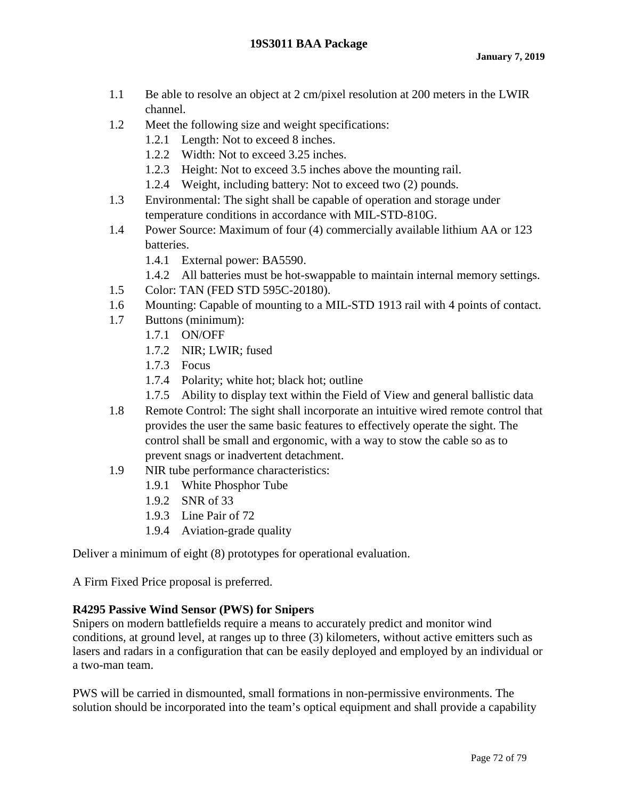- 1.1 Be able to resolve an object at 2 cm/pixel resolution at 200 meters in the LWIR channel.
- 1.2 Meet the following size and weight specifications:
	- 1.2.1 Length: Not to exceed 8 inches.
	- 1.2.2 Width: Not to exceed 3.25 inches.
	- 1.2.3 Height: Not to exceed 3.5 inches above the mounting rail.
	- 1.2.4 Weight, including battery: Not to exceed two (2) pounds.
- 1.3 Environmental: The sight shall be capable of operation and storage under temperature conditions in accordance with MIL-STD-810G.
- 1.4 Power Source: Maximum of four (4) commercially available lithium AA or 123 batteries.
	- 1.4.1 External power: BA5590.
	- 1.4.2 All batteries must be hot-swappable to maintain internal memory settings.
- 1.5 Color: TAN (FED STD 595C-20180).
- 1.6 Mounting: Capable of mounting to a MIL-STD 1913 rail with 4 points of contact.
- 1.7 Buttons (minimum):
	- 1.7.1 ON/OFF
	- 1.7.2 NIR; LWIR; fused
	- 1.7.3 Focus
	- 1.7.4 Polarity; white hot; black hot; outline
	- 1.7.5 Ability to display text within the Field of View and general ballistic data
- 1.8 Remote Control: The sight shall incorporate an intuitive wired remote control that provides the user the same basic features to effectively operate the sight. The control shall be small and ergonomic, with a way to stow the cable so as to prevent snags or inadvertent detachment.
- 1.9 NIR tube performance characteristics:
	- 1.9.1 White Phosphor Tube
	- 1.9.2 SNR of 33
	- 1.9.3 Line Pair of 72
	- 1.9.4 Aviation-grade quality

Deliver a minimum of eight (8) prototypes for operational evaluation.

A Firm Fixed Price proposal is preferred.

## **R4295 Passive Wind Sensor (PWS) for Snipers**

Snipers on modern battlefields require a means to accurately predict and monitor wind conditions, at ground level, at ranges up to three (3) kilometers, without active emitters such as lasers and radars in a configuration that can be easily deployed and employed by an individual or a two-man team.

PWS will be carried in dismounted, small formations in non-permissive environments. The solution should be incorporated into the team's optical equipment and shall provide a capability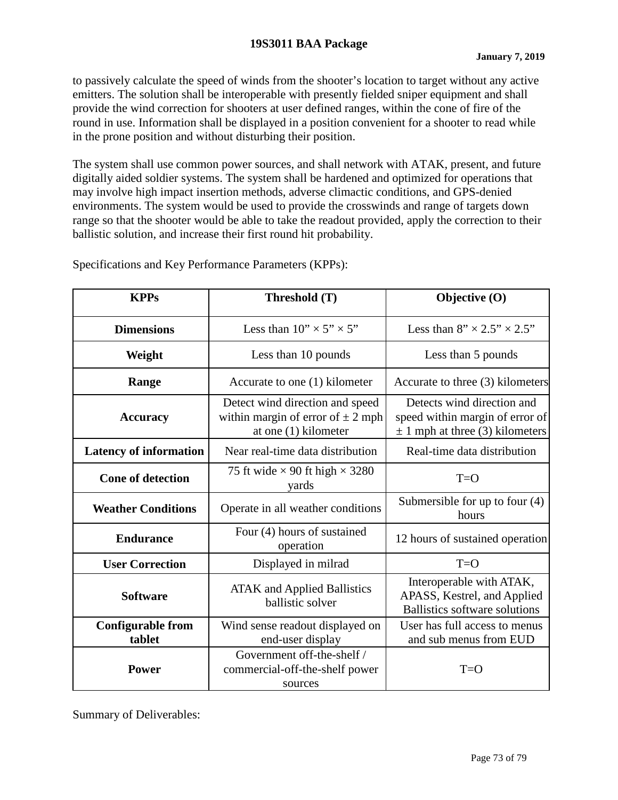to passively calculate the speed of winds from the shooter's location to target without any active emitters. The solution shall be interoperable with presently fielded sniper equipment and shall provide the wind correction for shooters at user defined ranges, within the cone of fire of the round in use. Information shall be displayed in a position convenient for a shooter to read while in the prone position and without disturbing their position.

The system shall use common power sources, and shall network with ATAK, present, and future digitally aided soldier systems. The system shall be hardened and optimized for operations that may involve high impact insertion methods, adverse climactic conditions, and GPS-denied environments. The system would be used to provide the crosswinds and range of targets down range so that the shooter would be able to take the readout provided, apply the correction to their ballistic solution, and increase their first round hit probability.

| <b>KPPs</b>                        | Threshold (T)                                                                                      | Objective (O)                                                                                        |
|------------------------------------|----------------------------------------------------------------------------------------------------|------------------------------------------------------------------------------------------------------|
| <b>Dimensions</b>                  | Less than $10'' \times 5'' \times 5''$                                                             | Less than $8'' \times 2.5'' \times 2.5''$                                                            |
| Weight                             | Less than 10 pounds                                                                                | Less than 5 pounds                                                                                   |
| Range                              | Accurate to one (1) kilometer                                                                      | Accurate to three (3) kilometers                                                                     |
| <b>Accuracy</b>                    | Detect wind direction and speed<br>within margin of error of $\pm 2$ mph<br>at one $(1)$ kilometer | Detects wind direction and<br>speed within margin of error of<br>$\pm$ 1 mph at three (3) kilometers |
| <b>Latency of information</b>      | Near real-time data distribution                                                                   | Real-time data distribution                                                                          |
| <b>Cone of detection</b>           | 75 ft wide $\times$ 90 ft high $\times$ 3280<br>yards                                              | $T=O$                                                                                                |
| <b>Weather Conditions</b>          | Operate in all weather conditions                                                                  | Submersible for up to four $(4)$<br>hours                                                            |
| <b>Endurance</b>                   | Four (4) hours of sustained<br>operation                                                           | 12 hours of sustained operation                                                                      |
| <b>User Correction</b>             | Displayed in milrad                                                                                | $T=O$                                                                                                |
| <b>Software</b>                    | <b>ATAK</b> and Applied Ballistics<br>ballistic solver                                             | Interoperable with ATAK,<br>APASS, Kestrel, and Applied<br><b>Ballistics software solutions</b>      |
| <b>Configurable from</b><br>tablet | Wind sense readout displayed on<br>end-user display                                                | User has full access to menus<br>and sub menus from EUD                                              |
| Power                              | Government off-the-shelf /<br>commercial-off-the-shelf power<br>sources                            | $T=O$                                                                                                |

Specifications and Key Performance Parameters (KPPs):

Summary of Deliverables: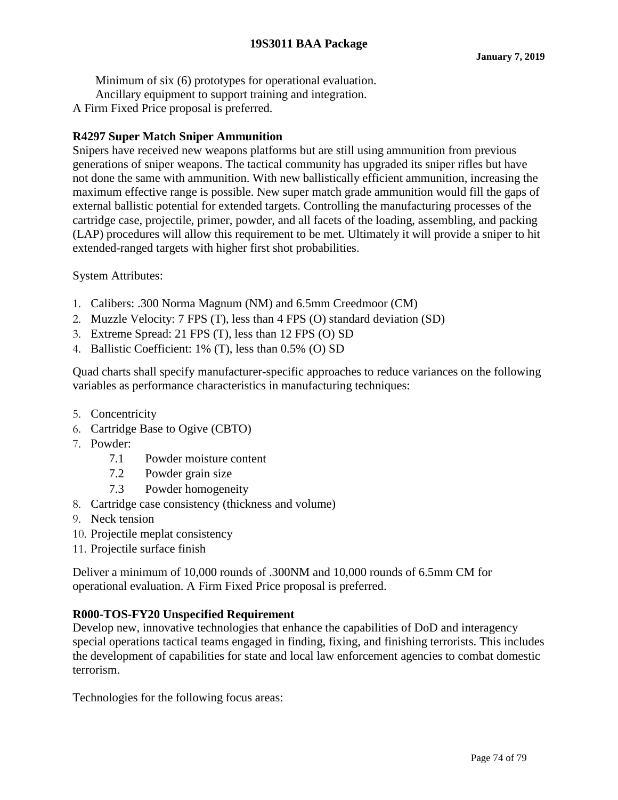Minimum of six (6) prototypes for operational evaluation.

Ancillary equipment to support training and integration.

A Firm Fixed Price proposal is preferred.

# **R4297 Super Match Sniper Ammunition**

Snipers have received new weapons platforms but are still using ammunition from previous generations of sniper weapons. The tactical community has upgraded its sniper rifles but have not done the same with ammunition. With new ballistically efficient ammunition, increasing the maximum effective range is possible. New super match grade ammunition would fill the gaps of external ballistic potential for extended targets. Controlling the manufacturing processes of the cartridge case, projectile, primer, powder, and all facets of the loading, assembling, and packing (LAP) procedures will allow this requirement to be met. Ultimately it will provide a sniper to hit extended-ranged targets with higher first shot probabilities.

System Attributes:

- 1. Calibers: .300 Norma Magnum (NM) and 6.5mm Creedmoor (CM)
- 2. Muzzle Velocity: 7 FPS (T), less than 4 FPS (O) standard deviation (SD)
- 3. Extreme Spread: 21 FPS (T), less than 12 FPS (O) SD
- 4. Ballistic Coefficient: 1% (T), less than 0.5% (O) SD

Quad charts shall specify manufacturer-specific approaches to reduce variances on the following variables as performance characteristics in manufacturing techniques:

- 5. Concentricity
- 6. Cartridge Base to Ogive (CBTO)
- 7. Powder:
	- 7.1 Powder moisture content
	- 7.2 Powder grain size
	- 7.3 Powder homogeneity
- 8. Cartridge case consistency (thickness and volume)
- 9. Neck tension
- 10. Projectile meplat consistency
- 11. Projectile surface finish

Deliver a minimum of 10,000 rounds of .300NM and 10,000 rounds of 6.5mm CM for operational evaluation. A Firm Fixed Price proposal is preferred.

## **R000-TOS-FY20 Unspecified Requirement**

Develop new, innovative technologies that enhance the capabilities of DoD and interagency special operations tactical teams engaged in finding, fixing, and finishing terrorists. This includes the development of capabilities for state and local law enforcement agencies to combat domestic terrorism.

Technologies for the following focus areas: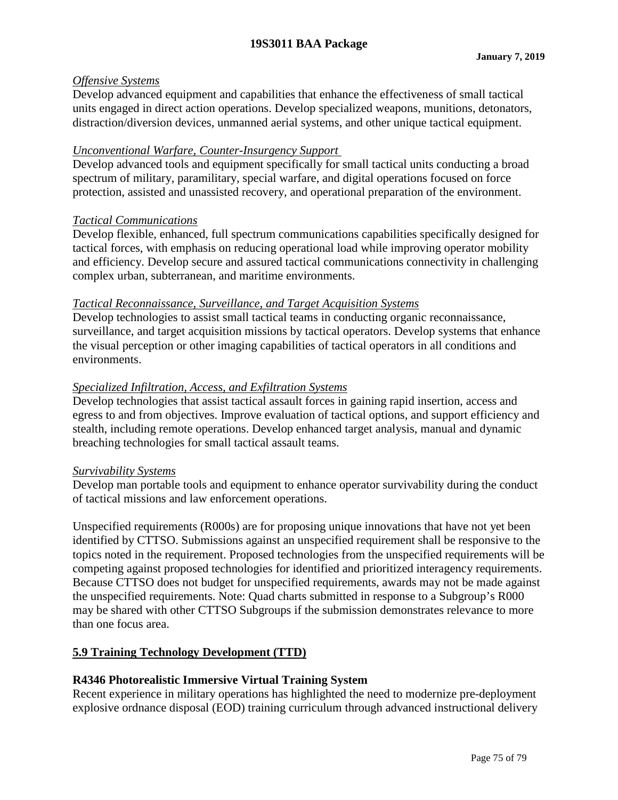### *Offensive Systems*

Develop advanced equipment and capabilities that enhance the effectiveness of small tactical units engaged in direct action operations. Develop specialized weapons, munitions, detonators, distraction/diversion devices, unmanned aerial systems, and other unique tactical equipment.

### *Unconventional Warfare, Counter-Insurgency Support*

Develop advanced tools and equipment specifically for small tactical units conducting a broad spectrum of military, paramilitary, special warfare, and digital operations focused on force protection, assisted and unassisted recovery, and operational preparation of the environment.

### *Tactical Communications*

Develop flexible, enhanced, full spectrum communications capabilities specifically designed for tactical forces, with emphasis on reducing operational load while improving operator mobility and efficiency. Develop secure and assured tactical communications connectivity in challenging complex urban, subterranean, and maritime environments.

#### *Tactical Reconnaissance, Surveillance*, *and Target Acquisition Systems*

Develop technologies to assist small tactical teams in conducting organic reconnaissance, surveillance, and target acquisition missions by tactical operators. Develop systems that enhance the visual perception or other imaging capabilities of tactical operators in all conditions and environments.

### *Specialized Infiltration, Access, and Exfiltration Systems*

Develop technologies that assist tactical assault forces in gaining rapid insertion, access and egress to and from objectives. Improve evaluation of tactical options, and support efficiency and stealth, including remote operations. Develop enhanced target analysis, manual and dynamic breaching technologies for small tactical assault teams.

### *Survivability Systems*

Develop man portable tools and equipment to enhance operator survivability during the conduct of tactical missions and law enforcement operations.

Unspecified requirements (R000s) are for proposing unique innovations that have not yet been identified by CTTSO. Submissions against an unspecified requirement shall be responsive to the topics noted in the requirement. Proposed technologies from the unspecified requirements will be competing against proposed technologies for identified and prioritized interagency requirements. Because CTTSO does not budget for unspecified requirements, awards may not be made against the unspecified requirements. Note: Quad charts submitted in response to a Subgroup's R000 may be shared with other CTTSO Subgroups if the submission demonstrates relevance to more than one focus area.

### **5.9 Training Technology Development (TTD)**

### **R4346 Photorealistic Immersive Virtual Training System**

Recent experience in military operations has highlighted the need to modernize pre-deployment explosive ordnance disposal (EOD) training curriculum through advanced instructional delivery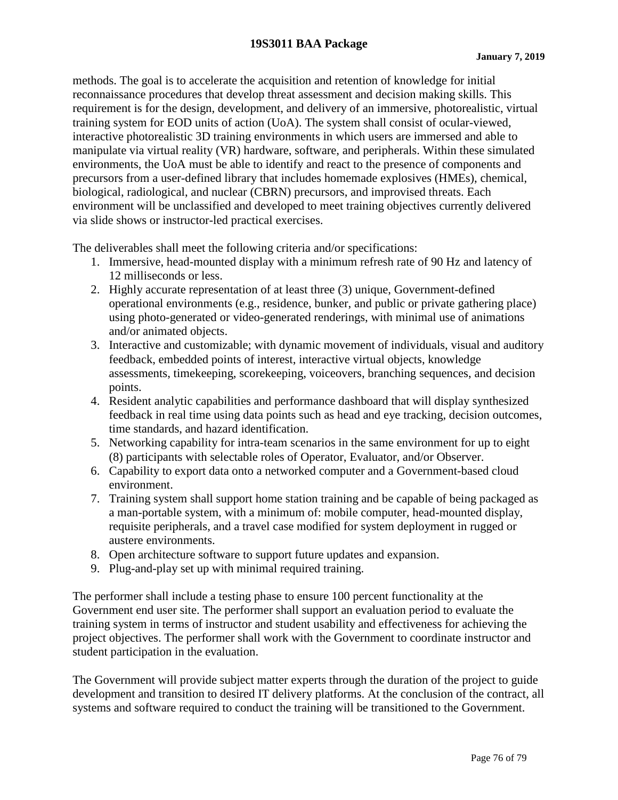methods. The goal is to accelerate the acquisition and retention of knowledge for initial reconnaissance procedures that develop threat assessment and decision making skills. This requirement is for the design, development, and delivery of an immersive, photorealistic, virtual training system for EOD units of action (UoA). The system shall consist of ocular-viewed, interactive photorealistic 3D training environments in which users are immersed and able to manipulate via virtual reality (VR) hardware, software, and peripherals. Within these simulated environments, the UoA must be able to identify and react to the presence of components and precursors from a user-defined library that includes homemade explosives (HMEs), chemical, biological, radiological, and nuclear (CBRN) precursors, and improvised threats. Each environment will be unclassified and developed to meet training objectives currently delivered via slide shows or instructor-led practical exercises.

The deliverables shall meet the following criteria and/or specifications:

- 1. Immersive, head-mounted display with a minimum refresh rate of 90 Hz and latency of 12 milliseconds or less.
- 2. Highly accurate representation of at least three (3) unique, Government-defined operational environments (e.g., residence, bunker, and public or private gathering place) using photo-generated or video-generated renderings, with minimal use of animations and/or animated objects.
- 3. Interactive and customizable; with dynamic movement of individuals, visual and auditory feedback, embedded points of interest, interactive virtual objects, knowledge assessments, timekeeping, scorekeeping, voiceovers, branching sequences, and decision points.
- 4. Resident analytic capabilities and performance dashboard that will display synthesized feedback in real time using data points such as head and eye tracking, decision outcomes, time standards, and hazard identification.
- 5. Networking capability for intra-team scenarios in the same environment for up to eight (8) participants with selectable roles of Operator, Evaluator, and/or Observer.
- 6. Capability to export data onto a networked computer and a Government-based cloud environment.
- 7. Training system shall support home station training and be capable of being packaged as a man-portable system, with a minimum of: mobile computer, head-mounted display, requisite peripherals, and a travel case modified for system deployment in rugged or austere environments.
- 8. Open architecture software to support future updates and expansion.
- 9. Plug-and-play set up with minimal required training.

The performer shall include a testing phase to ensure 100 percent functionality at the Government end user site. The performer shall support an evaluation period to evaluate the training system in terms of instructor and student usability and effectiveness for achieving the project objectives. The performer shall work with the Government to coordinate instructor and student participation in the evaluation.

The Government will provide subject matter experts through the duration of the project to guide development and transition to desired IT delivery platforms. At the conclusion of the contract, all systems and software required to conduct the training will be transitioned to the Government.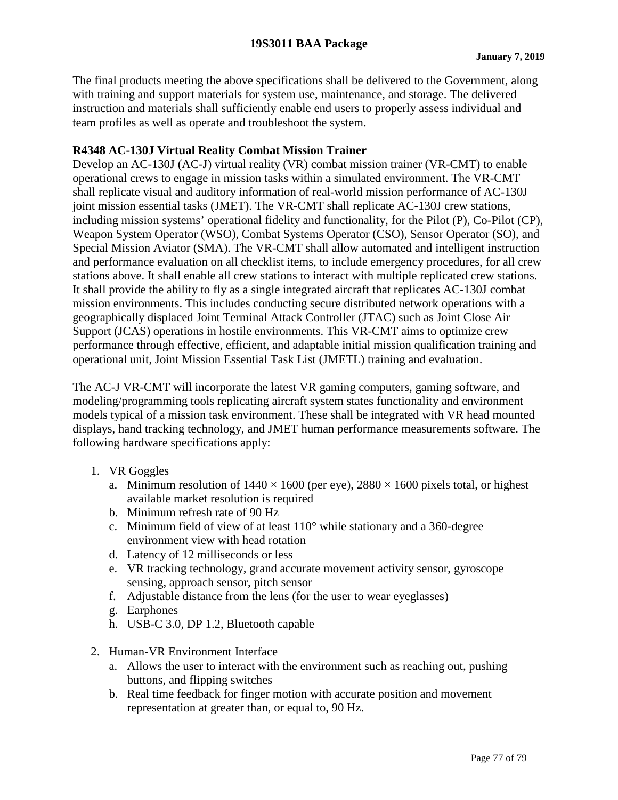The final products meeting the above specifications shall be delivered to the Government, along with training and support materials for system use, maintenance, and storage. The delivered instruction and materials shall sufficiently enable end users to properly assess individual and team profiles as well as operate and troubleshoot the system.

## **R4348 AC-130J Virtual Reality Combat Mission Trainer**

Develop an AC-130J (AC-J) virtual reality (VR) combat mission trainer (VR-CMT) to enable operational crews to engage in mission tasks within a simulated environment. The VR-CMT shall replicate visual and auditory information of real-world mission performance of AC-130J joint mission essential tasks (JMET). The VR-CMT shall replicate AC-130J crew stations, including mission systems' operational fidelity and functionality, for the Pilot (P), Co-Pilot (CP), Weapon System Operator (WSO), Combat Systems Operator (CSO), Sensor Operator (SO), and Special Mission Aviator (SMA). The VR-CMT shall allow automated and intelligent instruction and performance evaluation on all checklist items, to include emergency procedures, for all crew stations above. It shall enable all crew stations to interact with multiple replicated crew stations. It shall provide the ability to fly as a single integrated aircraft that replicates AC-130J combat mission environments. This includes conducting secure distributed network operations with a geographically displaced Joint Terminal Attack Controller (JTAC) such as Joint Close Air Support (JCAS) operations in hostile environments. This VR-CMT aims to optimize crew performance through effective, efficient, and adaptable initial mission qualification training and operational unit, Joint Mission Essential Task List (JMETL) training and evaluation.

The AC-J VR-CMT will incorporate the latest VR gaming computers, gaming software, and modeling/programming tools replicating aircraft system states functionality and environment models typical of a mission task environment. These shall be integrated with VR head mounted displays, hand tracking technology, and JMET human performance measurements software. The following hardware specifications apply:

- 1. VR Goggles
	- a. Minimum resolution of  $1440 \times 1600$  (per eye),  $2880 \times 1600$  pixels total, or highest available market resolution is required
	- b. Minimum refresh rate of 90 Hz
	- c. Minimum field of view of at least 110° while stationary and a 360-degree environment view with head rotation
	- d. Latency of 12 milliseconds or less
	- e. VR tracking technology, grand accurate movement activity sensor, gyroscope sensing, approach sensor, pitch sensor
	- f. Adjustable distance from the lens (for the user to wear eyeglasses)
	- g. Earphones
	- h. USB-C 3.0, DP 1.2, Bluetooth capable
- 2. Human-VR Environment Interface
	- a. Allows the user to interact with the environment such as reaching out, pushing buttons, and flipping switches
	- b. Real time feedback for finger motion with accurate position and movement representation at greater than, or equal to, 90 Hz.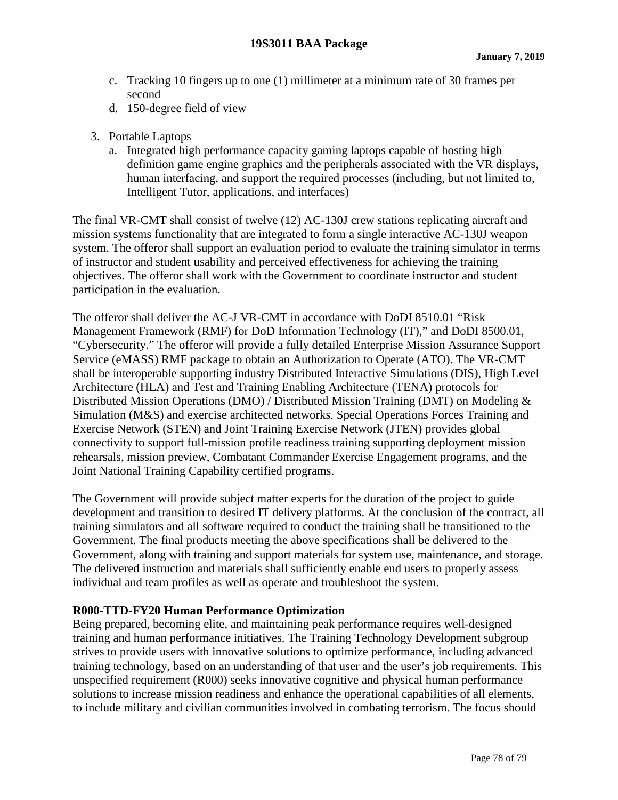- c. Tracking 10 fingers up to one (1) millimeter at a minimum rate of 30 frames per second
- d. 150-degree field of view
- 3. Portable Laptops
	- a. Integrated high performance capacity gaming laptops capable of hosting high definition game engine graphics and the peripherals associated with the VR displays, human interfacing, and support the required processes (including, but not limited to, Intelligent Tutor, applications, and interfaces)

The final VR-CMT shall consist of twelve (12) AC-130J crew stations replicating aircraft and mission systems functionality that are integrated to form a single interactive AC-130J weapon system. The offeror shall support an evaluation period to evaluate the training simulator in terms of instructor and student usability and perceived effectiveness for achieving the training objectives. The offeror shall work with the Government to coordinate instructor and student participation in the evaluation.

The offeror shall deliver the AC-J VR-CMT in accordance with DoDI 8510.01 "Risk Management Framework (RMF) for DoD Information Technology (IT)," and DoDI 8500.01, "Cybersecurity." The offeror will provide a fully detailed Enterprise Mission Assurance Support Service (eMASS) RMF package to obtain an Authorization to Operate (ATO). The VR-CMT shall be interoperable supporting industry Distributed Interactive Simulations (DIS), High Level Architecture (HLA) and Test and Training Enabling Architecture (TENA) protocols for Distributed Mission Operations (DMO) / Distributed Mission Training (DMT) on Modeling & Simulation (M&S) and exercise architected networks. Special Operations Forces Training and Exercise Network (STEN) and Joint Training Exercise Network (JTEN) provides global connectivity to support full-mission profile readiness training supporting deployment mission rehearsals, mission preview, Combatant Commander Exercise Engagement programs, and the Joint National Training Capability certified programs.

The Government will provide subject matter experts for the duration of the project to guide development and transition to desired IT delivery platforms. At the conclusion of the contract, all training simulators and all software required to conduct the training shall be transitioned to the Government. The final products meeting the above specifications shall be delivered to the Government, along with training and support materials for system use, maintenance, and storage. The delivered instruction and materials shall sufficiently enable end users to properly assess individual and team profiles as well as operate and troubleshoot the system.

### **R000-TTD-FY20 Human Performance Optimization**

Being prepared, becoming elite, and maintaining peak performance requires well-designed training and human performance initiatives. The Training Technology Development subgroup strives to provide users with innovative solutions to optimize performance, including advanced training technology, based on an understanding of that user and the user's job requirements. This unspecified requirement (R000) seeks innovative cognitive and physical human performance solutions to increase mission readiness and enhance the operational capabilities of all elements, to include military and civilian communities involved in combating terrorism. The focus should